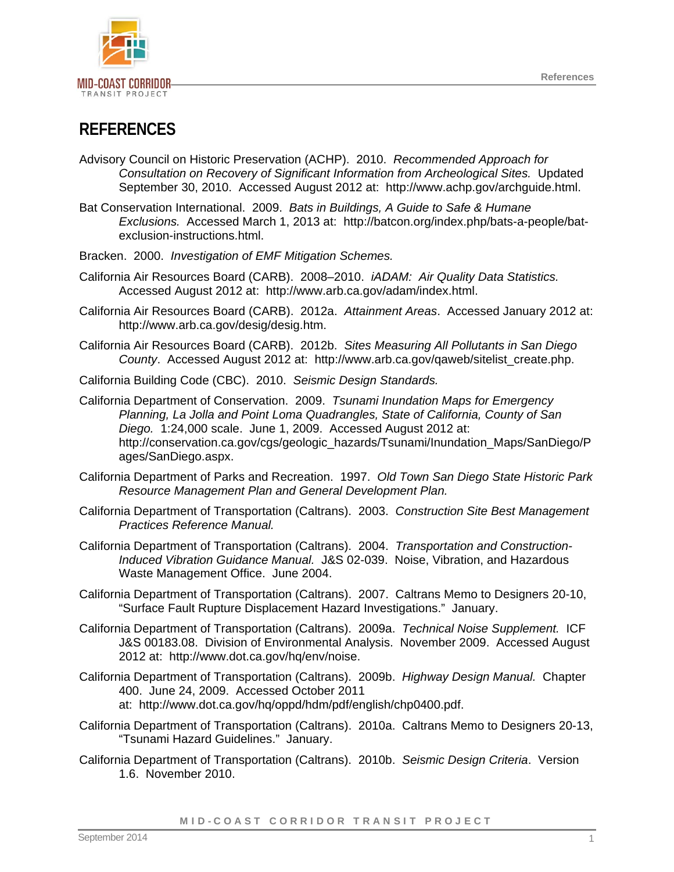

# **REFERENCES**

- Advisory Council on Historic Preservation (ACHP). 2010. *Recommended Approach for Consultation on Recovery of Significant Information from Archeological Sites.* Updated September 30, 2010. Accessed August 2012 at: http://www.achp.gov/archguide.html.
- Bat Conservation International. 2009. *Bats in Buildings, A Guide to Safe & Humane Exclusions.* Accessed March 1, 2013 at: http://batcon.org/index.php/bats-a-people/batexclusion-instructions.html.
- Bracken. 2000. *Investigation of EMF Mitigation Schemes.*
- California Air Resources Board (CARB). 2008–2010. *iADAM: Air Quality Data Statistics.*  Accessed August 2012 at: http://www.arb.ca.gov/adam/index.html.
- California Air Resources Board (CARB). 2012a. *Attainment Areas*. Accessed January 2012 at: http://www.arb.ca.gov/desig/desig.htm.
- California Air Resources Board (CARB). 2012b. *Sites Measuring All Pollutants in San Diego County*. Accessed August 2012 at: http://www.arb.ca.gov/qaweb/sitelist\_create.php.
- California Building Code (CBC). 2010. *Seismic Design Standards.*
- California Department of Conservation. 2009. *Tsunami Inundation Maps for Emergency Planning, La Jolla and Point Loma Quadrangles, State of California, County of San Diego.* 1:24,000 scale. June 1, 2009. Accessed August 2012 at: http://conservation.ca.gov/cgs/geologic\_hazards/Tsunami/Inundation\_Maps/SanDiego/P ages/SanDiego.aspx.
- California Department of Parks and Recreation. 1997. *Old Town San Diego State Historic Park Resource Management Plan and General Development Plan.*
- California Department of Transportation (Caltrans). 2003. *Construction Site Best Management Practices Reference Manual.*
- California Department of Transportation (Caltrans). 2004. *Transportation and Construction-Induced Vibration Guidance Manual.* J&S 02-039. Noise, Vibration, and Hazardous Waste Management Office. June 2004.
- California Department of Transportation (Caltrans). 2007. Caltrans Memo to Designers 20-10, "Surface Fault Rupture Displacement Hazard Investigations." January.
- California Department of Transportation (Caltrans). 2009a. *Technical Noise Supplement.* ICF J&S 00183.08. Division of Environmental Analysis. November 2009. Accessed August 2012 at: http://www.dot.ca.gov/hq/env/noise.
- California Department of Transportation (Caltrans). 2009b. *Highway Design Manual.* Chapter 400. June 24, 2009. Accessed October 2011 at: http://www.dot.ca.gov/hq/oppd/hdm/pdf/english/chp0400.pdf.
- California Department of Transportation (Caltrans). 2010a. Caltrans Memo to Designers 20-13, "Tsunami Hazard Guidelines." January.
- California Department of Transportation (Caltrans). 2010b. *Seismic Design Criteria*. Version 1.6. November 2010.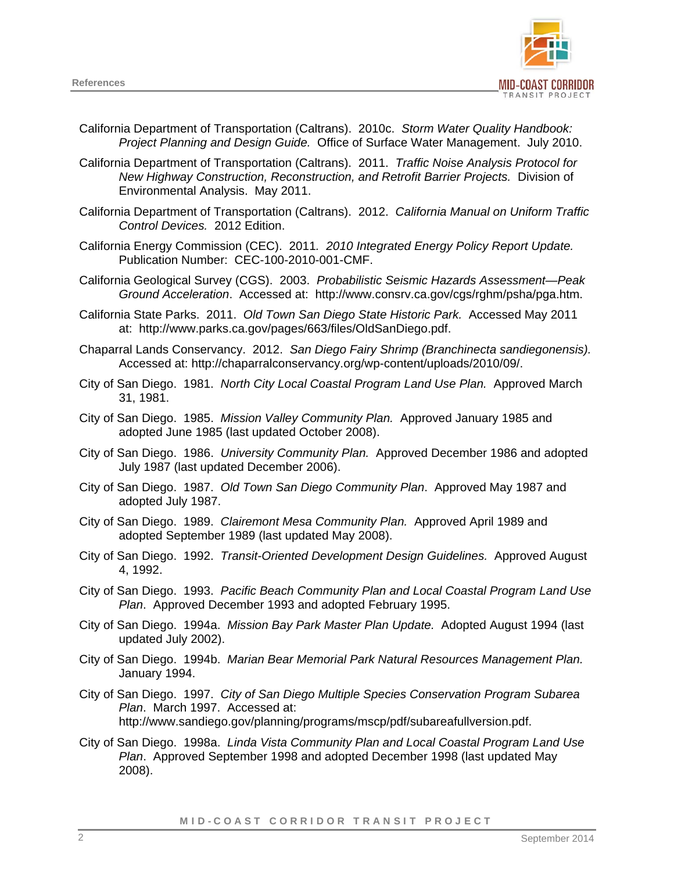

- California Department of Transportation (Caltrans). 2010c. *Storm Water Quality Handbook: Project Planning and Design Guide.* Office of Surface Water Management. July 2010.
- California Department of Transportation (Caltrans). 2011. *Traffic Noise Analysis Protocol for New Highway Construction, Reconstruction, and Retrofit Barrier Projects.* Division of Environmental Analysis. May 2011.
- California Department of Transportation (Caltrans). 2012. *California Manual on Uniform Traffic Control Devices.* 2012 Edition.
- California Energy Commission (CEC). 2011*. 2010 Integrated Energy Policy Report Update.* Publication Number: CEC-100-2010-001-CMF.
- California Geological Survey (CGS). 2003. *Probabilistic Seismic Hazards Assessment—Peak Ground Acceleration*. Accessed at: http://www.consrv.ca.gov/cgs/rghm/psha/pga.htm.
- California State Parks. 2011. *Old Town San Diego State Historic Park.* Accessed May 2011 at: http://www.parks.ca.gov/pages/663/files/OldSanDiego.pdf.
- Chaparral Lands Conservancy. 2012. *San Diego Fairy Shrimp (Branchinecta sandiegonensis).* Accessed at: http://chaparralconservancy.org/wp-content/uploads/2010/09/.
- City of San Diego. 1981. *North City Local Coastal Program Land Use Plan.* Approved March 31, 1981.
- City of San Diego. 1985. *Mission Valley Community Plan.* Approved January 1985 and adopted June 1985 (last updated October 2008).
- City of San Diego. 1986. *University Community Plan.* Approved December 1986 and adopted July 1987 (last updated December 2006).
- City of San Diego. 1987. *Old Town San Diego Community Plan*. Approved May 1987 and adopted July 1987.
- City of San Diego. 1989. *Clairemont Mesa Community Plan.* Approved April 1989 and adopted September 1989 (last updated May 2008).
- City of San Diego. 1992. *Transit-Oriented Development Design Guidelines.* Approved August 4, 1992.
- City of San Diego. 1993. *Pacific Beach Community Plan and Local Coastal Program Land Use Plan*. Approved December 1993 and adopted February 1995.
- City of San Diego. 1994a. *Mission Bay Park Master Plan Update.* Adopted August 1994 (last updated July 2002).
- City of San Diego. 1994b. *Marian Bear Memorial Park Natural Resources Management Plan.* January 1994.
- City of San Diego. 1997. *City of San Diego Multiple Species Conservation Program Subarea Plan*. March 1997. Accessed at: http://www.sandiego.gov/planning/programs/mscp/pdf/subareafullversion.pdf.
- City of San Diego. 1998a. *Linda Vista Community Plan and Local Coastal Program Land Use Plan*. Approved September 1998 and adopted December 1998 (last updated May 2008).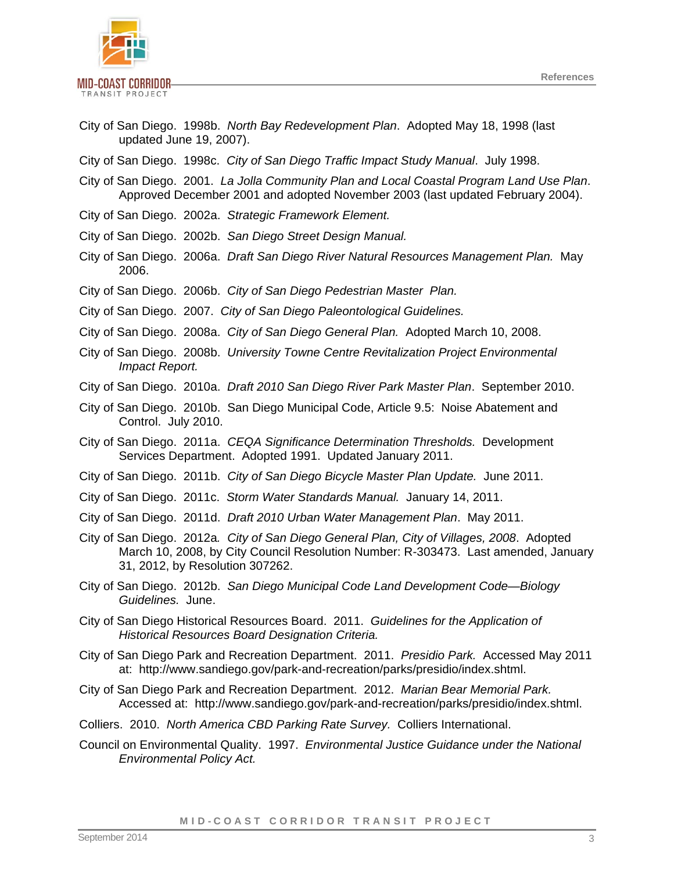

- City of San Diego. 1998b. *North Bay Redevelopment Plan*. Adopted May 18, 1998 (last updated June 19, 2007).
- City of San Diego. 1998c. *City of San Diego Traffic Impact Study Manual*. July 1998.
- City of San Diego. 2001. *La Jolla Community Plan and Local Coastal Program Land Use Plan*. Approved December 2001 and adopted November 2003 (last updated February 2004).
- City of San Diego. 2002a. *Strategic Framework Element.*
- City of San Diego. 2002b. *San Diego Street Design Manual.*
- City of San Diego. 2006a. *Draft San Diego River Natural Resources Management Plan.* May 2006.
- City of San Diego. 2006b. *City of San Diego Pedestrian Master Plan.*

City of San Diego. 2007. *City of San Diego Paleontological Guidelines.* 

- City of San Diego. 2008a. *City of San Diego General Plan.* Adopted March 10, 2008.
- City of San Diego. 2008b. *University Towne Centre Revitalization Project Environmental Impact Report.*
- City of San Diego. 2010a. *Draft 2010 San Diego River Park Master Plan*. September 2010.
- City of San Diego. 2010b. San Diego Municipal Code, Article 9.5: Noise Abatement and Control. July 2010.
- City of San Diego. 2011a. *CEQA Significance Determination Thresholds.* Development Services Department. Adopted 1991. Updated January 2011.
- City of San Diego. 2011b. *City of San Diego Bicycle Master Plan Update.* June 2011.
- City of San Diego. 2011c. *Storm Water Standards Manual.* January 14, 2011.
- City of San Diego. 2011d. *Draft 2010 Urban Water Management Plan*. May 2011.
- City of San Diego. 2012a*. City of San Diego General Plan, City of Villages, 2008*. Adopted March 10, 2008, by City Council Resolution Number: R-303473. Last amended, January 31, 2012, by Resolution 307262.
- City of San Diego. 2012b. *San Diego Municipal Code Land Development Code—Biology Guidelines.* June.
- City of San Diego Historical Resources Board. 2011. *Guidelines for the Application of Historical Resources Board Designation Criteria.*
- City of San Diego Park and Recreation Department. 2011. *Presidio Park.* Accessed May 2011 at: http://www.sandiego.gov/park-and-recreation/parks/presidio/index.shtml.
- City of San Diego Park and Recreation Department. 2012. *Marian Bear Memorial Park.* Accessed at: http://www.sandiego.gov/park-and-recreation/parks/presidio/index.shtml.
- Colliers. 2010. *North America CBD Parking Rate Survey.* Colliers International.
- Council on Environmental Quality. 1997. *Environmental Justice Guidance under the National Environmental Policy Act.*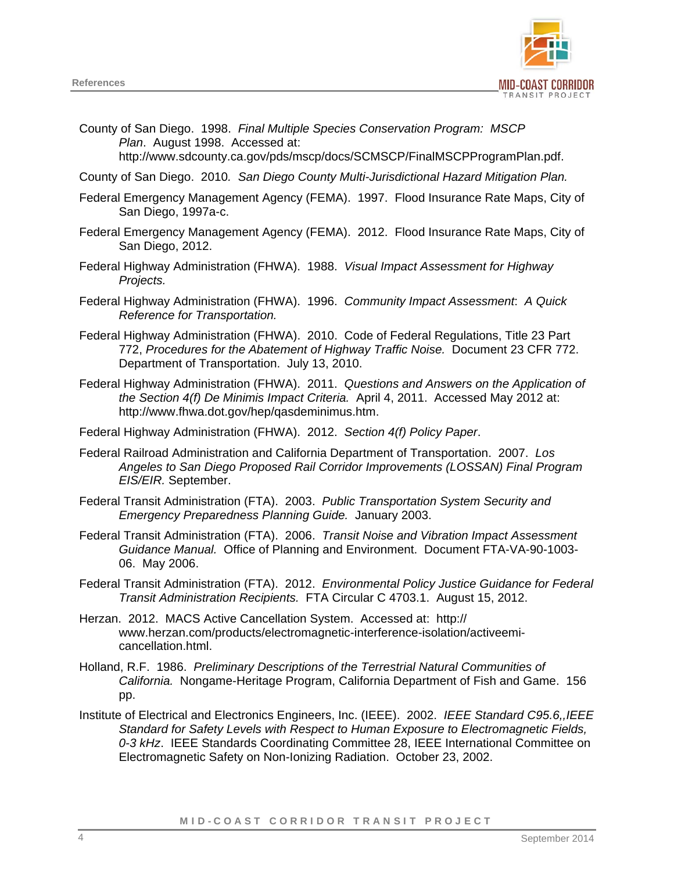

- County of San Diego. 1998. *Final Multiple Species Conservation Program: MSCP Plan*. August 1998. Accessed at: http://www.sdcounty.ca.gov/pds/mscp/docs/SCMSCP/FinalMSCPProgramPlan.pdf.
- County of San Diego. 2010*. San Diego County Multi-Jurisdictional Hazard Mitigation Plan.*
- Federal Emergency Management Agency (FEMA). 1997. Flood Insurance Rate Maps, City of San Diego, 1997a-c.
- Federal Emergency Management Agency (FEMA). 2012. Flood Insurance Rate Maps, City of San Diego, 2012.
- Federal Highway Administration (FHWA). 1988. *Visual Impact Assessment for Highway Projects.*
- Federal Highway Administration (FHWA). 1996. *Community Impact Assessment*: *A Quick Reference for Transportation.*
- Federal Highway Administration (FHWA). 2010. Code of Federal Regulations, Title 23 Part 772, *Procedures for the Abatement of Highway Traffic Noise.* Document 23 CFR 772. Department of Transportation. July 13, 2010.
- Federal Highway Administration (FHWA). 2011. *Questions and Answers on the Application of the Section 4(f) De Minimis Impact Criteria.* April 4, 2011. Accessed May 2012 at: http://www.fhwa.dot.gov/hep/qasdeminimus.htm.
- Federal Highway Administration (FHWA). 2012. *Section 4(f) Policy Paper*.
- Federal Railroad Administration and California Department of Transportation. 2007. *Los Angeles to San Diego Proposed Rail Corridor Improvements (LOSSAN) Final Program EIS/EIR.* September.
- Federal Transit Administration (FTA). 2003. *Public Transportation System Security and Emergency Preparedness Planning Guide.* January 2003.
- Federal Transit Administration (FTA). 2006. *Transit Noise and Vibration Impact Assessment Guidance Manual.* Office of Planning and Environment. Document FTA-VA-90-1003- 06. May 2006.
- Federal Transit Administration (FTA). 2012. *Environmental Policy Justice Guidance for Federal Transit Administration Recipients.* FTA Circular C 4703.1. August 15, 2012.
- Herzan. 2012. MACS Active Cancellation System. Accessed at: http:// www.herzan.com/products/electromagnetic-interference-isolation/activeemicancellation.html.
- Holland, R.F. 1986. *Preliminary Descriptions of the Terrestrial Natural Communities of California.* Nongame-Heritage Program, California Department of Fish and Game. 156 pp.
- Institute of Electrical and Electronics Engineers, Inc. (IEEE). 2002. *IEEE Standard C95.6,,IEEE Standard for Safety Levels with Respect to Human Exposure to Electromagnetic Fields, 0-3 kHz*. IEEE Standards Coordinating Committee 28, IEEE International Committee on Electromagnetic Safety on Non-Ionizing Radiation. October 23, 2002.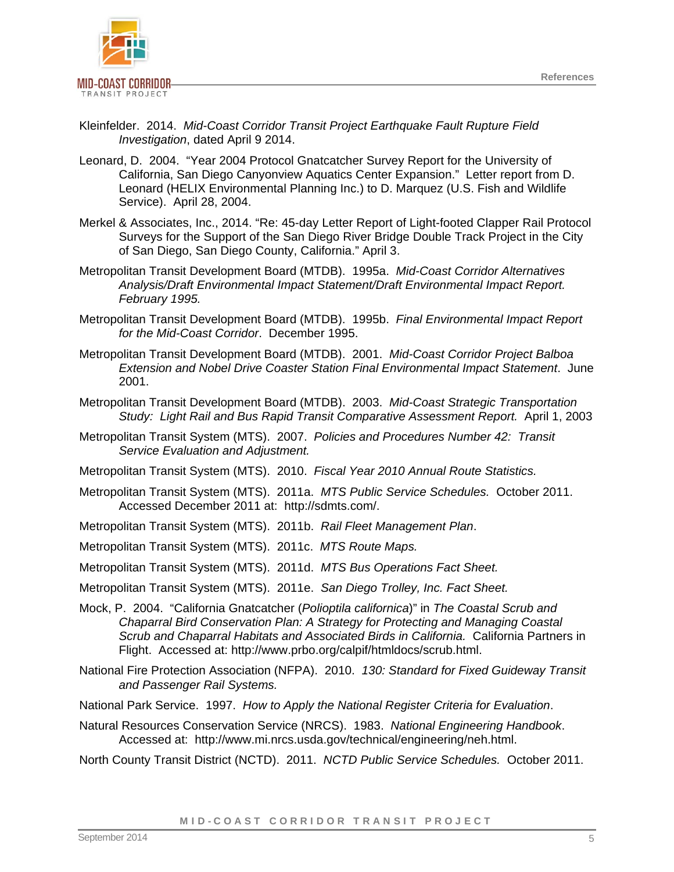

- Kleinfelder. 2014. *Mid-Coast Corridor Transit Project Earthquake Fault Rupture Field Investigation*, dated April 9 2014.
- Leonard, D. 2004. "Year 2004 Protocol Gnatcatcher Survey Report for the University of California, San Diego Canyonview Aquatics Center Expansion." Letter report from D. Leonard (HELIX Environmental Planning Inc.) to D. Marquez (U.S. Fish and Wildlife Service). April 28, 2004.
- Merkel & Associates, Inc., 2014. "Re: 45-day Letter Report of Light-footed Clapper Rail Protocol Surveys for the Support of the San Diego River Bridge Double Track Project in the City of San Diego, San Diego County, California." April 3.
- Metropolitan Transit Development Board (MTDB). 1995a. *Mid-Coast Corridor Alternatives Analysis/Draft Environmental Impact Statement/Draft Environmental Impact Report. February 1995.*
- Metropolitan Transit Development Board (MTDB). 1995b. *Final Environmental Impact Report for the Mid-Coast Corridor*. December 1995.
- Metropolitan Transit Development Board (MTDB). 2001. *Mid-Coast Corridor Project Balboa Extension and Nobel Drive Coaster Station Final Environmental Impact Statement*. June 2001.
- Metropolitan Transit Development Board (MTDB). 2003. *Mid-Coast Strategic Transportation Study: Light Rail and Bus Rapid Transit Comparative Assessment Report.* April 1, 2003
- Metropolitan Transit System (MTS). 2007. *Policies and Procedures Number 42: Transit Service Evaluation and Adjustment.*
- Metropolitan Transit System (MTS). 2010. *Fiscal Year 2010 Annual Route Statistics.*
- Metropolitan Transit System (MTS). 2011a. *MTS Public Service Schedules.* October 2011. Accessed December 2011 at: http://sdmts.com/.
- Metropolitan Transit System (MTS). 2011b. *Rail Fleet Management Plan*.
- Metropolitan Transit System (MTS). 2011c. *MTS Route Maps.*
- Metropolitan Transit System (MTS). 2011d. *MTS Bus Operations Fact Sheet.*
- Metropolitan Transit System (MTS). 2011e. *San Diego Trolley, Inc. Fact Sheet.*
- Mock, P. 2004. "California Gnatcatcher (*Polioptila californica*)" in *The Coastal Scrub and Chaparral Bird Conservation Plan: A Strategy for Protecting and Managing Coastal Scrub and Chaparral Habitats and Associated Birds in California.* California Partners in Flight. Accessed at: http://www.prbo.org/calpif/htmldocs/scrub.html.
- National Fire Protection Association (NFPA). 2010. *130: Standard for Fixed Guideway Transit and Passenger Rail Systems.*
- National Park Service. 1997. *How to Apply the National Register Criteria for Evaluation*.
- Natural Resources Conservation Service (NRCS). 1983. *National Engineering Handbook*. Accessed at: http://www.mi.nrcs.usda.gov/technical/engineering/neh.html.
- North County Transit District (NCTD). 2011. *NCTD Public Service Schedules.* October 2011.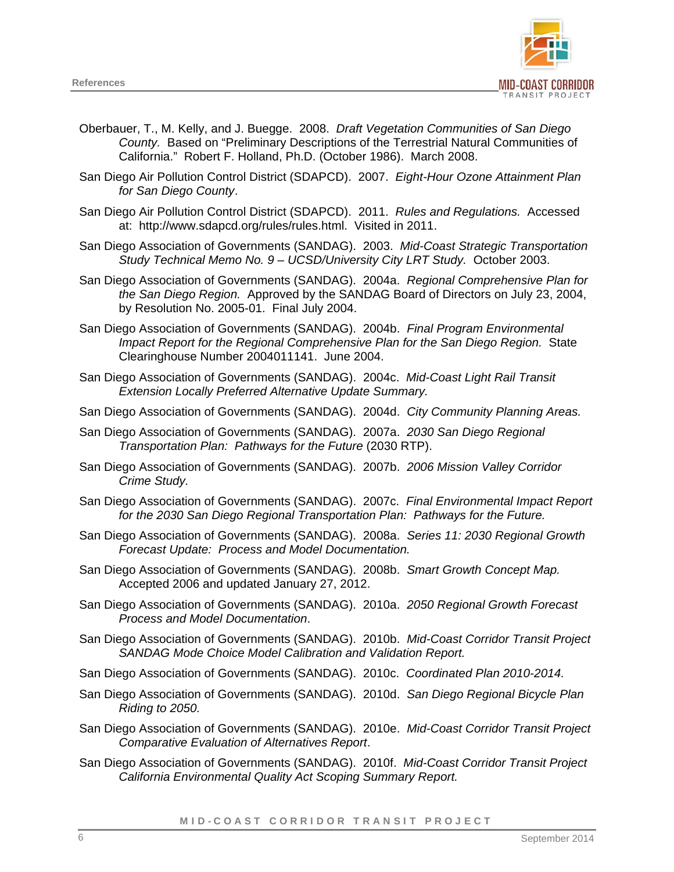

- Oberbauer, T., M. Kelly, and J. Buegge. 2008. *Draft Vegetation Communities of San Diego County.* Based on "Preliminary Descriptions of the Terrestrial Natural Communities of California." Robert F. Holland, Ph.D. (October 1986). March 2008.
- San Diego Air Pollution Control District (SDAPCD). 2007. *Eight-Hour Ozone Attainment Plan for San Diego County*.
- San Diego Air Pollution Control District (SDAPCD). 2011. *Rules and Regulations.* Accessed at:http://www.sdapcd.org/rules/rules.html. Visited in 2011.
- San Diego Association of Governments (SANDAG). 2003. *Mid-Coast Strategic Transportation Study Technical Memo No. 9 – UCSD/University City LRT Study.* October 2003.
- San Diego Association of Governments (SANDAG). 2004a. *Regional Comprehensive Plan for the San Diego Region.* Approved by the SANDAG Board of Directors on July 23, 2004, by Resolution No. 2005-01. Final July 2004.
- San Diego Association of Governments (SANDAG). 2004b. *Final Program Environmental Impact Report for the Regional Comprehensive Plan for the San Diego Region.* State Clearinghouse Number 2004011141. June 2004.
- San Diego Association of Governments (SANDAG). 2004c. *Mid-Coast Light Rail Transit Extension Locally Preferred Alternative Update Summary.*
- San Diego Association of Governments (SANDAG). 2004d. *City Community Planning Areas.*
- San Diego Association of Governments (SANDAG). 2007a. *2030 San Diego Regional Transportation Plan: Pathways for the Future* (2030 RTP).
- San Diego Association of Governments (SANDAG). 2007b. *2006 Mission Valley Corridor Crime Study.*
- San Diego Association of Governments (SANDAG). 2007c. *Final Environmental Impact Report for the 2030 San Diego Regional Transportation Plan: Pathways for the Future.*
- San Diego Association of Governments (SANDAG). 2008a.*Series 11: 2030 Regional Growth Forecast Update: Process and Model Documentation.*
- San Diego Association of Governments (SANDAG). 2008b. *Smart Growth Concept Map.* Accepted 2006 and updated January 27, 2012.
- San Diego Association of Governments (SANDAG). 2010a. *2050 Regional Growth Forecast Process and Model Documentation*.
- San Diego Association of Governments (SANDAG). 2010b. *Mid-Coast Corridor Transit Project SANDAG Mode Choice Model Calibration and Validation Report.*
- San Diego Association of Governments (SANDAG). 2010c. *Coordinated Plan 2010-2014.*
- San Diego Association of Governments (SANDAG). 2010d. *San Diego Regional Bicycle Plan Riding to 2050.*
- San Diego Association of Governments (SANDAG). 2010e. *Mid-Coast Corridor Transit Project Comparative Evaluation of Alternatives Report*.
- San Diego Association of Governments (SANDAG). 2010f. *Mid-Coast Corridor Transit Project California Environmental Quality Act Scoping Summary Report.*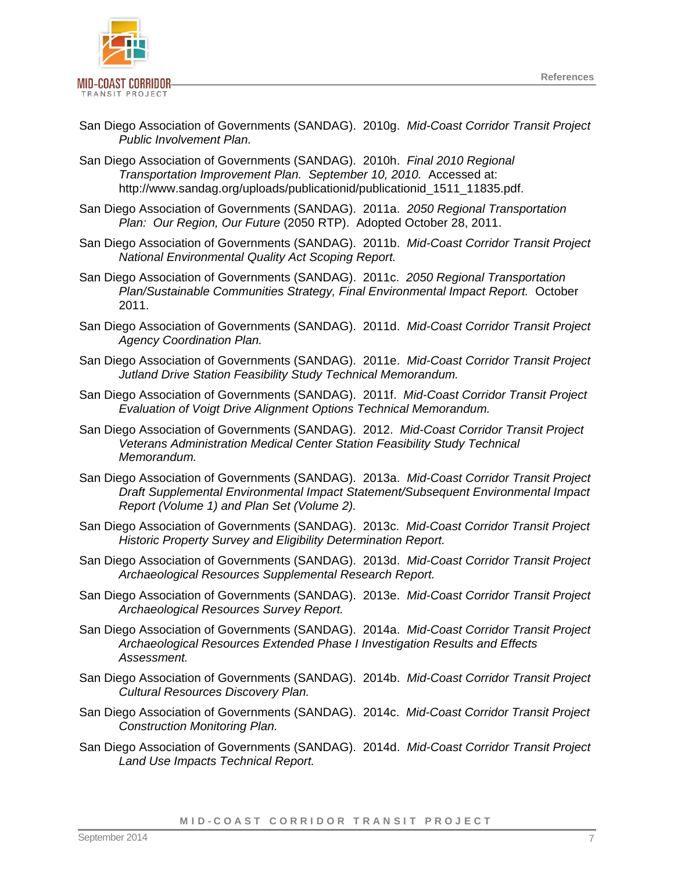

- San Diego Association of Governments (SANDAG). 2010g. *Mid-Coast Corridor Transit Project Public Involvement Plan.*
- San Diego Association of Governments (SANDAG). 2010h. *Final 2010 Regional Transportation Improvement Plan. September 10, 2010.* Accessed at: http://www.sandag.org/uploads/publicationid/publicationid\_1511\_11835.pdf.
- San Diego Association of Governments (SANDAG). 2011a. *2050 Regional Transportation Plan: Our Region, Our Future* (2050 RTP). Adopted October 28, 2011.
- San Diego Association of Governments (SANDAG). 2011b. *Mid-Coast Corridor Transit Project National Environmental Quality Act Scoping Report.*
- San Diego Association of Governments (SANDAG). 2011c. *2050 Regional Transportation Plan/Sustainable Communities Strategy, Final Environmental Impact Report.* October 2011.
- San Diego Association of Governments (SANDAG). 2011d. *Mid-Coast Corridor Transit Project Agency Coordination Plan.*
- San Diego Association of Governments (SANDAG). 2011e. *Mid-Coast Corridor Transit Project Jutland Drive Station Feasibility Study Technical Memorandum.*
- San Diego Association of Governments (SANDAG). 2011f. *Mid-Coast Corridor Transit Project Evaluation of Voigt Drive Alignment Options Technical Memorandum.*
- San Diego Association of Governments (SANDAG). 2012. *Mid-Coast Corridor Transit Project Veterans Administration Medical Center Station Feasibility Study Technical Memorandum.*
- San Diego Association of Governments (SANDAG). 2013a. *Mid-Coast Corridor Transit Project Draft Supplemental Environmental Impact Statement/Subsequent Environmental Impact Report (Volume 1) and Plan Set (Volume 2).*
- San Diego Association of Governments (SANDAG). 2013c. *Mid-Coast Corridor Transit Project Historic Property Survey and Eligibility Determination Report.*
- San Diego Association of Governments (SANDAG). 2013d. *Mid-Coast Corridor Transit Project Archaeological Resources Supplemental Research Report.*
- San Diego Association of Governments (SANDAG). 2013e. *Mid-Coast Corridor Transit Project Archaeological Resources Survey Report.*
- San Diego Association of Governments (SANDAG). 2014a. *Mid-Coast Corridor Transit Project Archaeological Resources Extended Phase I Investigation Results and Effects Assessment.*
- San Diego Association of Governments (SANDAG). 2014b. *Mid-Coast Corridor Transit Project Cultural Resources Discovery Plan.*
- San Diego Association of Governments (SANDAG). 2014c. *Mid-Coast Corridor Transit Project Construction Monitoring Plan.*
- San Diego Association of Governments (SANDAG). 2014d. *Mid-Coast Corridor Transit Project Land Use Impacts Technical Report.*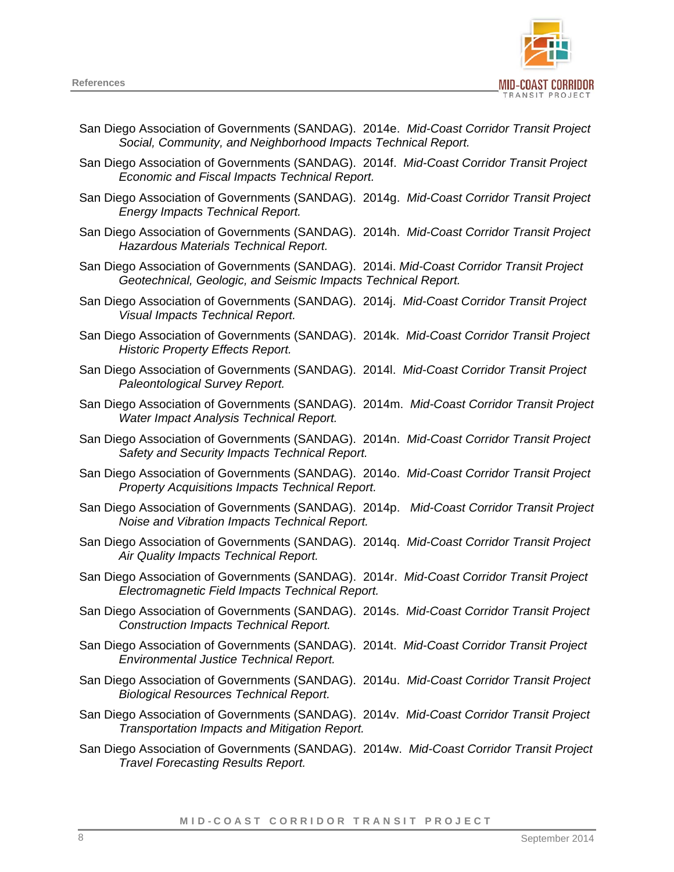

- San Diego Association of Governments (SANDAG). 2014e. *Mid-Coast Corridor Transit Project Social, Community, and Neighborhood Impacts Technical Report.*
- San Diego Association of Governments (SANDAG). 2014f. *Mid-Coast Corridor Transit Project Economic and Fiscal Impacts Technical Report.*
- San Diego Association of Governments (SANDAG). 2014g. *Mid-Coast Corridor Transit Project Energy Impacts Technical Report.*
- San Diego Association of Governments (SANDAG). 2014h. *Mid-Coast Corridor Transit Project Hazardous Materials Technical Report.*
- San Diego Association of Governments (SANDAG). 2014i. *Mid-Coast Corridor Transit Project Geotechnical, Geologic, and Seismic Impacts Technical Report.*
- San Diego Association of Governments (SANDAG). 2014j. *Mid-Coast Corridor Transit Project Visual Impacts Technical Report.*
- San Diego Association of Governments (SANDAG). 2014k. *Mid-Coast Corridor Transit Project Historic Property Effects Report.*
- San Diego Association of Governments (SANDAG). 2014l. *Mid-Coast Corridor Transit Project Paleontological Survey Report.*
- San Diego Association of Governments (SANDAG). 2014m. *Mid-Coast Corridor Transit Project Water Impact Analysis Technical Report.*
- San Diego Association of Governments (SANDAG). 2014n. *Mid-Coast Corridor Transit Project Safety and Security Impacts Technical Report.*
- San Diego Association of Governments (SANDAG). 2014o. *Mid-Coast Corridor Transit Project Property Acquisitions Impacts Technical Report.*
- San Diego Association of Governments (SANDAG). 2014p. *Mid-Coast Corridor Transit Project Noise and Vibration Impacts Technical Report.*
- San Diego Association of Governments (SANDAG). 2014q. *Mid-Coast Corridor Transit Project Air Quality Impacts Technical Report.*
- San Diego Association of Governments (SANDAG). 2014r. *Mid-Coast Corridor Transit Project Electromagnetic Field Impacts Technical Report.*
- San Diego Association of Governments (SANDAG). 2014s. *Mid-Coast Corridor Transit Project Construction Impacts Technical Report.*
- San Diego Association of Governments (SANDAG). 2014t. *Mid-Coast Corridor Transit Project Environmental Justice Technical Report.*
- San Diego Association of Governments (SANDAG). 2014u. *Mid-Coast Corridor Transit Project Biological Resources Technical Report.*
- San Diego Association of Governments (SANDAG). 2014v. *Mid-Coast Corridor Transit Project Transportation Impacts and Mitigation Report.*
- San Diego Association of Governments (SANDAG). 2014w. *Mid-Coast Corridor Transit Project Travel Forecasting Results Report.*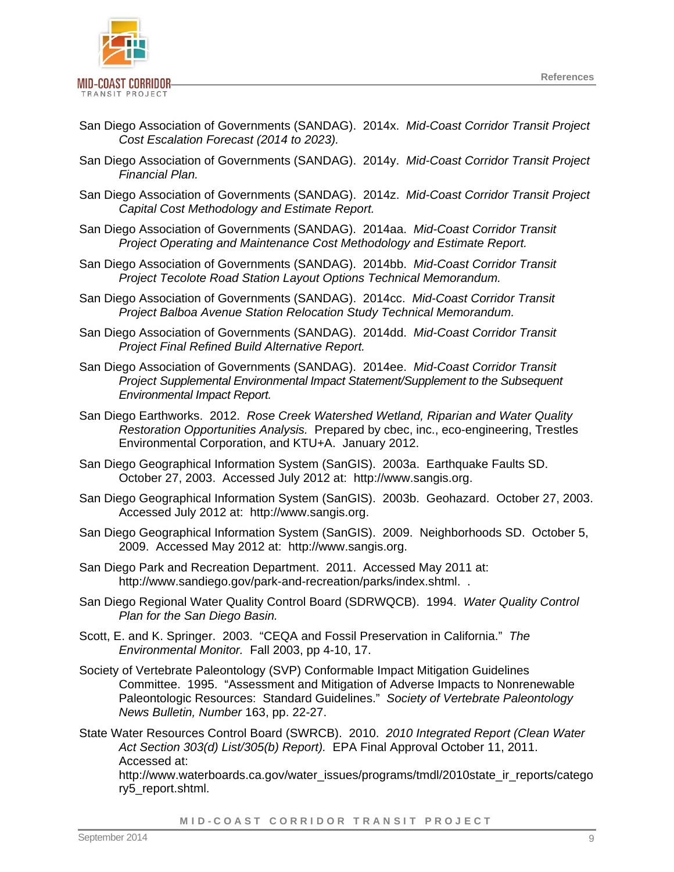

- San Diego Association of Governments (SANDAG). 2014x. *Mid-Coast Corridor Transit Project Cost Escalation Forecast (2014 to 2023).*
- San Diego Association of Governments (SANDAG). 2014y. *Mid-Coast Corridor Transit Project Financial Plan.*
- San Diego Association of Governments (SANDAG). 2014z. *Mid-Coast Corridor Transit Project Capital Cost Methodology and Estimate Report.*
- San Diego Association of Governments (SANDAG). 2014aa. *Mid-Coast Corridor Transit Project Operating and Maintenance Cost Methodology and Estimate Report.*
- San Diego Association of Governments (SANDAG). 2014bb. *Mid-Coast Corridor Transit Project Tecolote Road Station Layout Options Technical Memorandum.*
- San Diego Association of Governments (SANDAG). 2014cc. *Mid-Coast Corridor Transit Project Balboa Avenue Station Relocation Study Technical Memorandum.*
- San Diego Association of Governments (SANDAG). 2014dd. *Mid-Coast Corridor Transit Project Final Refined Build Alternative Report.*
- San Diego Association of Governments (SANDAG). 2014ee. *Mid-Coast Corridor Transit Project Supplemental Environmental Impact Statement/Supplement to the Subsequent Environmental Impact Report.*
- San Diego Earthworks. 2012. *Rose Creek Watershed Wetland, Riparian and Water Quality Restoration Opportunities Analysis.* Prepared by cbec, inc., eco-engineering, Trestles Environmental Corporation, and KTU+A. January 2012.
- San Diego Geographical Information System (SanGIS). 2003a. Earthquake Faults SD. October 27, 2003. Accessed July 2012 at: http://www.sangis.org.
- San Diego Geographical Information System (SanGIS). 2003b. Geohazard. October 27, 2003. Accessed July 2012 at: http://www.sangis.org.
- San Diego Geographical Information System (SanGIS). 2009. Neighborhoods SD. October 5, 2009. Accessed May 2012 at: http://www.sangis.org.
- San Diego Park and Recreation Department. 2011. Accessed May 2011 at: http://www.sandiego.gov/park-and-recreation/parks/index.shtml...
- San Diego Regional Water Quality Control Board (SDRWQCB). 1994. *Water Quality Control Plan for the San Diego Basin.*
- Scott, E. and K. Springer. 2003. "CEQA and Fossil Preservation in California." *The Environmental Monitor.* Fall 2003, pp 4-10, 17.
- Society of Vertebrate Paleontology (SVP) Conformable Impact Mitigation Guidelines Committee. 1995. "Assessment and Mitigation of Adverse Impacts to Nonrenewable Paleontologic Resources: Standard Guidelines." *Society of Vertebrate Paleontology News Bulletin, Number* 163, pp. 22-27.
- State Water Resources Control Board (SWRCB). 2010. *2010 Integrated Report (Clean Water Act Section 303(d) List/305(b) Report).* EPA Final Approval October 11, 2011. Accessed at: http://www.waterboards.ca.gov/water\_issues/programs/tmdl/2010state\_ir\_reports/catego

ry5\_report.shtml.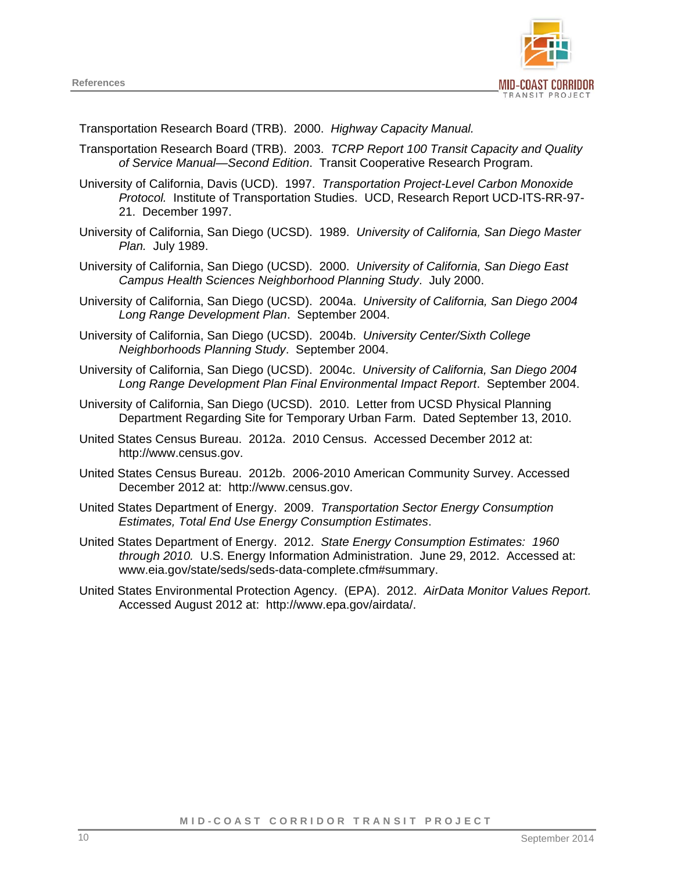

Transportation Research Board (TRB). 2000. *Highway Capacity Manual.* 

- Transportation Research Board (TRB). 2003. *TCRP Report 100 Transit Capacity and Quality of Service Manual—Second Edition*. Transit Cooperative Research Program.
- University of California, Davis (UCD). 1997. *Transportation Project-Level Carbon Monoxide Protocol.* Institute of Transportation Studies. UCD, Research Report UCD-ITS-RR-97- 21. December 1997.
- University of California, San Diego (UCSD). 1989. *University of California, San Diego Master Plan.* July 1989.
- University of California, San Diego (UCSD). 2000. *University of California, San Diego East Campus Health Sciences Neighborhood Planning Study*. July 2000.
- University of California, San Diego (UCSD). 2004a. *University of California, San Diego 2004 Long Range Development Plan*. September 2004.
- University of California, San Diego (UCSD). 2004b. *University Center/Sixth College Neighborhoods Planning Study*. September 2004.
- University of California, San Diego (UCSD). 2004c. *University of California, San Diego 2004 Long Range Development Plan Final Environmental Impact Report*. September 2004.
- University of California, San Diego (UCSD). 2010. Letter from UCSD Physical Planning Department Regarding Site for Temporary Urban Farm. Dated September 13, 2010.
- United States Census Bureau. 2012a. 2010 Census. Accessed December 2012 at: http://www.census.gov.
- United States Census Bureau. 2012b. 2006-2010 American Community Survey. Accessed December 2012 at: http://www.census.gov.
- United States Department of Energy. 2009. *Transportation Sector Energy Consumption Estimates, Total End Use Energy Consumption Estimates*.
- United States Department of Energy. 2012. *State Energy Consumption Estimates: 1960 through 2010.* U.S. Energy Information Administration. June 29, 2012. Accessed at: www.eia.gov/state/seds/seds-data-complete.cfm#summary.
- United States Environmental Protection Agency. (EPA).2012. *AirData Monitor Values Report.*  Accessed August 2012 at: http://www.epa.gov/airdata/.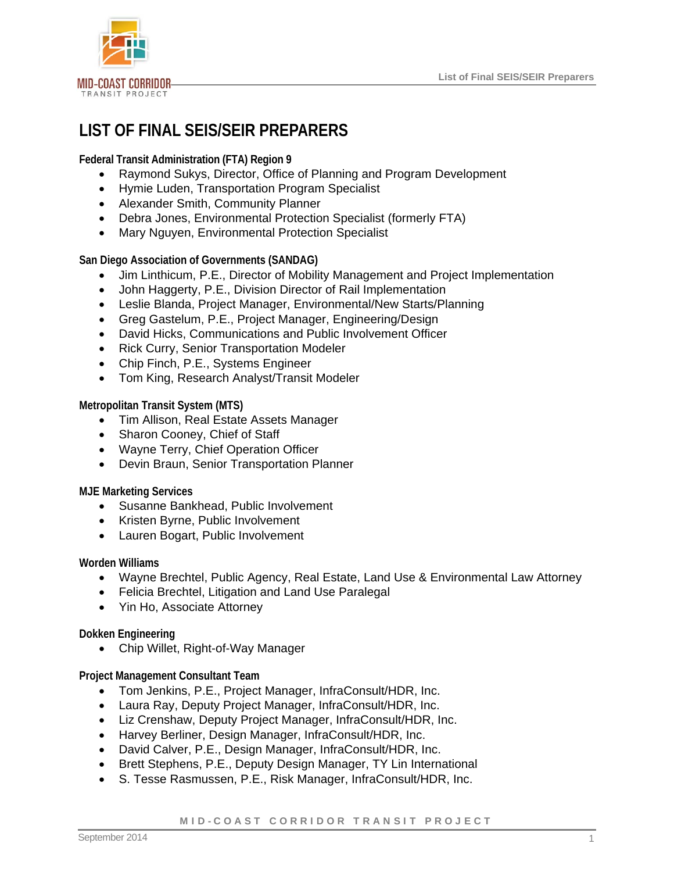

# **LIST OF FINAL SEIS/SEIR PREPARERS**

**Federal Transit Administration (FTA) Region 9** 

- Raymond Sukys, Director, Office of Planning and Program Development
- Hymie Luden, Transportation Program Specialist
- Alexander Smith, Community Planner
- Debra Jones, Environmental Protection Specialist (formerly FTA)
- Mary Nguyen, Environmental Protection Specialist

**San Diego Association of Governments (SANDAG)** 

- Jim Linthicum, P.E., Director of Mobility Management and Project Implementation
- John Haggerty, P.E., Division Director of Rail Implementation
- Leslie Blanda, Project Manager, Environmental/New Starts/Planning
- Greg Gastelum, P.E., Project Manager, Engineering/Design
- David Hicks, Communications and Public Involvement Officer
- Rick Curry, Senior Transportation Modeler
- Chip Finch, P.E., Systems Engineer
- Tom King, Research Analyst/Transit Modeler

**Metropolitan Transit System (MTS)** 

- Tim Allison, Real Estate Assets Manager
- Sharon Cooney, Chief of Staff
- Wayne Terry, Chief Operation Officer
- Devin Braun, Senior Transportation Planner

**MJE Marketing Services** 

- Susanne Bankhead, Public Involvement
- Kristen Byrne, Public Involvement
- Lauren Bogart, Public Involvement

**Worden Williams** 

- Wayne Brechtel, Public Agency, Real Estate, Land Use & Environmental Law Attorney
- Felicia Brechtel, Litigation and Land Use Paralegal
- Yin Ho, Associate Attorney

**Dokken Engineering**

Chip Willet, Right-of-Way Manager

**Project Management Consultant Team** 

- Tom Jenkins, P.E., Project Manager, InfraConsult/HDR, Inc.
- Laura Ray, Deputy Project Manager, InfraConsult/HDR, Inc.
- Liz Crenshaw, Deputy Project Manager, InfraConsult/HDR, Inc.
- Harvey Berliner, Design Manager, InfraConsult/HDR, Inc.
- David Calver, P.E., Design Manager, InfraConsult/HDR, Inc.
- Brett Stephens, P.E., Deputy Design Manager, TY Lin International
- S. Tesse Rasmussen, P.E., Risk Manager, InfraConsult/HDR, Inc.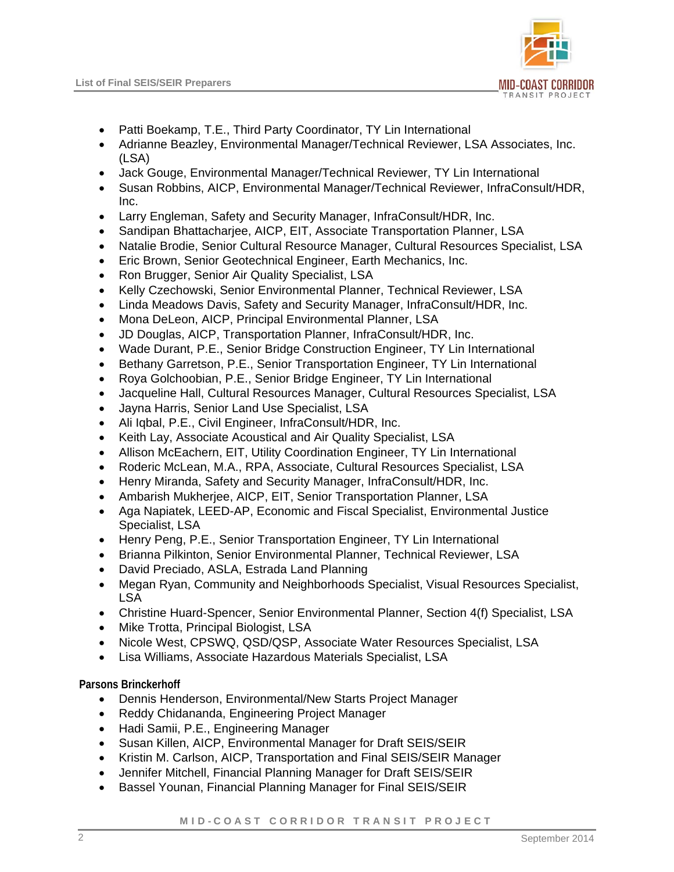

- Patti Boekamp, T.E., Third Party Coordinator, TY Lin International
- Adrianne Beazley, Environmental Manager/Technical Reviewer, LSA Associates, Inc. (LSA)
- Jack Gouge, Environmental Manager/Technical Reviewer, TY Lin International
- Susan Robbins, AICP, Environmental Manager/Technical Reviewer, InfraConsult/HDR, Inc.
- Larry Engleman, Safety and Security Manager, InfraConsult/HDR, Inc.
- Sandipan Bhattacharjee, AICP, EIT, Associate Transportation Planner, LSA
- Natalie Brodie, Senior Cultural Resource Manager, Cultural Resources Specialist, LSA
- Eric Brown, Senior Geotechnical Engineer, Earth Mechanics, Inc.
- Ron Brugger, Senior Air Quality Specialist, LSA
- Kelly Czechowski, Senior Environmental Planner, Technical Reviewer, LSA
- Linda Meadows Davis, Safety and Security Manager, InfraConsult/HDR, Inc.
- Mona DeLeon, AICP, Principal Environmental Planner, LSA
- JD Douglas, AICP, Transportation Planner, InfraConsult/HDR, Inc.
- Wade Durant, P.E., Senior Bridge Construction Engineer, TY Lin International
- Bethany Garretson, P.E., Senior Transportation Engineer, TY Lin International
- Roya Golchoobian, P.E., Senior Bridge Engineer, TY Lin International
- Jacqueline Hall, Cultural Resources Manager, Cultural Resources Specialist, LSA
- Jayna Harris, Senior Land Use Specialist, LSA
- Ali Iqbal, P.E., Civil Engineer, InfraConsult/HDR, Inc.
- Keith Lay, Associate Acoustical and Air Quality Specialist, LSA
- Allison McEachern, EIT, Utility Coordination Engineer, TY Lin International
- Roderic McLean, M.A., RPA, Associate, Cultural Resources Specialist, LSA
- Henry Miranda, Safety and Security Manager, InfraConsult/HDR, Inc.
- Ambarish Mukherjee, AICP, EIT, Senior Transportation Planner, LSA
- Aga Napiatek, LEED-AP, Economic and Fiscal Specialist, Environmental Justice Specialist, LSA
- Henry Peng, P.E., Senior Transportation Engineer, TY Lin International
- Brianna Pilkinton, Senior Environmental Planner, Technical Reviewer, LSA
- David Preciado, ASLA, Estrada Land Planning
- Megan Ryan, Community and Neighborhoods Specialist, Visual Resources Specialist, LSA
- Christine Huard-Spencer, Senior Environmental Planner, Section 4(f) Specialist, LSA
- Mike Trotta, Principal Biologist, LSA
- Nicole West, CPSWQ, QSD/QSP, Associate Water Resources Specialist, LSA
- Lisa Williams, Associate Hazardous Materials Specialist, LSA

**Parsons Brinckerhoff** 

- Dennis Henderson, Environmental/New Starts Project Manager
- Reddy Chidananda, Engineering Project Manager
- Hadi Samii, P.E., Engineering Manager
- Susan Killen, AICP, Environmental Manager for Draft SEIS/SEIR
- Kristin M. Carlson, AICP, Transportation and Final SEIS/SEIR Manager
- Jennifer Mitchell, Financial Planning Manager for Draft SEIS/SEIR
- Bassel Younan, Financial Planning Manager for Final SEIS/SEIR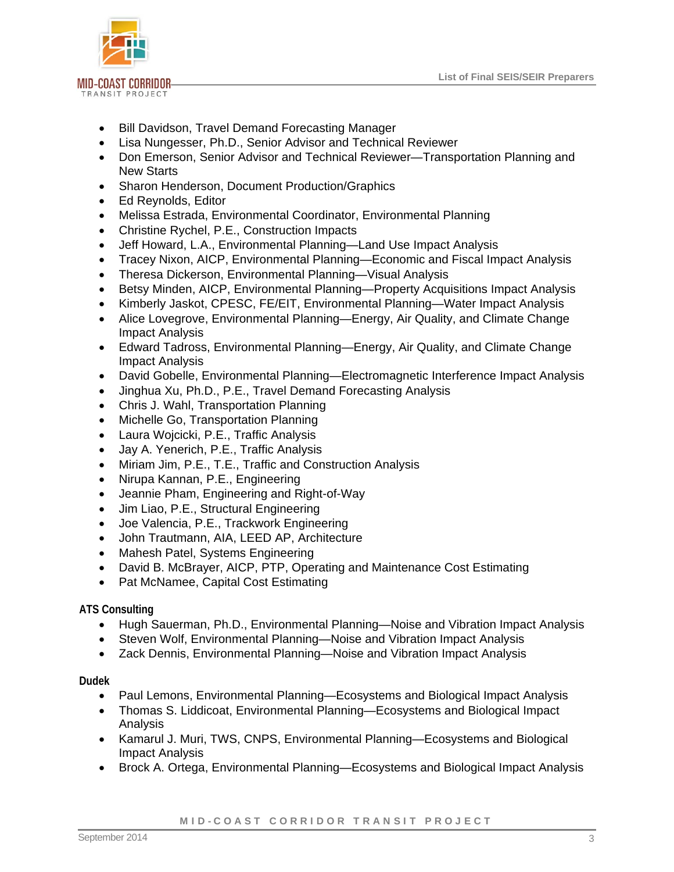

- Bill Davidson, Travel Demand Forecasting Manager
- Lisa Nungesser, Ph.D., Senior Advisor and Technical Reviewer
- Don Emerson, Senior Advisor and Technical Reviewer—Transportation Planning and New Starts
- Sharon Henderson, Document Production/Graphics
- Ed Reynolds, Editor
- Melissa Estrada, Environmental Coordinator, Environmental Planning
- Christine Rychel, P.E., Construction Impacts
- Jeff Howard, L.A., Environmental Planning—Land Use Impact Analysis
- Tracey Nixon, AICP, Environmental Planning—Economic and Fiscal Impact Analysis
- Theresa Dickerson, Environmental Planning—Visual Analysis
- Betsy Minden, AICP, Environmental Planning—Property Acquisitions Impact Analysis
- Kimberly Jaskot, CPESC, FE/EIT, Environmental Planning—Water Impact Analysis
- Alice Lovegrove, Environmental Planning—Energy, Air Quality, and Climate Change Impact Analysis
- Edward Tadross, Environmental Planning—Energy, Air Quality, and Climate Change Impact Analysis
- David Gobelle, Environmental Planning—Electromagnetic Interference Impact Analysis
- Jinghua Xu, Ph.D., P.E., Travel Demand Forecasting Analysis
- Chris J. Wahl, Transportation Planning
- Michelle Go, Transportation Planning
- Laura Wojcicki, P.E., Traffic Analysis
- Jay A. Yenerich, P.E., Traffic Analysis
- Miriam Jim, P.E., T.E., Traffic and Construction Analysis
- Nirupa Kannan, P.E., Engineering
- Jeannie Pham, Engineering and Right-of-Way
- Jim Liao, P.E., Structural Engineering
- Joe Valencia, P.E., Trackwork Engineering
- John Trautmann, AIA, LEED AP, Architecture
- Mahesh Patel, Systems Engineering
- David B. McBrayer, AICP, PTP, Operating and Maintenance Cost Estimating
- Pat McNamee, Capital Cost Estimating

### **ATS Consulting**

- Hugh Sauerman, Ph.D., Environmental Planning—Noise and Vibration Impact Analysis
- Steven Wolf, Environmental Planning—Noise and Vibration Impact Analysis
- Zack Dennis, Environmental Planning—Noise and Vibration Impact Analysis

### **Dudek**

- Paul Lemons, Environmental Planning—Ecosystems and Biological Impact Analysis
- Thomas S. Liddicoat, Environmental Planning—Ecosystems and Biological Impact Analysis
- Kamarul J. Muri, TWS, CNPS, Environmental Planning—Ecosystems and Biological Impact Analysis
- Brock A. Ortega, Environmental Planning—Ecosystems and Biological Impact Analysis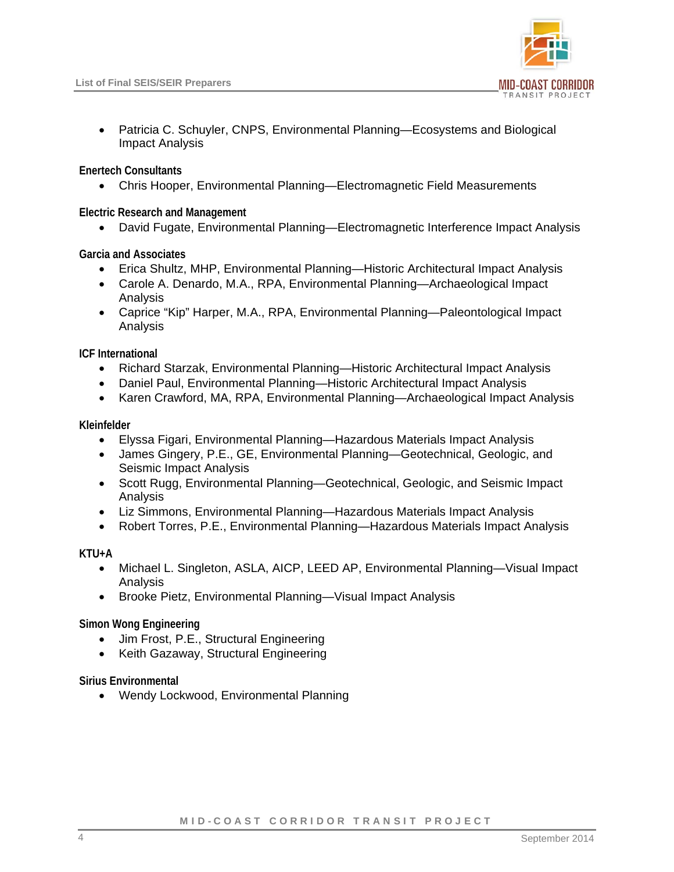

 Patricia C. Schuyler, CNPS, Environmental Planning—Ecosystems and Biological Impact Analysis

**Enertech Consultants** 

Chris Hooper, Environmental Planning—Electromagnetic Field Measurements

**Electric Research and Management** 

David Fugate, Environmental Planning—Electromagnetic Interference Impact Analysis

**Garcia and Associates** 

- Erica Shultz, MHP, Environmental Planning—Historic Architectural Impact Analysis
- Carole A. Denardo, M.A., RPA, Environmental Planning—Archaeological Impact Analysis
- Caprice "Kip" Harper, M.A., RPA, Environmental Planning—Paleontological Impact Analysis

**ICF International** 

- Richard Starzak, Environmental Planning—Historic Architectural Impact Analysis
- Daniel Paul, Environmental Planning—Historic Architectural Impact Analysis
- Karen Crawford, MA, RPA, Environmental Planning—Archaeological Impact Analysis

**Kleinfelder** 

- Elyssa Figari, Environmental Planning—Hazardous Materials Impact Analysis
- James Gingery, P.E., GE, Environmental Planning—Geotechnical, Geologic, and Seismic Impact Analysis
- Scott Rugg, Environmental Planning—Geotechnical, Geologic, and Seismic Impact Analysis
- Liz Simmons, Environmental Planning—Hazardous Materials Impact Analysis
- Robert Torres, P.E., Environmental Planning—Hazardous Materials Impact Analysis

**KTU+A** 

- Michael L. Singleton, ASLA, AICP, LEED AP, Environmental Planning—Visual Impact Analysis
- Brooke Pietz, Environmental Planning—Visual Impact Analysis

**Simon Wong Engineering** 

- Jim Frost, P.E., Structural Engineering
- Keith Gazaway, Structural Engineering

**Sirius Environmental** 

Wendy Lockwood, Environmental Planning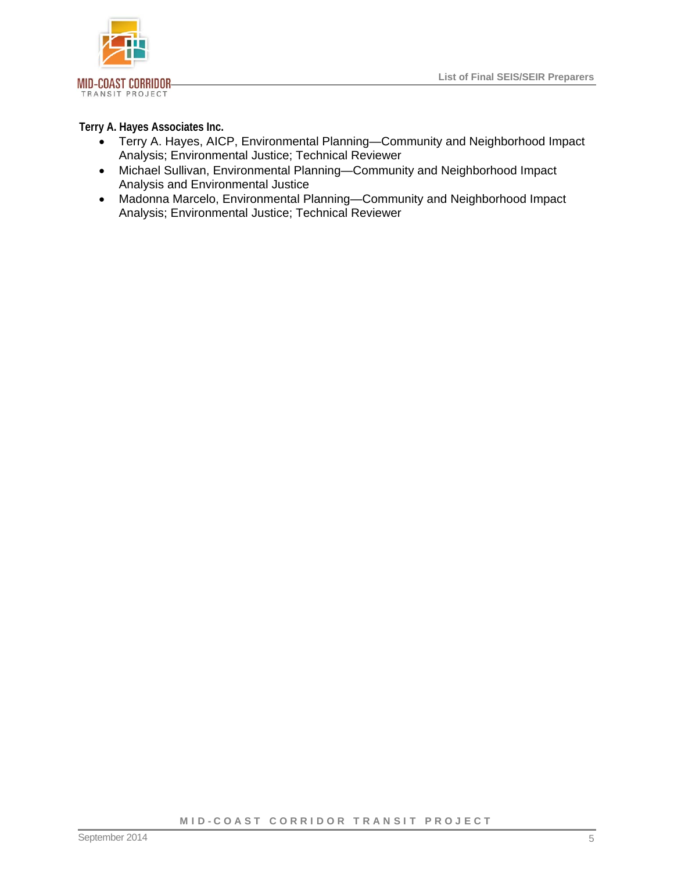

**Terry A. Hayes Associates Inc.** 

- Terry A. Hayes, AICP, Environmental Planning—Community and Neighborhood Impact Analysis; Environmental Justice; Technical Reviewer
- Michael Sullivan, Environmental Planning—Community and Neighborhood Impact Analysis and Environmental Justice
- Madonna Marcelo, Environmental Planning—Community and Neighborhood Impact Analysis; Environmental Justice; Technical Reviewer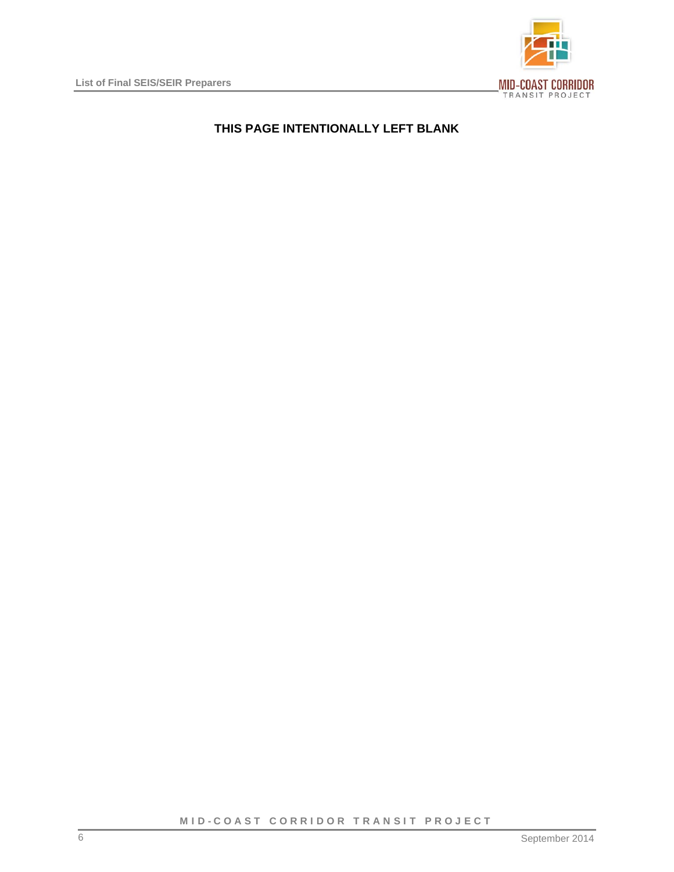

# **THIS PAGE INTENTIONALLY LEFT BLANK**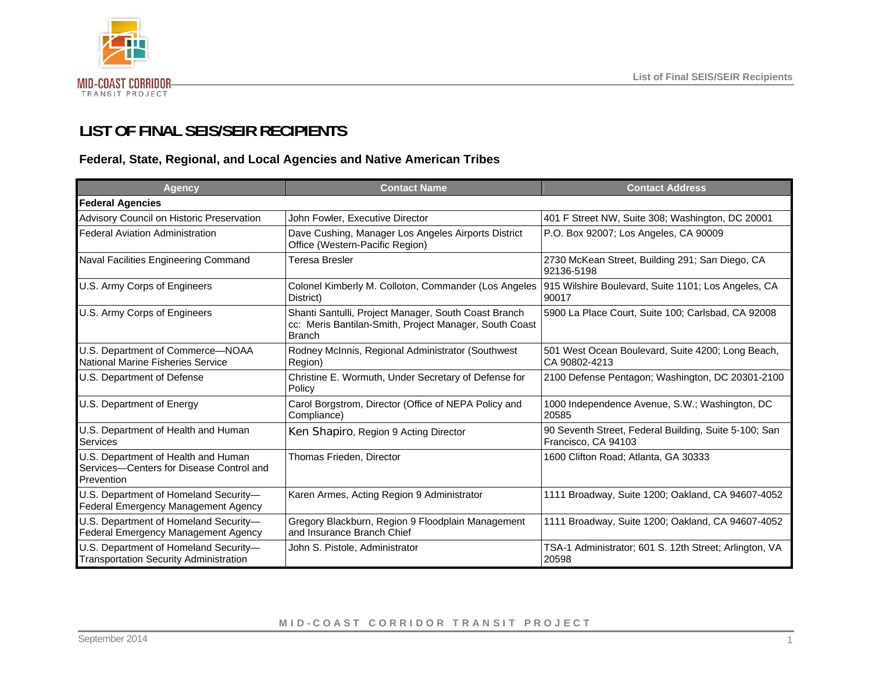

# **LIST OF FINAL SEIS/SEIR RECIPIENTS**

## **Federal, State, Regional, and Local Agencies and Native American Tribes**

| Agency                                                                                        | <b>Contact Name</b>                                                                                                             | <b>Contact Address</b>                                                       |
|-----------------------------------------------------------------------------------------------|---------------------------------------------------------------------------------------------------------------------------------|------------------------------------------------------------------------------|
| <b>Federal Agencies</b>                                                                       |                                                                                                                                 |                                                                              |
| Advisory Council on Historic Preservation                                                     | John Fowler, Executive Director                                                                                                 | 401 F Street NW, Suite 308; Washington, DC 20001                             |
| <b>Federal Aviation Administration</b>                                                        | Dave Cushing, Manager Los Angeles Airports District<br>Office (Western-Pacific Region)                                          | P.O. Box 92007; Los Angeles, CA 90009                                        |
| Naval Facilities Engineering Command                                                          | Teresa Bresler                                                                                                                  | 2730 McKean Street, Building 291; San Diego, CA<br>92136-5198                |
| U.S. Army Corps of Engineers                                                                  | Colonel Kimberly M. Colloton, Commander (Los Angeles<br>District)                                                               | 915 Wilshire Boulevard, Suite 1101; Los Angeles, CA<br>90017                 |
| U.S. Army Corps of Engineers                                                                  | Shanti Santulli, Project Manager, South Coast Branch<br>cc: Meris Bantilan-Smith, Project Manager, South Coast<br><b>Branch</b> | 5900 La Place Court, Suite 100; Carlsbad, CA 92008                           |
| U.S. Department of Commerce-NOAA<br>National Marine Fisheries Service                         | Rodney McInnis, Regional Administrator (Southwest)<br>Region)                                                                   | 501 West Ocean Boulevard, Suite 4200; Long Beach,<br>CA 90802-4213           |
| U.S. Department of Defense                                                                    | Christine E. Wormuth, Under Secretary of Defense for<br>Policy                                                                  | 2100 Defense Pentagon; Washington, DC 20301-2100                             |
| U.S. Department of Energy                                                                     | Carol Borgstrom, Director (Office of NEPA Policy and<br>Compliance)                                                             | 1000 Independence Avenue, S.W.; Washington, DC<br>20585                      |
| U.S. Department of Health and Human<br>Services                                               | Ken Shapiro, Region 9 Acting Director                                                                                           | 90 Seventh Street, Federal Building, Suite 5-100; San<br>Francisco, CA 94103 |
| U.S. Department of Health and Human<br>Services-Centers for Disease Control and<br>Prevention | Thomas Frieden, Director                                                                                                        | 1600 Clifton Road; Atlanta, GA 30333                                         |
| U.S. Department of Homeland Security-<br>Federal Emergency Management Agency                  | Karen Armes, Acting Region 9 Administrator                                                                                      | 1111 Broadway, Suite 1200; Oakland, CA 94607-4052                            |
| U.S. Department of Homeland Security-<br>Federal Emergency Management Agency                  | Gregory Blackburn, Region 9 Floodplain Management<br>and Insurance Branch Chief                                                 | 1111 Broadway, Suite 1200; Oakland, CA 94607-4052                            |
| U.S. Department of Homeland Security-<br><b>Transportation Security Administration</b>        | John S. Pistole, Administrator                                                                                                  | TSA-1 Administrator; 601 S. 12th Street; Arlington, VA<br>20598              |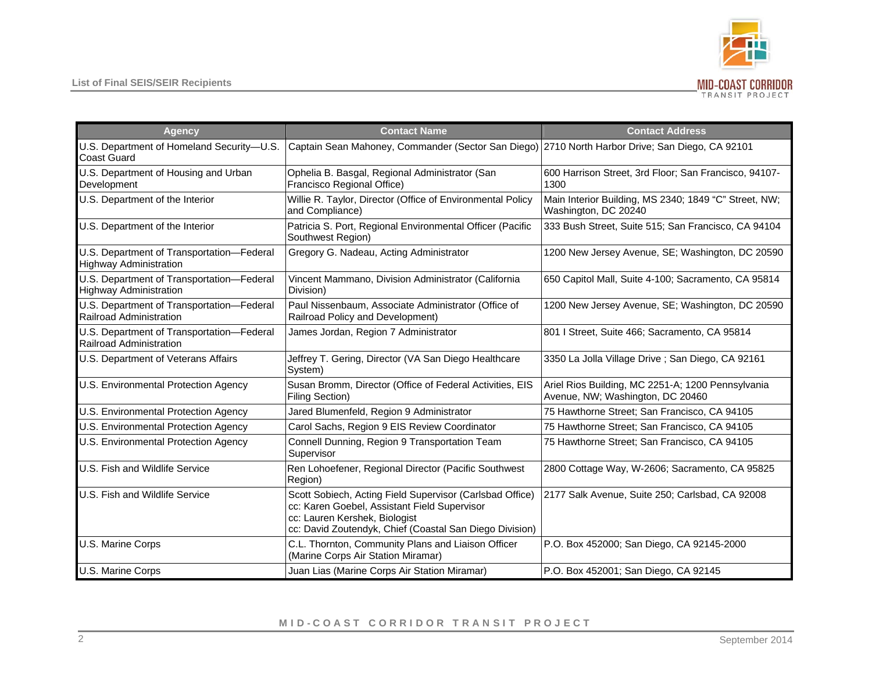| <b>Agency</b>                                                              | <b>Contact Name</b>                                                                                                                                                                                  | <b>Contact Address</b>                                                                |
|----------------------------------------------------------------------------|------------------------------------------------------------------------------------------------------------------------------------------------------------------------------------------------------|---------------------------------------------------------------------------------------|
| U.S. Department of Homeland Security-U.S.<br>Coast Guard                   | Captain Sean Mahoney, Commander (Sector San Diego) 2710 North Harbor Drive; San Diego, CA 92101                                                                                                      |                                                                                       |
| U.S. Department of Housing and Urban<br>Development                        | Ophelia B. Basgal, Regional Administrator (San<br>Francisco Regional Office)                                                                                                                         | 600 Harrison Street, 3rd Floor; San Francisco, 94107-<br>1300                         |
| U.S. Department of the Interior                                            | Willie R. Taylor, Director (Office of Environmental Policy<br>and Compliance)                                                                                                                        | Main Interior Building, MS 2340; 1849 "C" Street, NW;<br>Washington, DC 20240         |
| U.S. Department of the Interior                                            | Patricia S. Port, Regional Environmental Officer (Pacific<br>Southwest Region)                                                                                                                       | 333 Bush Street, Suite 515; San Francisco, CA 94104                                   |
| U.S. Department of Transportation-Federal<br><b>Highway Administration</b> | Gregory G. Nadeau, Acting Administrator                                                                                                                                                              | 1200 New Jersey Avenue, SE; Washington, DC 20590                                      |
| U.S. Department of Transportation-Federal<br><b>Highway Administration</b> | Vincent Mammano, Division Administrator (California<br>Division)                                                                                                                                     | 650 Capitol Mall, Suite 4-100; Sacramento, CA 95814                                   |
| U.S. Department of Transportation-Federal<br>Railroad Administration       | Paul Nissenbaum, Associate Administrator (Office of<br>Railroad Policy and Development)                                                                                                              | 1200 New Jersey Avenue, SE; Washington, DC 20590                                      |
| U.S. Department of Transportation-Federal<br>Railroad Administration       | James Jordan, Region 7 Administrator                                                                                                                                                                 | 801   Street, Suite 466; Sacramento, CA 95814                                         |
| U.S. Department of Veterans Affairs                                        | Jeffrey T. Gering, Director (VA San Diego Healthcare<br>System)                                                                                                                                      | 3350 La Jolla Village Drive; San Diego, CA 92161                                      |
| U.S. Environmental Protection Agency                                       | Susan Bromm, Director (Office of Federal Activities, EIS<br>Filing Section)                                                                                                                          | Ariel Rios Building, MC 2251-A; 1200 Pennsylvania<br>Avenue, NW; Washington, DC 20460 |
| U.S. Environmental Protection Agency                                       | Jared Blumenfeld, Region 9 Administrator                                                                                                                                                             | 75 Hawthorne Street; San Francisco, CA 94105                                          |
| U.S. Environmental Protection Agency                                       | Carol Sachs, Region 9 EIS Review Coordinator                                                                                                                                                         | 75 Hawthorne Street; San Francisco, CA 94105                                          |
| U.S. Environmental Protection Agency                                       | Connell Dunning, Region 9 Transportation Team<br>Supervisor                                                                                                                                          | 75 Hawthorne Street; San Francisco, CA 94105                                          |
| U.S. Fish and Wildlife Service                                             | Ren Lohoefener, Regional Director (Pacific Southwest<br>Region)                                                                                                                                      | 2800 Cottage Way, W-2606; Sacramento, CA 95825                                        |
| U.S. Fish and Wildlife Service                                             | Scott Sobiech, Acting Field Supervisor (Carlsbad Office)<br>cc: Karen Goebel, Assistant Field Supervisor<br>cc: Lauren Kershek, Biologist<br>cc: David Zoutendyk, Chief (Coastal San Diego Division) | 2177 Salk Avenue, Suite 250; Carlsbad, CA 92008                                       |
| U.S. Marine Corps                                                          | C.L. Thornton, Community Plans and Liaison Officer<br>(Marine Corps Air Station Miramar)                                                                                                             | P.O. Box 452000; San Diego, CA 92145-2000                                             |
| <b>U.S. Marine Corps</b>                                                   | Juan Lias (Marine Corps Air Station Miramar)                                                                                                                                                         | P.O. Box 452001; San Diego, CA 92145                                                  |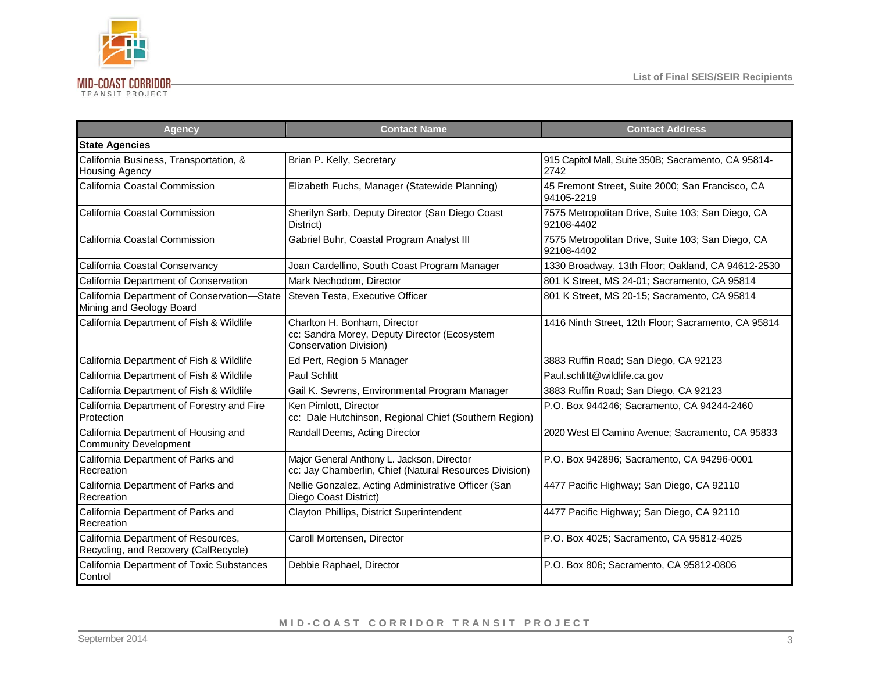

| <b>Agency</b>                                                               | <b>Contact Name</b>                                                                                    | <b>Contact Address</b>                                          |
|-----------------------------------------------------------------------------|--------------------------------------------------------------------------------------------------------|-----------------------------------------------------------------|
| <b>State Agencies</b>                                                       |                                                                                                        |                                                                 |
| California Business, Transportation, &<br><b>Housing Agency</b>             | Brian P. Kelly, Secretary                                                                              | 915 Capitol Mall, Suite 350B; Sacramento, CA 95814-<br>2742     |
| California Coastal Commission                                               | Elizabeth Fuchs, Manager (Statewide Planning)                                                          | 45 Fremont Street, Suite 2000; San Francisco, CA<br>94105-2219  |
| California Coastal Commission                                               | Sherilyn Sarb, Deputy Director (San Diego Coast<br>District)                                           | 7575 Metropolitan Drive, Suite 103; San Diego, CA<br>92108-4402 |
| California Coastal Commission                                               | Gabriel Buhr, Coastal Program Analyst III                                                              | 7575 Metropolitan Drive, Suite 103; San Diego, CA<br>92108-4402 |
| California Coastal Conservancy                                              | Joan Cardellino, South Coast Program Manager                                                           | 1330 Broadway, 13th Floor; Oakland, CA 94612-2530               |
| California Department of Conservation                                       | Mark Nechodom, Director                                                                                | 801 K Street, MS 24-01; Sacramento, CA 95814                    |
| California Department of Conservation-State<br>Mining and Geology Board     | Steven Testa, Executive Officer                                                                        | 801 K Street, MS 20-15; Sacramento, CA 95814                    |
| California Department of Fish & Wildlife                                    | Charlton H. Bonham, Director<br>cc: Sandra Morey, Deputy Director (Ecosystem<br>Conservation Division) | 1416 Ninth Street, 12th Floor; Sacramento, CA 95814             |
| California Department of Fish & Wildlife                                    | Ed Pert, Region 5 Manager                                                                              | 3883 Ruffin Road; San Diego, CA 92123                           |
| California Department of Fish & Wildlife                                    | Paul Schlitt                                                                                           | Paul.schlitt@wildlife.ca.gov                                    |
| California Department of Fish & Wildlife                                    | Gail K. Sevrens, Environmental Program Manager                                                         | 3883 Ruffin Road; San Diego, CA 92123                           |
| California Department of Forestry and Fire<br>Protection                    | Ken Pimlott, Director<br>cc: Dale Hutchinson, Regional Chief (Southern Region)                         | P.O. Box 944246; Sacramento, CA 94244-2460                      |
| California Department of Housing and<br><b>Community Development</b>        | Randall Deems, Acting Director                                                                         | 2020 West El Camino Avenue; Sacramento, CA 95833                |
| California Department of Parks and<br>Recreation                            | Major General Anthony L. Jackson, Director<br>cc: Jay Chamberlin, Chief (Natural Resources Division)   | P.O. Box 942896; Sacramento, CA 94296-0001                      |
| California Department of Parks and<br>Recreation                            | Nellie Gonzalez, Acting Administrative Officer (San<br>Diego Coast District)                           | 4477 Pacific Highway; San Diego, CA 92110                       |
| California Department of Parks and<br>Recreation                            | Clayton Phillips, District Superintendent                                                              | 4477 Pacific Highway; San Diego, CA 92110                       |
| California Department of Resources,<br>Recycling, and Recovery (CalRecycle) | Caroll Mortensen, Director                                                                             | P.O. Box 4025; Sacramento, CA 95812-4025                        |
| California Department of Toxic Substances<br>Control                        | Debbie Raphael, Director                                                                               | P.O. Box 806; Sacramento, CA 95812-0806                         |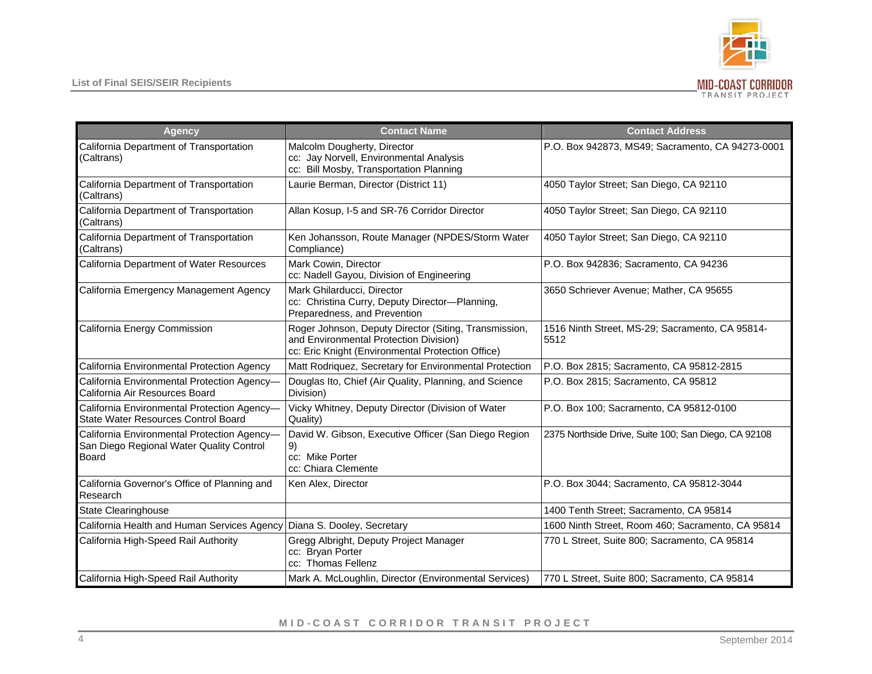

| <b>Agency</b>                                                                                           | <b>Contact Name</b>                                                                                                                                  | <b>Contact Address</b>                                  |
|---------------------------------------------------------------------------------------------------------|------------------------------------------------------------------------------------------------------------------------------------------------------|---------------------------------------------------------|
| California Department of Transportation<br>(Caltrans)                                                   | Malcolm Dougherty, Director<br>cc: Jay Norvell, Environmental Analysis<br>cc: Bill Mosby, Transportation Planning                                    | P.O. Box 942873, MS49; Sacramento, CA 94273-0001        |
| California Department of Transportation<br>(Caltrans)                                                   | Laurie Berman, Director (District 11)                                                                                                                | 4050 Taylor Street; San Diego, CA 92110                 |
| California Department of Transportation<br>(Caltrans)                                                   | Allan Kosup, I-5 and SR-76 Corridor Director                                                                                                         | 4050 Taylor Street; San Diego, CA 92110                 |
| California Department of Transportation<br>(Caltrans)                                                   | Ken Johansson, Route Manager (NPDES/Storm Water<br>Compliance)                                                                                       | 4050 Taylor Street; San Diego, CA 92110                 |
| California Department of Water Resources                                                                | Mark Cowin, Director<br>cc: Nadell Gayou, Division of Engineering                                                                                    | P.O. Box 942836; Sacramento, CA 94236                   |
| California Emergency Management Agency                                                                  | Mark Ghilarducci, Director<br>cc: Christina Curry, Deputy Director-Planning,<br>Preparedness, and Prevention                                         | 3650 Schriever Avenue; Mather, CA 95655                 |
| California Energy Commission                                                                            | Roger Johnson, Deputy Director (Siting, Transmission,<br>and Environmental Protection Division)<br>cc: Eric Knight (Environmental Protection Office) | 1516 Ninth Street, MS-29; Sacramento, CA 95814-<br>5512 |
| California Environmental Protection Agency                                                              | Matt Rodriquez, Secretary for Environmental Protection                                                                                               | P.O. Box 2815; Sacramento, CA 95812-2815                |
| California Environmental Protection Agency-<br>California Air Resources Board                           | Douglas Ito, Chief (Air Quality, Planning, and Science<br>Division)                                                                                  | P.O. Box 2815; Sacramento, CA 95812                     |
| California Environmental Protection Agency-<br>State Water Resources Control Board                      | Vicky Whitney, Deputy Director (Division of Water<br>Quality)                                                                                        | P.O. Box 100; Sacramento, CA 95812-0100                 |
| California Environmental Protection Agency-<br>San Diego Regional Water Quality Control<br><b>Board</b> | David W. Gibson, Executive Officer (San Diego Region<br>9)<br>cc: Mike Porter<br>cc: Chiara Clemente                                                 | 2375 Northside Drive, Suite 100; San Diego, CA 92108    |
| California Governor's Office of Planning and<br>Research                                                | Ken Alex, Director                                                                                                                                   | P.O. Box 3044; Sacramento, CA 95812-3044                |
| <b>State Clearinghouse</b>                                                                              |                                                                                                                                                      | 1400 Tenth Street; Sacramento, CA 95814                 |
| California Health and Human Services Agency Diana S. Dooley, Secretary                                  |                                                                                                                                                      | 1600 Ninth Street, Room 460; Sacramento, CA 95814       |
| California High-Speed Rail Authority                                                                    | Gregg Albright, Deputy Project Manager<br>cc: Bryan Porter<br>cc: Thomas Fellenz                                                                     | 770 L Street, Suite 800; Sacramento, CA 95814           |
| California High-Speed Rail Authority                                                                    | Mark A. McLoughlin, Director (Environmental Services)                                                                                                | 770 L Street, Suite 800; Sacramento, CA 95814           |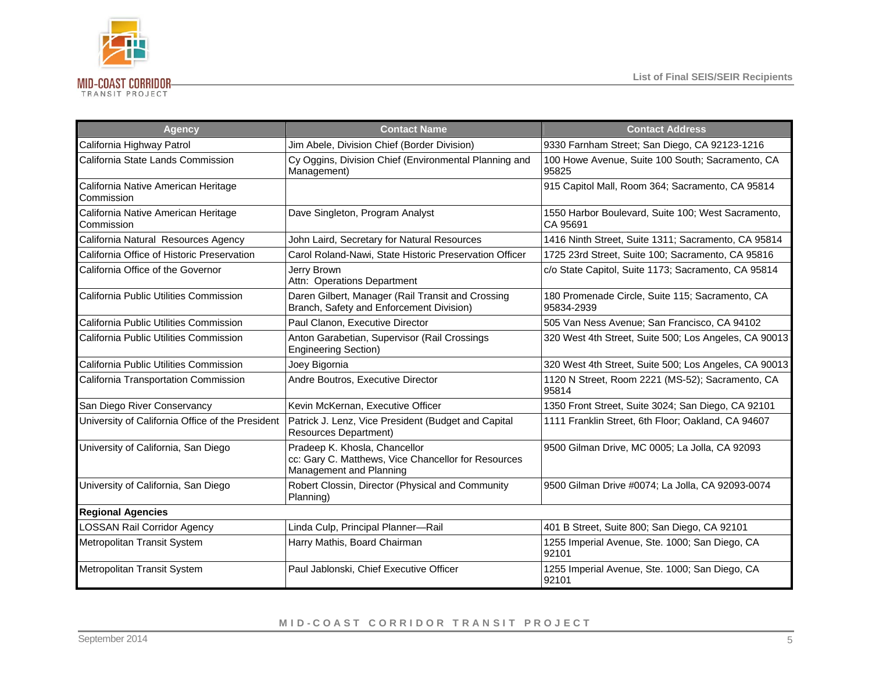



| <b>Agency</b>                                     | <b>Contact Name</b>                                                                                             | <b>Contact Address</b>                                         |
|---------------------------------------------------|-----------------------------------------------------------------------------------------------------------------|----------------------------------------------------------------|
| California Highway Patrol                         | Jim Abele, Division Chief (Border Division)                                                                     | 9330 Farnham Street; San Diego, CA 92123-1216                  |
| California State Lands Commission                 | Cy Oggins, Division Chief (Environmental Planning and<br>Management)                                            | 100 Howe Avenue, Suite 100 South; Sacramento, CA<br>95825      |
| California Native American Heritage<br>Commission |                                                                                                                 | 915 Capitol Mall, Room 364; Sacramento, CA 95814               |
| California Native American Heritage<br>Commission | Dave Singleton, Program Analyst                                                                                 | 1550 Harbor Boulevard, Suite 100; West Sacramento,<br>CA 95691 |
| California Natural Resources Agency               | John Laird, Secretary for Natural Resources                                                                     | 1416 Ninth Street, Suite 1311; Sacramento, CA 95814            |
| California Office of Historic Preservation        | Carol Roland-Nawi, State Historic Preservation Officer                                                          | 1725 23rd Street, Suite 100; Sacramento, CA 95816              |
| California Office of the Governor                 | Jerry Brown<br>Attn: Operations Department                                                                      | c/o State Capitol, Suite 1173; Sacramento, CA 95814            |
| California Public Utilities Commission            | Daren Gilbert, Manager (Rail Transit and Crossing<br>Branch, Safety and Enforcement Division)                   | 180 Promenade Circle, Suite 115; Sacramento, CA<br>95834-2939  |
| California Public Utilities Commission            | Paul Clanon, Executive Director                                                                                 | 505 Van Ness Avenue; San Francisco, CA 94102                   |
| California Public Utilities Commission            | Anton Garabetian, Supervisor (Rail Crossings<br><b>Engineering Section)</b>                                     | 320 West 4th Street, Suite 500; Los Angeles, CA 90013          |
| California Public Utilities Commission            | Joey Bigornia                                                                                                   | 320 West 4th Street, Suite 500; Los Angeles, CA 90013          |
| California Transportation Commission              | Andre Boutros, Executive Director                                                                               | 1120 N Street, Room 2221 (MS-52); Sacramento, CA<br>95814      |
| San Diego River Conservancy                       | Kevin McKernan, Executive Officer                                                                               | 1350 Front Street, Suite 3024; San Diego, CA 92101             |
| University of California Office of the President  | Patrick J. Lenz, Vice President (Budget and Capital<br><b>Resources Department)</b>                             | 1111 Franklin Street, 6th Floor; Oakland, CA 94607             |
| University of California, San Diego               | Pradeep K. Khosla, Chancellor<br>cc: Gary C. Matthews, Vice Chancellor for Resources<br>Management and Planning | 9500 Gilman Drive, MC 0005; La Jolla, CA 92093                 |
| University of California, San Diego               | Robert Clossin, Director (Physical and Community<br>Planning)                                                   | 9500 Gilman Drive #0074; La Jolla, CA 92093-0074               |
| <b>Regional Agencies</b>                          |                                                                                                                 |                                                                |
| <b>LOSSAN Rail Corridor Agency</b>                | Linda Culp, Principal Planner-Rail                                                                              | 401 B Street, Suite 800; San Diego, CA 92101                   |
| Metropolitan Transit System                       | Harry Mathis, Board Chairman                                                                                    | 1255 Imperial Avenue, Ste. 1000; San Diego, CA<br>92101        |
| Metropolitan Transit System                       | Paul Jablonski, Chief Executive Officer                                                                         | 1255 Imperial Avenue, Ste. 1000; San Diego, CA<br>92101        |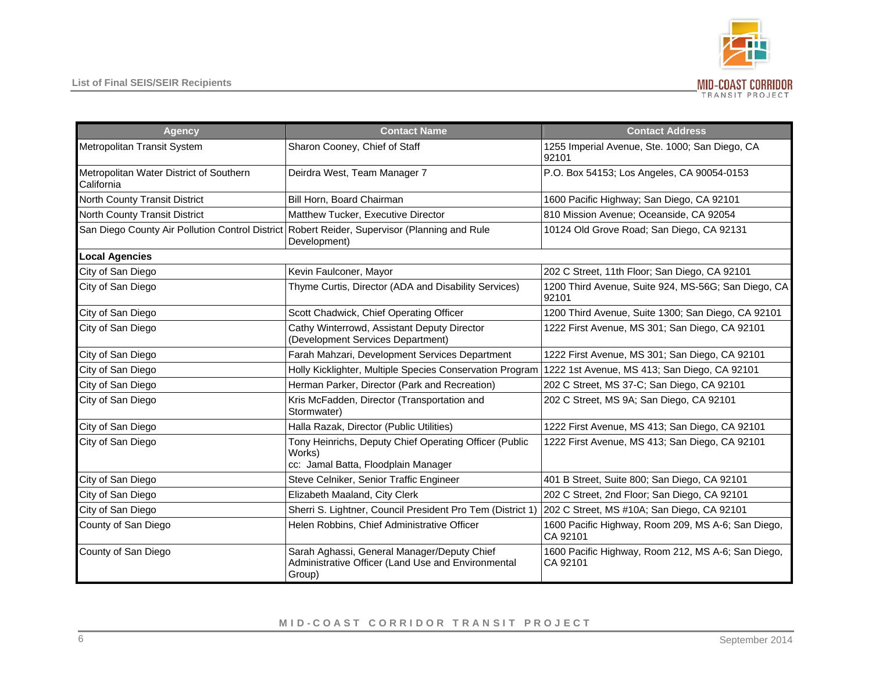| <b>Agency</b>                                         | <b>Contact Name</b>                                                                                          | <b>Contact Address</b>                                         |
|-------------------------------------------------------|--------------------------------------------------------------------------------------------------------------|----------------------------------------------------------------|
| Metropolitan Transit System                           | Sharon Cooney, Chief of Staff                                                                                | 1255 Imperial Avenue, Ste. 1000; San Diego, CA<br>92101        |
| Metropolitan Water District of Southern<br>California | Deirdra West, Team Manager 7                                                                                 | P.O. Box 54153; Los Angeles, CA 90054-0153                     |
| North County Transit District                         | Bill Horn, Board Chairman                                                                                    | 1600 Pacific Highway; San Diego, CA 92101                      |
| North County Transit District                         | Matthew Tucker, Executive Director                                                                           | 810 Mission Avenue; Oceanside, CA 92054                        |
|                                                       | San Diego County Air Pollution Control District Robert Reider, Supervisor (Planning and Rule<br>Development) | 10124 Old Grove Road; San Diego, CA 92131                      |
| <b>Local Agencies</b>                                 |                                                                                                              |                                                                |
| City of San Diego                                     | Kevin Faulconer, Mayor                                                                                       | 202 C Street, 11th Floor; San Diego, CA 92101                  |
| City of San Diego                                     | Thyme Curtis, Director (ADA and Disability Services)                                                         | 1200 Third Avenue, Suite 924, MS-56G; San Diego, CA<br>92101   |
| City of San Diego                                     | Scott Chadwick, Chief Operating Officer                                                                      | 1200 Third Avenue, Suite 1300; San Diego, CA 92101             |
| City of San Diego                                     | Cathy Winterrowd, Assistant Deputy Director<br>(Development Services Department)                             | 1222 First Avenue, MS 301; San Diego, CA 92101                 |
| City of San Diego                                     | Farah Mahzari, Development Services Department                                                               | 1222 First Avenue, MS 301; San Diego, CA 92101                 |
| City of San Diego                                     | Holly Kicklighter, Multiple Species Conservation Program                                                     | 1222 1st Avenue, MS 413; San Diego, CA 92101                   |
| City of San Diego                                     | Herman Parker, Director (Park and Recreation)                                                                | 202 C Street, MS 37-C; San Diego, CA 92101                     |
| City of San Diego                                     | Kris McFadden, Director (Transportation and<br>Stormwater)                                                   | 202 C Street, MS 9A; San Diego, CA 92101                       |
| City of San Diego                                     | Halla Razak, Director (Public Utilities)                                                                     | 1222 First Avenue, MS 413; San Diego, CA 92101                 |
| City of San Diego                                     | Tony Heinrichs, Deputy Chief Operating Officer (Public<br>Works)<br>cc: Jamal Batta, Floodplain Manager      | 1222 First Avenue, MS 413; San Diego, CA 92101                 |
| City of San Diego                                     | Steve Celniker, Senior Traffic Engineer                                                                      | 401 B Street, Suite 800; San Diego, CA 92101                   |
| City of San Diego                                     | Elizabeth Maaland, City Clerk                                                                                | 202 C Street, 2nd Floor; San Diego, CA 92101                   |
| City of San Diego                                     | Sherri S. Lightner, Council President Pro Tem (District 1)                                                   | 202 C Street, MS #10A; San Diego, CA 92101                     |
| County of San Diego                                   | Helen Robbins, Chief Administrative Officer                                                                  | 1600 Pacific Highway, Room 209, MS A-6; San Diego,<br>CA 92101 |
| County of San Diego                                   | Sarah Aghassi, General Manager/Deputy Chief<br>Administrative Officer (Land Use and Environmental<br>Group)  | 1600 Pacific Highway, Room 212, MS A-6; San Diego,<br>CA 92101 |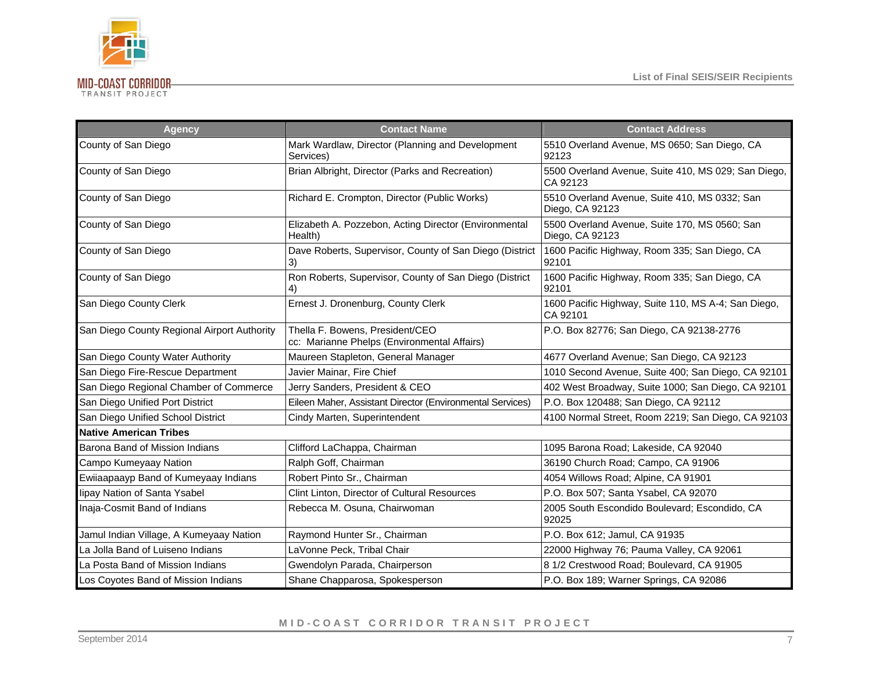



| <b>Agency</b>                               | <b>Contact Name</b>                                                            | <b>Contact Address</b>                                           |
|---------------------------------------------|--------------------------------------------------------------------------------|------------------------------------------------------------------|
| County of San Diego                         | Mark Wardlaw, Director (Planning and Development<br>Services)                  | 5510 Overland Avenue, MS 0650; San Diego, CA<br>92123            |
| County of San Diego                         | Brian Albright, Director (Parks and Recreation)                                | 5500 Overland Avenue, Suite 410, MS 029; San Diego,<br>CA 92123  |
| County of San Diego                         | Richard E. Crompton, Director (Public Works)                                   | 5510 Overland Avenue, Suite 410, MS 0332; San<br>Diego, CA 92123 |
| County of San Diego                         | Elizabeth A. Pozzebon, Acting Director (Environmental<br>Health)               | 5500 Overland Avenue, Suite 170, MS 0560; San<br>Diego, CA 92123 |
| County of San Diego                         | Dave Roberts, Supervisor, County of San Diego (District                        | 1600 Pacific Highway, Room 335; San Diego, CA<br>92101           |
| County of San Diego                         | Ron Roberts, Supervisor, County of San Diego (District                         | 1600 Pacific Highway, Room 335; San Diego, CA<br>92101           |
| San Diego County Clerk                      | Ernest J. Dronenburg, County Clerk                                             | 1600 Pacific Highway, Suite 110, MS A-4; San Diego,<br>CA 92101  |
| San Diego County Regional Airport Authority | Thella F. Bowens, President/CEO<br>cc: Marianne Phelps (Environmental Affairs) | P.O. Box 82776; San Diego, CA 92138-2776                         |
| San Diego County Water Authority            | Maureen Stapleton, General Manager                                             | 4677 Overland Avenue; San Diego, CA 92123                        |
| San Diego Fire-Rescue Department            | Javier Mainar, Fire Chief                                                      | 1010 Second Avenue, Suite 400; San Diego, CA 92101               |
| San Diego Regional Chamber of Commerce      | Jerry Sanders, President & CEO                                                 | 402 West Broadway, Suite 1000; San Diego, CA 92101               |
| San Diego Unified Port District             | Eileen Maher, Assistant Director (Environmental Services)                      | P.O. Box 120488; San Diego, CA 92112                             |
| San Diego Unified School District           | Cindy Marten, Superintendent                                                   | 4100 Normal Street, Room 2219; San Diego, CA 92103               |
| <b>Native American Tribes</b>               |                                                                                |                                                                  |
| Barona Band of Mission Indians              | Clifford LaChappa, Chairman                                                    | 1095 Barona Road; Lakeside, CA 92040                             |
| Campo Kumeyaay Nation                       | Ralph Goff, Chairman                                                           | 36190 Church Road; Campo, CA 91906                               |
| Ewiiaapaayp Band of Kumeyaay Indians        | Robert Pinto Sr., Chairman                                                     | 4054 Willows Road; Alpine, CA 91901                              |
| lipay Nation of Santa Ysabel                | Clint Linton, Director of Cultural Resources                                   | P.O. Box 507; Santa Ysabel, CA 92070                             |
| Inaja-Cosmit Band of Indians                | Rebecca M. Osuna, Chairwoman                                                   | 2005 South Escondido Boulevard; Escondido, CA<br>92025           |
| Jamul Indian Village, A Kumeyaay Nation     | Raymond Hunter Sr., Chairman                                                   | P.O. Box 612; Jamul, CA 91935                                    |
| La Jolla Band of Luiseno Indians            | LaVonne Peck, Tribal Chair                                                     | 22000 Highway 76; Pauma Valley, CA 92061                         |
| La Posta Band of Mission Indians            | Gwendolyn Parada, Chairperson                                                  | 8 1/2 Crestwood Road; Boulevard, CA 91905                        |
| Los Coyotes Band of Mission Indians         | Shane Chapparosa, Spokesperson                                                 | P.O. Box 189; Warner Springs, CA 92086                           |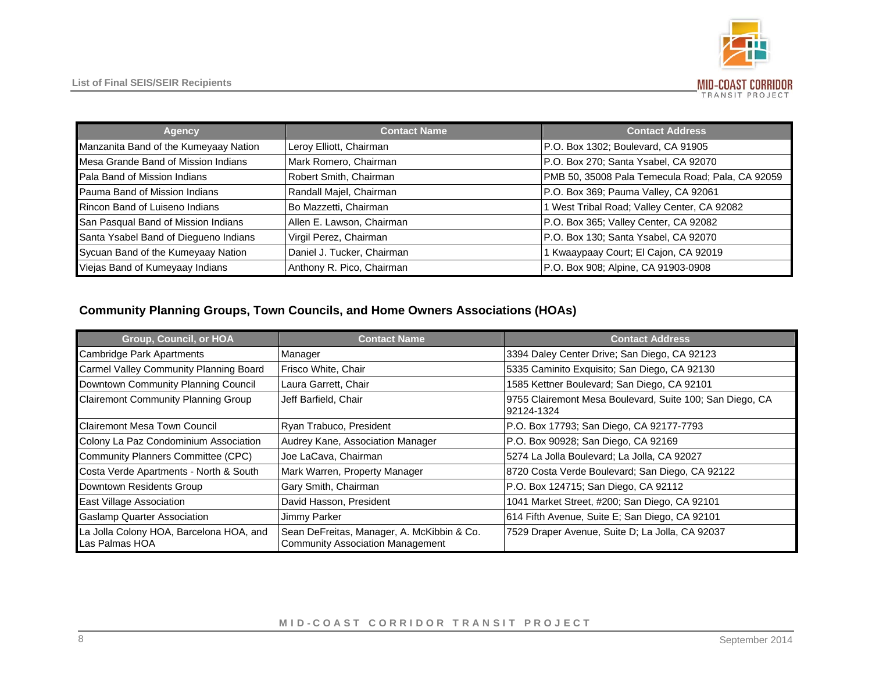| <b>Agency</b>                         | <b>Contact Name</b>        | <b>Contact Address</b>                           |
|---------------------------------------|----------------------------|--------------------------------------------------|
| Manzanita Band of the Kumeyaay Nation | Leroy Elliott, Chairman    | P.O. Box 1302; Boulevard, CA 91905               |
| Mesa Grande Band of Mission Indians   | Mark Romero, Chairman      | P.O. Box 270; Santa Ysabel, CA 92070             |
| Pala Band of Mission Indians          | Robert Smith, Chairman     | PMB 50, 35008 Pala Temecula Road; Pala, CA 92059 |
| Pauma Band of Mission Indians         | Randall Majel, Chairman    | P.O. Box 369; Pauma Valley, CA 92061             |
| Rincon Band of Luiseno Indians        | Bo Mazzetti, Chairman      | 1 West Tribal Road; Valley Center, CA 92082      |
| San Pasqual Band of Mission Indians   | Allen E. Lawson, Chairman  | P.O. Box 365; Valley Center, CA 92082            |
| Santa Ysabel Band of Diegueno Indians | Virgil Perez, Chairman     | P.O. Box 130; Santa Ysabel, CA 92070             |
| Sycuan Band of the Kumeyaay Nation    | Daniel J. Tucker, Chairman | Kwaaypaay Court; El Cajon, CA 92019              |
| Viejas Band of Kumeyaay Indians       | Anthony R. Pico, Chairman  | P.O. Box 908; Alpine, CA 91903-0908              |

## **Community Planning Groups, Town Councils, and Home Owners Associations (HOAs)**

| Group, Council, or HOA                                    | <b>Contact Name</b>                                                                   | <b>Contact Address</b>                                                 |
|-----------------------------------------------------------|---------------------------------------------------------------------------------------|------------------------------------------------------------------------|
| <b>Cambridge Park Apartments</b>                          | Manager                                                                               | 3394 Daley Center Drive; San Diego, CA 92123                           |
| Carmel Valley Community Planning Board                    | Frisco White, Chair                                                                   | 5335 Caminito Exquisito; San Diego, CA 92130                           |
| Downtown Community Planning Council                       | Laura Garrett, Chair                                                                  | 1585 Kettner Boulevard; San Diego, CA 92101                            |
| <b>Clairemont Community Planning Group</b>                | Jeff Barfield, Chair                                                                  | 9755 Clairemont Mesa Boulevard, Suite 100; San Diego, CA<br>92124-1324 |
| <b>Clairemont Mesa Town Council</b>                       | Ryan Trabuco, President                                                               | P.O. Box 17793; San Diego, CA 92177-7793                               |
| Colony La Paz Condominium Association                     | Audrey Kane, Association Manager                                                      | P.O. Box 90928; San Diego, CA 92169                                    |
| Community Planners Committee (CPC)                        | Joe LaCava, Chairman                                                                  | 5274 La Jolla Boulevard; La Jolla, CA 92027                            |
| Costa Verde Apartments - North & South                    | Mark Warren, Property Manager                                                         | 8720 Costa Verde Boulevard; San Diego, CA 92122                        |
| Downtown Residents Group                                  | Gary Smith, Chairman                                                                  | P.O. Box 124715; San Diego, CA 92112                                   |
| <b>East Village Association</b>                           | David Hasson, President                                                               | 1041 Market Street, #200; San Diego, CA 92101                          |
| <b>Gaslamp Quarter Association</b>                        | Jimmy Parker                                                                          | 614 Fifth Avenue, Suite E; San Diego, CA 92101                         |
| La Jolla Colony HOA, Barcelona HOA, and<br>Las Palmas HOA | Sean DeFreitas, Manager, A. McKibbin & Co.<br><b>Community Association Management</b> | 7529 Draper Avenue, Suite D; La Jolla, CA 92037                        |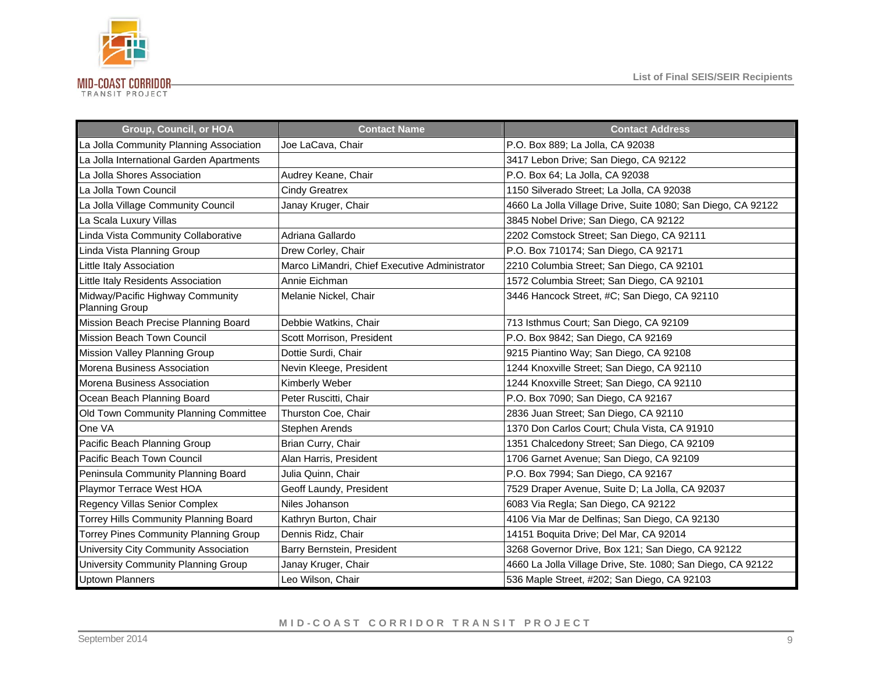



| <b>Group, Council, or HOA</b>                             | <b>Contact Name</b>                           | <b>Contact Address</b>                                       |
|-----------------------------------------------------------|-----------------------------------------------|--------------------------------------------------------------|
| La Jolla Community Planning Association                   | Joe LaCava, Chair                             | P.O. Box 889; La Jolla, CA 92038                             |
| La Jolla International Garden Apartments                  |                                               | 3417 Lebon Drive; San Diego, CA 92122                        |
| La Jolla Shores Association                               | Audrey Keane, Chair                           | P.O. Box 64; La Jolla, CA 92038                              |
| La Jolla Town Council                                     | <b>Cindy Greatrex</b>                         | 1150 Silverado Street; La Jolla, CA 92038                    |
| La Jolla Village Community Council                        | Janay Kruger, Chair                           | 4660 La Jolla Village Drive, Suite 1080; San Diego, CA 92122 |
| La Scala Luxury Villas                                    |                                               | 3845 Nobel Drive; San Diego, CA 92122                        |
| Linda Vista Community Collaborative                       | Adriana Gallardo                              | 2202 Comstock Street; San Diego, CA 92111                    |
| Linda Vista Planning Group                                | Drew Corley, Chair                            | P.O. Box 710174; San Diego, CA 92171                         |
| Little Italy Association                                  | Marco LiMandri, Chief Executive Administrator | 2210 Columbia Street; San Diego, CA 92101                    |
| Little Italy Residents Association                        | Annie Eichman                                 | 1572 Columbia Street; San Diego, CA 92101                    |
| Midway/Pacific Highway Community<br><b>Planning Group</b> | Melanie Nickel, Chair                         | 3446 Hancock Street, #C; San Diego, CA 92110                 |
| Mission Beach Precise Planning Board                      | Debbie Watkins, Chair                         | 713 Isthmus Court; San Diego, CA 92109                       |
| Mission Beach Town Council                                | Scott Morrison, President                     | P.O. Box 9842; San Diego, CA 92169                           |
| Mission Valley Planning Group                             | Dottie Surdi, Chair                           | 9215 Piantino Way; San Diego, CA 92108                       |
| Morena Business Association                               | Nevin Kleege, President                       | 1244 Knoxville Street; San Diego, CA 92110                   |
| Morena Business Association                               | Kimberly Weber                                | 1244 Knoxville Street; San Diego, CA 92110                   |
| Ocean Beach Planning Board                                | Peter Ruscitti, Chair                         | P.O. Box 7090; San Diego, CA 92167                           |
| Old Town Community Planning Committee                     | Thurston Coe, Chair                           | 2836 Juan Street; San Diego, CA 92110                        |
| One VA                                                    | Stephen Arends                                | 1370 Don Carlos Court; Chula Vista, CA 91910                 |
| Pacific Beach Planning Group                              | Brian Curry, Chair                            | 1351 Chalcedony Street; San Diego, CA 92109                  |
| Pacific Beach Town Council                                | Alan Harris, President                        | 1706 Garnet Avenue; San Diego, CA 92109                      |
| Peninsula Community Planning Board                        | Julia Quinn, Chair                            | P.O. Box 7994; San Diego, CA 92167                           |
| Playmor Terrace West HOA                                  | Geoff Laundy, President                       | 7529 Draper Avenue, Suite D; La Jolla, CA 92037              |
| Regency Villas Senior Complex                             | Niles Johanson                                | 6083 Via Regla; San Diego, CA 92122                          |
| Torrey Hills Community Planning Board                     | Kathryn Burton, Chair                         | 4106 Via Mar de Delfinas; San Diego, CA 92130                |
| <b>Torrey Pines Community Planning Group</b>              | Dennis Ridz, Chair                            | 14151 Boquita Drive; Del Mar, CA 92014                       |
| University City Community Association                     | Barry Bernstein, President                    | 3268 Governor Drive, Box 121; San Diego, CA 92122            |
| University Community Planning Group                       | Janay Kruger, Chair                           | 4660 La Jolla Village Drive, Ste. 1080; San Diego, CA 92122  |
| <b>Uptown Planners</b>                                    | Leo Wilson, Chair                             | 536 Maple Street, #202; San Diego, CA 92103                  |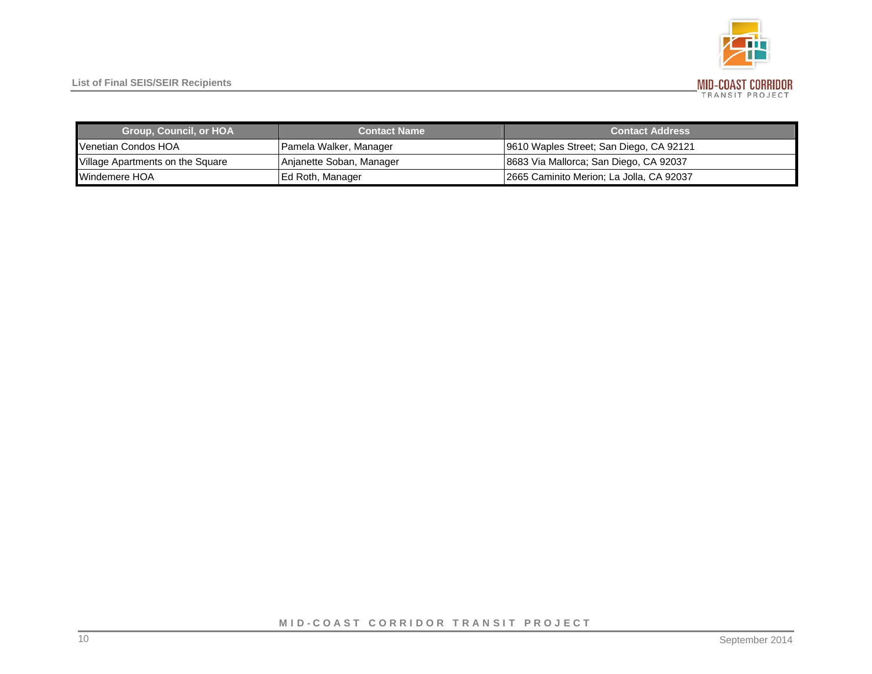

| <b>Group, Council, or HOA</b>    | <b>Contact Name</b>      | <b>Contact Address</b>                   |
|----------------------------------|--------------------------|------------------------------------------|
| Venetian Condos HOA              | Pamela Walker, Manager   | 9610 Waples Street; San Diego, CA 92121  |
| Village Apartments on the Square | Anjanette Soban, Manager | 8683 Via Mallorca; San Diego, CA 92037   |
| Windemere HOA                    | Ed Roth, Manager         | 2665 Caminito Merion; La Jolla, CA 92037 |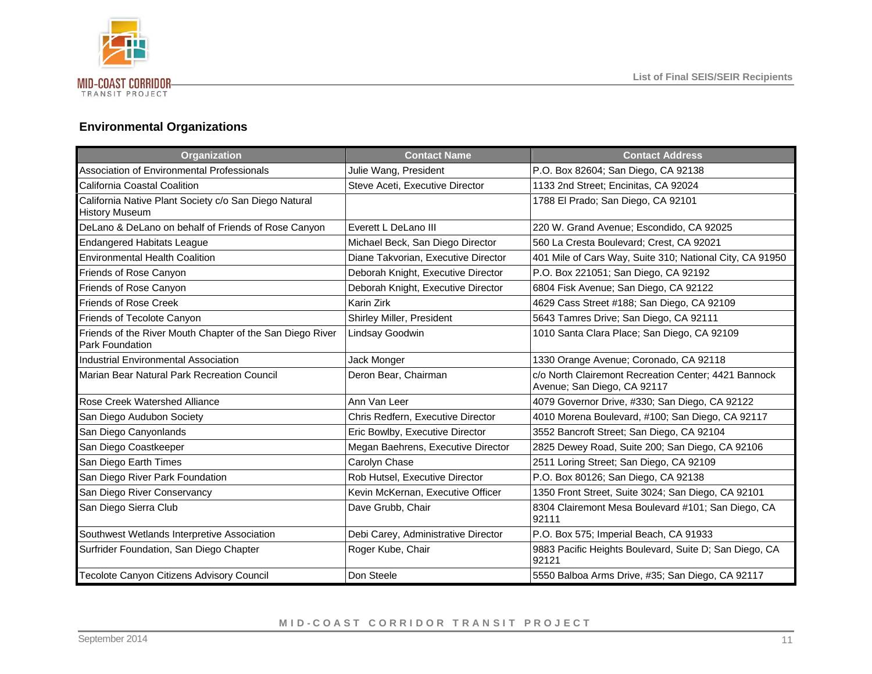

# **Environmental Organizations**

| <b>Organization</b>                                                            | <b>Contact Name</b>                 | <b>Contact Address</b>                                                              |
|--------------------------------------------------------------------------------|-------------------------------------|-------------------------------------------------------------------------------------|
| Association of Environmental Professionals                                     | Julie Wang, President               | P.O. Box 82604; San Diego, CA 92138                                                 |
| California Coastal Coalition                                                   | Steve Aceti, Executive Director     | 1133 2nd Street; Encinitas, CA 92024                                                |
| California Native Plant Society c/o San Diego Natural<br><b>History Museum</b> |                                     | 1788 El Prado; San Diego, CA 92101                                                  |
| DeLano & DeLano on behalf of Friends of Rose Canyon                            | Everett L DeLano III                | 220 W. Grand Avenue; Escondido, CA 92025                                            |
| <b>Endangered Habitats League</b>                                              | Michael Beck, San Diego Director    | 560 La Cresta Boulevard; Crest, CA 92021                                            |
| <b>Environmental Health Coalition</b>                                          | Diane Takvorian, Executive Director | 401 Mile of Cars Way, Suite 310; National City, CA 91950                            |
| Friends of Rose Canyon                                                         | Deborah Knight, Executive Director  | P.O. Box 221051; San Diego, CA 92192                                                |
| Friends of Rose Canyon                                                         | Deborah Knight, Executive Director  | 6804 Fisk Avenue; San Diego, CA 92122                                               |
| <b>Friends of Rose Creek</b>                                                   | <b>Karin Zirk</b>                   | 4629 Cass Street #188; San Diego, CA 92109                                          |
| Friends of Tecolote Canyon                                                     | Shirley Miller, President           | 5643 Tamres Drive; San Diego, CA 92111                                              |
| Friends of the River Mouth Chapter of the San Diego River<br>Park Foundation   | Lindsay Goodwin                     | 1010 Santa Clara Place; San Diego, CA 92109                                         |
| Industrial Environmental Association                                           | Jack Monger                         | 1330 Orange Avenue; Coronado, CA 92118                                              |
| Marian Bear Natural Park Recreation Council                                    | Deron Bear, Chairman                | c/o North Clairemont Recreation Center; 4421 Bannock<br>Avenue; San Diego, CA 92117 |
| Rose Creek Watershed Alliance                                                  | Ann Van Leer                        | 4079 Governor Drive, #330; San Diego, CA 92122                                      |
| San Diego Audubon Society                                                      | Chris Redfern, Executive Director   | 4010 Morena Boulevard, #100; San Diego, CA 92117                                    |
| San Diego Canyonlands                                                          | Eric Bowlby, Executive Director     | 3552 Bancroft Street; San Diego, CA 92104                                           |
| San Diego Coastkeeper                                                          | Megan Baehrens, Executive Director  | 2825 Dewey Road, Suite 200; San Diego, CA 92106                                     |
| San Diego Earth Times                                                          | Carolyn Chase                       | 2511 Loring Street; San Diego, CA 92109                                             |
| San Diego River Park Foundation                                                | Rob Hutsel, Executive Director      | P.O. Box 80126; San Diego, CA 92138                                                 |
| San Diego River Conservancy                                                    | Kevin McKernan, Executive Officer   | 1350 Front Street, Suite 3024; San Diego, CA 92101                                  |
| San Diego Sierra Club                                                          | Dave Grubb, Chair                   | 8304 Clairemont Mesa Boulevard #101; San Diego, CA<br>92111                         |
| Southwest Wetlands Interpretive Association                                    | Debi Carey, Administrative Director | P.O. Box 575; Imperial Beach, CA 91933                                              |
| Surfrider Foundation, San Diego Chapter                                        | Roger Kube, Chair                   | 9883 Pacific Heights Boulevard, Suite D; San Diego, CA<br>92121                     |
| Tecolote Canyon Citizens Advisory Council                                      | Don Steele                          | 5550 Balboa Arms Drive, #35; San Diego, CA 92117                                    |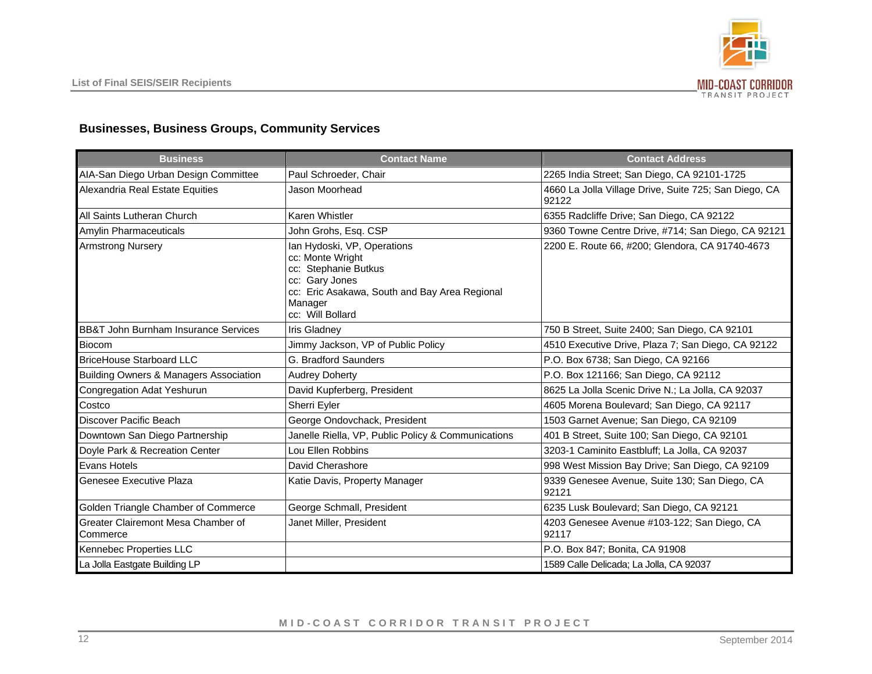## **Businesses, Business Groups, Community Services**

| <b>Business</b>                                   | <b>Contact Name</b>                                                                                                                                                       | <b>Contact Address</b>                                         |
|---------------------------------------------------|---------------------------------------------------------------------------------------------------------------------------------------------------------------------------|----------------------------------------------------------------|
| AIA-San Diego Urban Design Committee              | Paul Schroeder, Chair                                                                                                                                                     | 2265 India Street; San Diego, CA 92101-1725                    |
| Alexandria Real Estate Equities                   | Jason Moorhead                                                                                                                                                            | 4660 La Jolla Village Drive, Suite 725; San Diego, CA<br>92122 |
| All Saints Lutheran Church                        | Karen Whistler                                                                                                                                                            | 6355 Radcliffe Drive; San Diego, CA 92122                      |
| <b>Amylin Pharmaceuticals</b>                     | John Grohs, Esq. CSP                                                                                                                                                      | 9360 Towne Centre Drive, #714; San Diego, CA 92121             |
| <b>Armstrong Nursery</b>                          | Ian Hydoski, VP, Operations<br>cc: Monte Wright<br>cc: Stephanie Butkus<br>cc: Gary Jones<br>cc: Eric Asakawa, South and Bay Area Regional<br>Manager<br>cc: Will Bollard | 2200 E. Route 66, #200; Glendora, CA 91740-4673                |
| <b>BB&amp;T John Burnham Insurance Services</b>   | Iris Gladney                                                                                                                                                              | 750 B Street, Suite 2400; San Diego, CA 92101                  |
| Biocom                                            | Jimmy Jackson, VP of Public Policy                                                                                                                                        | 4510 Executive Drive, Plaza 7; San Diego, CA 92122             |
| <b>BriceHouse Starboard LLC</b>                   | G. Bradford Saunders                                                                                                                                                      | P.O. Box 6738; San Diego, CA 92166                             |
| <b>Building Owners &amp; Managers Association</b> | <b>Audrey Doherty</b>                                                                                                                                                     | P.O. Box 121166; San Diego, CA 92112                           |
| Congregation Adat Yeshurun                        | David Kupferberg, President                                                                                                                                               | 8625 La Jolla Scenic Drive N.; La Jolla, CA 92037              |
| Costco                                            | Sherri Eyler                                                                                                                                                              | 4605 Morena Boulevard; San Diego, CA 92117                     |
| Discover Pacific Beach                            | George Ondovchack, President                                                                                                                                              | 1503 Garnet Avenue; San Diego, CA 92109                        |
| Downtown San Diego Partnership                    | Janelle Riella, VP, Public Policy & Communications                                                                                                                        | 401 B Street, Suite 100; San Diego, CA 92101                   |
| Doyle Park & Recreation Center                    | Lou Ellen Robbins                                                                                                                                                         | 3203-1 Caminito Eastbluff; La Jolla, CA 92037                  |
| Evans Hotels                                      | David Cherashore                                                                                                                                                          | 998 West Mission Bay Drive; San Diego, CA 92109                |
| Genesee Executive Plaza                           | Katie Davis, Property Manager                                                                                                                                             | 9339 Genesee Avenue, Suite 130; San Diego, CA<br>92121         |
| Golden Triangle Chamber of Commerce               | George Schmall, President                                                                                                                                                 | 6235 Lusk Boulevard; San Diego, CA 92121                       |
| Greater Clairemont Mesa Chamber of<br>Commerce    | Janet Miller, President                                                                                                                                                   | 4203 Genesee Avenue #103-122; San Diego, CA<br>92117           |
| Kennebec Properties LLC                           |                                                                                                                                                                           | P.O. Box 847; Bonita, CA 91908                                 |
| La Jolla Eastgate Building LP                     |                                                                                                                                                                           | 1589 Calle Delicada; La Jolla, CA 92037                        |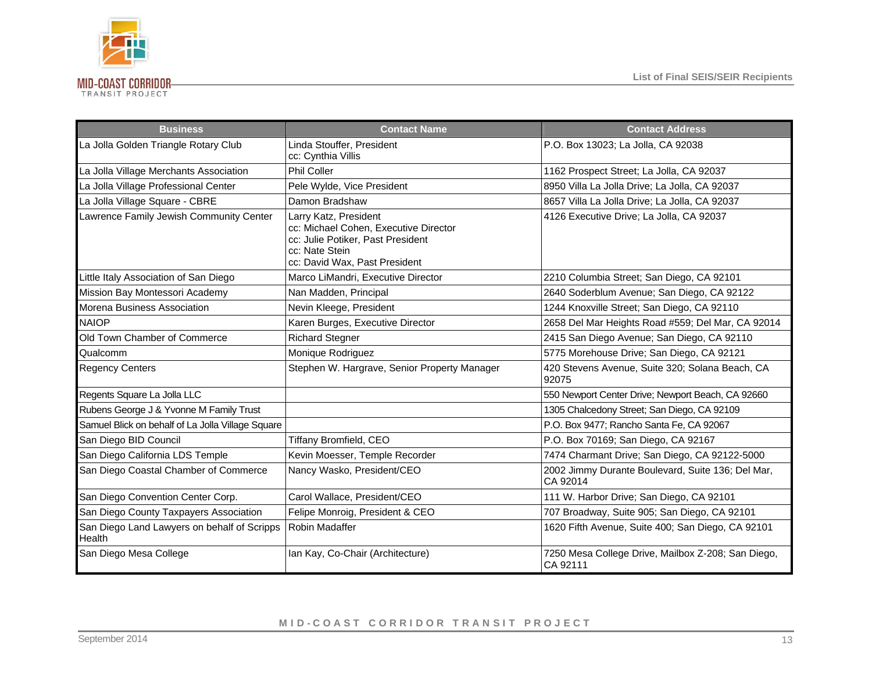



| <b>Business</b>                                       | <b>Contact Name</b>                                                                                                                                    | <b>Contact Address</b>                                         |
|-------------------------------------------------------|--------------------------------------------------------------------------------------------------------------------------------------------------------|----------------------------------------------------------------|
| La Jolla Golden Triangle Rotary Club                  | Linda Stouffer, President<br>cc: Cynthia Villis                                                                                                        | P.O. Box 13023; La Jolla, CA 92038                             |
| La Jolla Village Merchants Association                | <b>Phil Coller</b>                                                                                                                                     | 1162 Prospect Street; La Jolla, CA 92037                       |
| La Jolla Village Professional Center                  | Pele Wylde, Vice President                                                                                                                             | 8950 Villa La Jolla Drive; La Jolla, CA 92037                  |
| La Jolla Village Square - CBRE                        | Damon Bradshaw                                                                                                                                         | 8657 Villa La Jolla Drive; La Jolla, CA 92037                  |
| Lawrence Family Jewish Community Center               | Larry Katz, President<br>cc: Michael Cohen, Executive Director<br>cc: Julie Potiker, Past President<br>cc: Nate Stein<br>cc: David Wax, Past President | 4126 Executive Drive; La Jolla, CA 92037                       |
| Little Italy Association of San Diego                 | Marco LiMandri, Executive Director                                                                                                                     | 2210 Columbia Street; San Diego, CA 92101                      |
| Mission Bay Montessori Academy                        | Nan Madden, Principal                                                                                                                                  | 2640 Soderblum Avenue; San Diego, CA 92122                     |
| Morena Business Association                           | Nevin Kleege, President                                                                                                                                | 1244 Knoxville Street; San Diego, CA 92110                     |
| <b>NAIOP</b>                                          | Karen Burges, Executive Director                                                                                                                       | 2658 Del Mar Heights Road #559; Del Mar, CA 92014              |
| Old Town Chamber of Commerce                          | <b>Richard Stegner</b>                                                                                                                                 | 2415 San Diego Avenue; San Diego, CA 92110                     |
| Qualcomm                                              | Monique Rodriguez                                                                                                                                      | 5775 Morehouse Drive; San Diego, CA 92121                      |
| <b>Regency Centers</b>                                | Stephen W. Hargrave, Senior Property Manager                                                                                                           | 420 Stevens Avenue, Suite 320; Solana Beach, CA<br>92075       |
| Regents Square La Jolla LLC                           |                                                                                                                                                        | 550 Newport Center Drive; Newport Beach, CA 92660              |
| Rubens George J & Yvonne M Family Trust               |                                                                                                                                                        | 1305 Chalcedony Street; San Diego, CA 92109                    |
| Samuel Blick on behalf of La Jolla Village Square     |                                                                                                                                                        | P.O. Box 9477; Rancho Santa Fe, CA 92067                       |
| San Diego BID Council                                 | Tiffany Bromfield, CEO                                                                                                                                 | P.O. Box 70169; San Diego, CA 92167                            |
| San Diego California LDS Temple                       | Kevin Moesser, Temple Recorder                                                                                                                         | 7474 Charmant Drive; San Diego, CA 92122-5000                  |
| San Diego Coastal Chamber of Commerce                 | Nancy Wasko, President/CEO                                                                                                                             | 2002 Jimmy Durante Boulevard, Suite 136; Del Mar,<br>CA 92014  |
| San Diego Convention Center Corp.                     | Carol Wallace, President/CEO                                                                                                                           | 111 W. Harbor Drive; San Diego, CA 92101                       |
| San Diego County Taxpayers Association                | Felipe Monroig, President & CEO                                                                                                                        | 707 Broadway, Suite 905; San Diego, CA 92101                   |
| San Diego Land Lawyers on behalf of Scripps<br>Health | Robin Madaffer                                                                                                                                         | 1620 Fifth Avenue, Suite 400; San Diego, CA 92101              |
| San Diego Mesa College                                | Ian Kay, Co-Chair (Architecture)                                                                                                                       | 7250 Mesa College Drive, Mailbox Z-208; San Diego,<br>CA 92111 |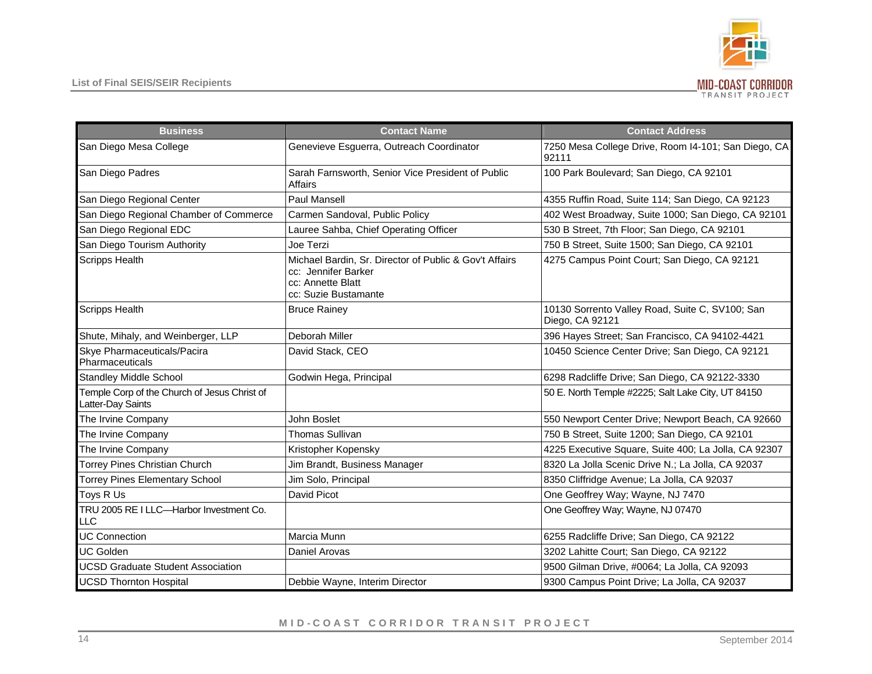| <b>Business</b>                                                   | <b>Contact Name</b>                                                                                                        | <b>Contact Address</b>                                             |
|-------------------------------------------------------------------|----------------------------------------------------------------------------------------------------------------------------|--------------------------------------------------------------------|
| San Diego Mesa College                                            | Genevieve Esguerra, Outreach Coordinator                                                                                   | 7250 Mesa College Drive, Room I4-101; San Diego, CA<br>92111       |
| San Diego Padres                                                  | Sarah Farnsworth, Senior Vice President of Public<br>Affairs                                                               | 100 Park Boulevard; San Diego, CA 92101                            |
| San Diego Regional Center                                         | <b>Paul Mansell</b>                                                                                                        | 4355 Ruffin Road, Suite 114; San Diego, CA 92123                   |
| San Diego Regional Chamber of Commerce                            | Carmen Sandoval, Public Policy                                                                                             | 402 West Broadway, Suite 1000; San Diego, CA 92101                 |
| San Diego Regional EDC                                            | Lauree Sahba, Chief Operating Officer                                                                                      | 530 B Street, 7th Floor; San Diego, CA 92101                       |
| San Diego Tourism Authority                                       | Joe Terzi                                                                                                                  | 750 B Street, Suite 1500; San Diego, CA 92101                      |
| <b>Scripps Health</b>                                             | Michael Bardin, Sr. Director of Public & Gov't Affairs<br>cc: Jennifer Barker<br>cc: Annette Blatt<br>cc: Suzie Bustamante | 4275 Campus Point Court; San Diego, CA 92121                       |
| <b>Scripps Health</b>                                             | <b>Bruce Rainey</b>                                                                                                        | 10130 Sorrento Valley Road, Suite C, SV100; San<br>Diego, CA 92121 |
| Shute, Mihaly, and Weinberger, LLP                                | Deborah Miller                                                                                                             | 396 Hayes Street; San Francisco, CA 94102-4421                     |
| Skye Pharmaceuticals/Pacira<br>Pharmaceuticals                    | David Stack, CEO                                                                                                           | 10450 Science Center Drive; San Diego, CA 92121                    |
| <b>Standley Middle School</b>                                     | Godwin Hega, Principal                                                                                                     | 6298 Radcliffe Drive; San Diego, CA 92122-3330                     |
| Temple Corp of the Church of Jesus Christ of<br>Latter-Day Saints |                                                                                                                            | 50 E. North Temple #2225; Salt Lake City, UT 84150                 |
| The Irvine Company                                                | John Boslet                                                                                                                | 550 Newport Center Drive; Newport Beach, CA 92660                  |
| The Irvine Company                                                | <b>Thomas Sullivan</b>                                                                                                     | 750 B Street, Suite 1200; San Diego, CA 92101                      |
| The Irvine Company                                                | Kristopher Kopensky                                                                                                        | 4225 Executive Square, Suite 400; La Jolla, CA 92307               |
| <b>Torrey Pines Christian Church</b>                              | Jim Brandt, Business Manager                                                                                               | 8320 La Jolla Scenic Drive N.; La Jolla, CA 92037                  |
| <b>Torrey Pines Elementary School</b>                             | Jim Solo, Principal                                                                                                        | 8350 Cliffridge Avenue; La Jolla, CA 92037                         |
| Toys R Us                                                         | David Picot                                                                                                                | One Geoffrey Way; Wayne, NJ 7470                                   |
| TRU 2005 RE I LLC-Harbor Investment Co.<br><b>LLC</b>             |                                                                                                                            | One Geoffrey Way; Wayne, NJ 07470                                  |
| <b>UC Connection</b>                                              | Marcia Munn                                                                                                                | 6255 Radcliffe Drive; San Diego, CA 92122                          |
| <b>UC Golden</b>                                                  | Daniel Arovas                                                                                                              | 3202 Lahitte Court; San Diego, CA 92122                            |
| <b>UCSD Graduate Student Association</b>                          |                                                                                                                            | 9500 Gilman Drive, #0064; La Jolla, CA 92093                       |
| <b>UCSD Thornton Hospital</b>                                     | Debbie Wayne, Interim Director                                                                                             | 9300 Campus Point Drive; La Jolla, CA 92037                        |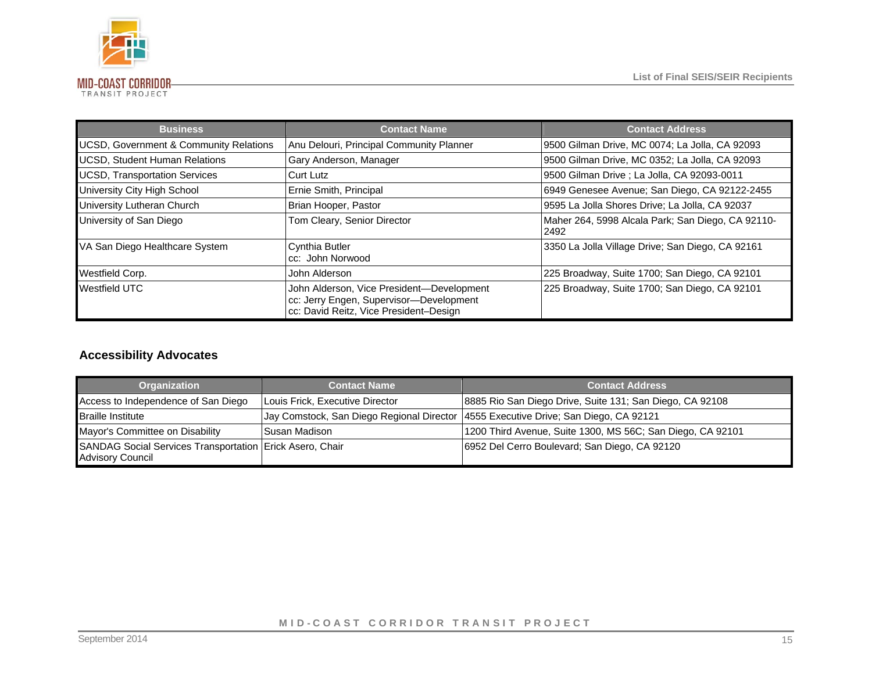



| <b>Business</b>                                   | <b>Contact Name</b>                                                                                                            | <b>Contact Address</b>                                    |
|---------------------------------------------------|--------------------------------------------------------------------------------------------------------------------------------|-----------------------------------------------------------|
| <b>UCSD, Government &amp; Community Relations</b> | Anu Delouri, Principal Community Planner                                                                                       | 9500 Gilman Drive, MC 0074; La Jolla, CA 92093            |
| <b>UCSD, Student Human Relations</b>              | Gary Anderson, Manager                                                                                                         | 9500 Gilman Drive, MC 0352; La Jolla, CA 92093            |
| <b>UCSD, Transportation Services</b>              | <b>Curt Lutz</b>                                                                                                               | 9500 Gilman Drive ; La Jolla, CA 92093-0011               |
| University City High School                       | Ernie Smith, Principal                                                                                                         | 6949 Genesee Avenue; San Diego, CA 92122-2455             |
| University Lutheran Church                        | Brian Hooper, Pastor                                                                                                           | 9595 La Jolla Shores Drive; La Jolla, CA 92037            |
| University of San Diego                           | Tom Cleary, Senior Director                                                                                                    | Maher 264, 5998 Alcala Park; San Diego, CA 92110-<br>2492 |
| VA San Diego Healthcare System                    | Cynthia Butler<br>cc: John Norwood                                                                                             | 3350 La Jolla Village Drive; San Diego, CA 92161          |
| Westfield Corp.                                   | John Alderson                                                                                                                  | 225 Broadway, Suite 1700; San Diego, CA 92101             |
| Westfield UTC                                     | John Alderson, Vice President-Development<br>cc: Jerry Engen, Supervisor-Development<br>cc: David Reitz, Vice President-Design | 225 Broadway, Suite 1700; San Diego, CA 92101             |

## **Accessibility Advocates**

| <b>Organization</b>                                                                 | <b>Contact Name</b>                                                                   | <b>Contact Address</b>                                     |
|-------------------------------------------------------------------------------------|---------------------------------------------------------------------------------------|------------------------------------------------------------|
| Access to Independence of San Diego                                                 | Louis Frick, Executive Director                                                       | 8885 Rio San Diego Drive, Suite 131; San Diego, CA 92108   |
| <b>Braille Institute</b>                                                            | Jay Comstock, San Diego Regional Director   4555 Executive Drive; San Diego, CA 92121 |                                                            |
| Mayor's Committee on Disability                                                     | Susan Madison                                                                         | 1200 Third Avenue, Suite 1300, MS 56C; San Diego, CA 92101 |
| SANDAG Social Services Transportation Erick Asero, Chair<br><b>Advisory Council</b> |                                                                                       | 6952 Del Cerro Boulevard; San Diego, CA 92120              |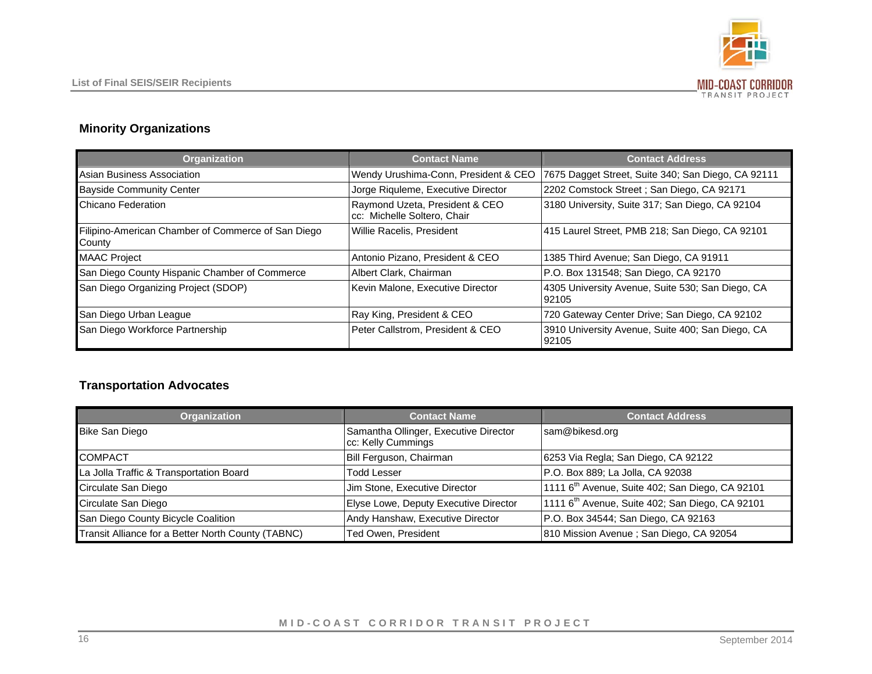

## **Minority Organizations**

| <b>Organization</b>                                          | <b>Contact Name</b>                                           | <b>Contact Address</b>                                    |
|--------------------------------------------------------------|---------------------------------------------------------------|-----------------------------------------------------------|
| Asian Business Association                                   | Wendy Urushima-Conn, President & CEO                          | 7675 Dagget Street, Suite 340; San Diego, CA 92111        |
| <b>Bayside Community Center</b>                              | Jorge Riquleme, Executive Director                            | 2202 Comstock Street; San Diego, CA 92171                 |
| Chicano Federation                                           | Raymond Uzeta, President & CEO<br>cc: Michelle Soltero, Chair | 3180 University, Suite 317; San Diego, CA 92104           |
| Filipino-American Chamber of Commerce of San Diego<br>County | Willie Racelis, President                                     | 415 Laurel Street, PMB 218; San Diego, CA 92101           |
| <b>MAAC Project</b>                                          | Antonio Pizano, President & CEO                               | 1385 Third Avenue; San Diego, CA 91911                    |
| San Diego County Hispanic Chamber of Commerce                | Albert Clark, Chairman                                        | P.O. Box 131548; San Diego, CA 92170                      |
| San Diego Organizing Project (SDOP)                          | Kevin Malone, Executive Director                              | 4305 University Avenue, Suite 530; San Diego, CA<br>92105 |
| San Diego Urban League                                       | Ray King, President & CEO                                     | 720 Gateway Center Drive; San Diego, CA 92102             |
| San Diego Workforce Partnership                              | Peter Callstrom, President & CEO                              | 3910 University Avenue, Suite 400; San Diego, CA<br>92105 |

## **Transportation Advocates**

| Organization                                       | <b>Contact Name</b>                                         | <b>Contact Address</b>                                      |
|----------------------------------------------------|-------------------------------------------------------------|-------------------------------------------------------------|
| <b>Bike San Diego</b>                              | Samantha Ollinger, Executive Director<br>cc: Kelly Cummings | sam@bikesd.org                                              |
| <b>COMPACT</b>                                     | Bill Ferguson, Chairman                                     | 6253 Via Regla; San Diego, CA 92122                         |
| La Jolla Traffic & Transportation Board            | Todd Lesser                                                 | P.O. Box 889; La Jolla, CA 92038                            |
| Circulate San Diego                                | Jim Stone, Executive Director                               | 1111 6 <sup>th</sup> Avenue, Suite 402; San Diego, CA 92101 |
| Circulate San Diego                                | Elyse Lowe, Deputy Executive Director                       | 1111 $6th$ Avenue, Suite 402; San Diego, CA 92101           |
| San Diego County Bicycle Coalition                 | Andy Hanshaw, Executive Director                            | P.O. Box 34544; San Diego, CA 92163                         |
| Transit Alliance for a Better North County (TABNC) | Ted Owen, President                                         | 810 Mission Avenue; San Diego, CA 92054                     |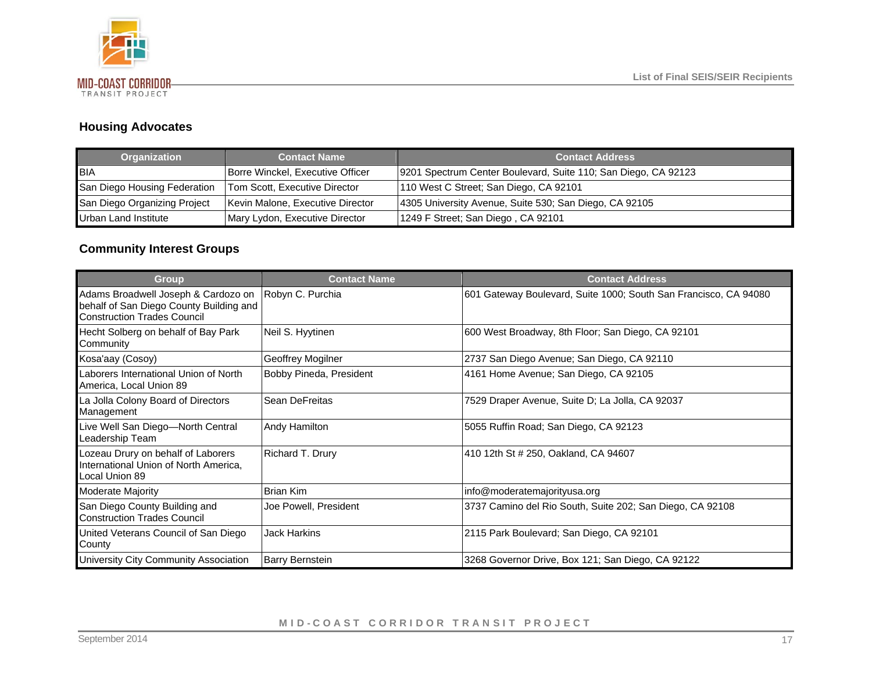

#### **Housing Advocates**

| Organization                 | <b>Contact Name</b>              | <b>Contact Address</b>                                         |
|------------------------------|----------------------------------|----------------------------------------------------------------|
| <b>IBIA</b>                  | Borre Winckel, Executive Officer | 9201 Spectrum Center Boulevard, Suite 110; San Diego, CA 92123 |
| San Diego Housing Federation | Tom Scott, Executive Director    | 110 West C Street; San Diego, CA 92101                         |
| San Diego Organizing Project | Kevin Malone, Executive Director | 4305 University Avenue, Suite 530; San Diego, CA 92105         |
| Urban Land Institute         | Mary Lydon, Executive Director   | 1249 F Street; San Diego, CA 92101                             |

# **Community Interest Groups**

| <b>Group</b>                                                                                                         | <b>Contact Name</b>     | <b>Contact Address</b>                                           |
|----------------------------------------------------------------------------------------------------------------------|-------------------------|------------------------------------------------------------------|
| Adams Broadwell Joseph & Cardozo on<br>behalf of San Diego County Building and<br><b>Construction Trades Council</b> | Robyn C. Purchia        | 601 Gateway Boulevard, Suite 1000; South San Francisco, CA 94080 |
| Hecht Solberg on behalf of Bay Park<br>Community                                                                     | Neil S. Hyytinen        | 600 West Broadway, 8th Floor; San Diego, CA 92101                |
| Kosa'aay (Cosoy)                                                                                                     | Geoffrey Mogilner       | 2737 San Diego Avenue; San Diego, CA 92110                       |
| Laborers International Union of North<br>America, Local Union 89                                                     | Bobby Pineda, President | 4161 Home Avenue; San Diego, CA 92105                            |
| La Jolla Colony Board of Directors<br>Management                                                                     | Sean DeFreitas          | 7529 Draper Avenue, Suite D; La Jolla, CA 92037                  |
| Live Well San Diego-North Central<br>Leadership Team                                                                 | Andy Hamilton           | 5055 Ruffin Road; San Diego, CA 92123                            |
| Lozeau Drury on behalf of Laborers<br>International Union of North America,<br>Local Union 89                        | Richard T. Drury        | 410 12th St # 250, Oakland, CA 94607                             |
| <b>Moderate Majority</b>                                                                                             | <b>Brian Kim</b>        | info@moderatemajorityusa.org                                     |
| San Diego County Building and<br><b>Construction Trades Council</b>                                                  | Joe Powell, President   | 3737 Camino del Rio South, Suite 202; San Diego, CA 92108        |
| United Veterans Council of San Diego<br>County                                                                       | <b>Jack Harkins</b>     | 2115 Park Boulevard; San Diego, CA 92101                         |
| University City Community Association                                                                                | <b>Barry Bernstein</b>  | 3268 Governor Drive, Box 121; San Diego, CA 92122                |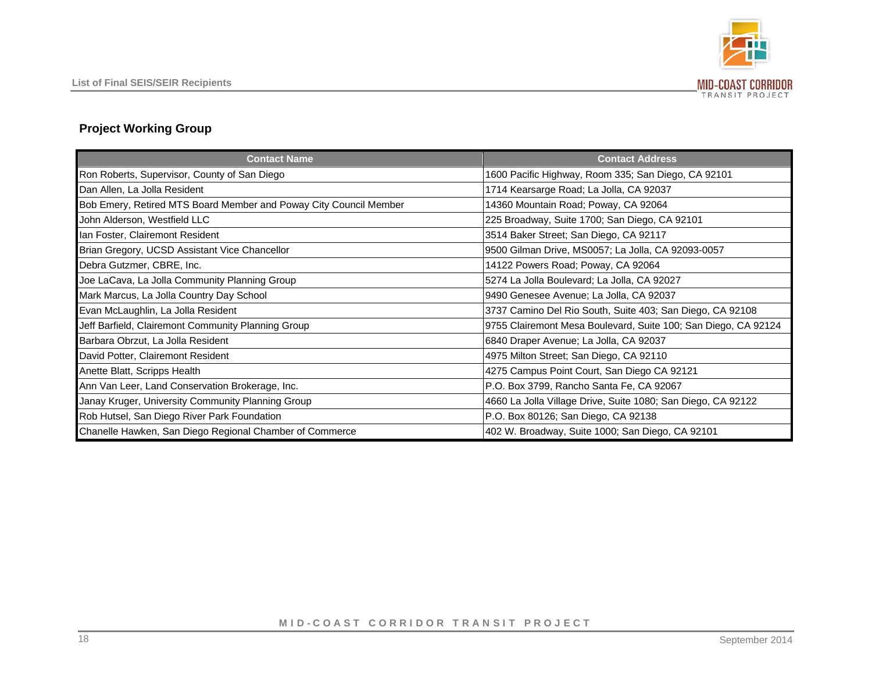

# **Project Working Group**

| <b>Contact Name</b>                                               | <b>Contact Address</b>                                         |
|-------------------------------------------------------------------|----------------------------------------------------------------|
| Ron Roberts, Supervisor, County of San Diego                      | 1600 Pacific Highway, Room 335; San Diego, CA 92101            |
| Dan Allen, La Jolla Resident                                      | 1714 Kearsarge Road; La Jolla, CA 92037                        |
| Bob Emery, Retired MTS Board Member and Poway City Council Member | 14360 Mountain Road; Poway, CA 92064                           |
| John Alderson, Westfield LLC                                      | 225 Broadway, Suite 1700; San Diego, CA 92101                  |
| Ian Foster, Clairemont Resident                                   | 3514 Baker Street; San Diego, CA 92117                         |
| Brian Gregory, UCSD Assistant Vice Chancellor                     | 9500 Gilman Drive, MS0057; La Jolla, CA 92093-0057             |
| Debra Gutzmer, CBRE, Inc.                                         | 14122 Powers Road; Poway, CA 92064                             |
| Joe LaCava, La Jolla Community Planning Group                     | 5274 La Jolla Boulevard; La Jolla, CA 92027                    |
| Mark Marcus, La Jolla Country Day School                          | 9490 Genesee Avenue; La Jolla, CA 92037                        |
| Evan McLaughlin, La Jolla Resident                                | 3737 Camino Del Rio South, Suite 403; San Diego, CA 92108      |
| Jeff Barfield, Clairemont Community Planning Group                | 9755 Clairemont Mesa Boulevard, Suite 100; San Diego, CA 92124 |
| Barbara Obrzut, La Jolla Resident                                 | 6840 Draper Avenue; La Jolla, CA 92037                         |
| David Potter, Clairemont Resident                                 | 4975 Milton Street; San Diego, CA 92110                        |
| Anette Blatt, Scripps Health                                      | 4275 Campus Point Court, San Diego CA 92121                    |
| Ann Van Leer, Land Conservation Brokerage, Inc.                   | P.O. Box 3799, Rancho Santa Fe, CA 92067                       |
| Janay Kruger, University Community Planning Group                 | 4660 La Jolla Village Drive, Suite 1080; San Diego, CA 92122   |
| Rob Hutsel, San Diego River Park Foundation                       | P.O. Box 80126; San Diego, CA 92138                            |
| Chanelle Hawken, San Diego Regional Chamber of Commerce           | 402 W. Broadway, Suite 1000; San Diego, CA 92101               |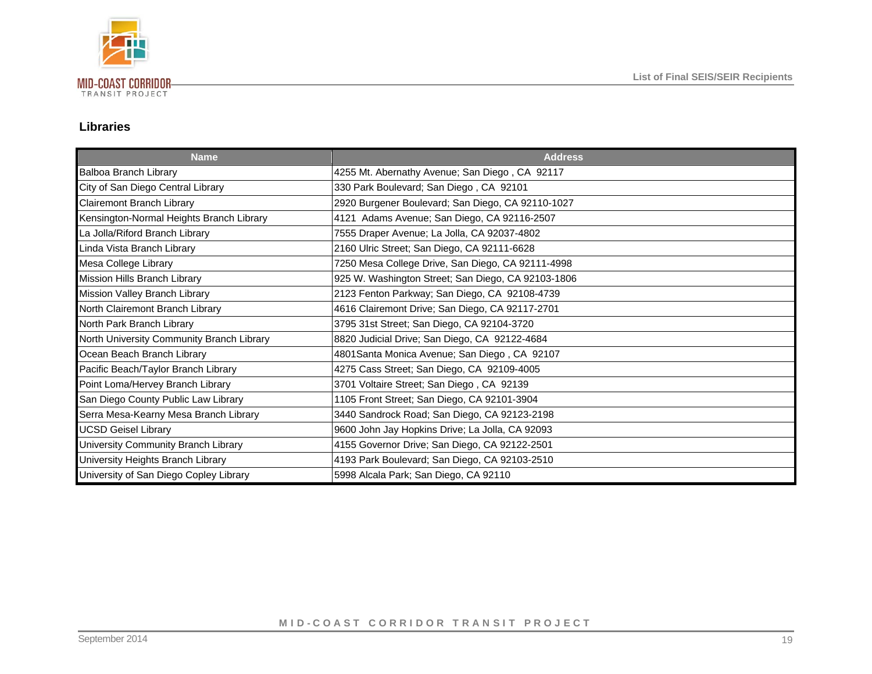

## **Libraries**

| <b>Name</b>                               | <b>Address</b>                                     |
|-------------------------------------------|----------------------------------------------------|
| Balboa Branch Library                     | 4255 Mt. Abernathy Avenue; San Diego, CA 92117     |
| City of San Diego Central Library         | 330 Park Boulevard; San Diego, CA 92101            |
| <b>Clairemont Branch Library</b>          | 2920 Burgener Boulevard; San Diego, CA 92110-1027  |
| Kensington-Normal Heights Branch Library  | 4121 Adams Avenue; San Diego, CA 92116-2507        |
| La Jolla/Riford Branch Library            | 7555 Draper Avenue; La Jolla, CA 92037-4802        |
| Linda Vista Branch Library                | 2160 Ulric Street; San Diego, CA 92111-6628        |
| Mesa College Library                      | 7250 Mesa College Drive, San Diego, CA 92111-4998  |
| Mission Hills Branch Library              | 925 W. Washington Street; San Diego, CA 92103-1806 |
| Mission Valley Branch Library             | 2123 Fenton Parkway; San Diego, CA 92108-4739      |
| North Clairemont Branch Library           | 4616 Clairemont Drive; San Diego, CA 92117-2701    |
| North Park Branch Library                 | 3795 31st Street; San Diego, CA 92104-3720         |
| North University Community Branch Library | 8820 Judicial Drive; San Diego, CA 92122-4684      |
| Ocean Beach Branch Library                | 4801 Santa Monica Avenue; San Diego, CA 92107      |
| Pacific Beach/Taylor Branch Library       | 4275 Cass Street; San Diego, CA 92109-4005         |
| Point Loma/Hervey Branch Library          | 3701 Voltaire Street; San Diego, CA 92139          |
| San Diego County Public Law Library       | 1105 Front Street; San Diego, CA 92101-3904        |
| Serra Mesa-Kearny Mesa Branch Library     | 3440 Sandrock Road; San Diego, CA 92123-2198       |
| <b>UCSD Geisel Library</b>                | 9600 John Jay Hopkins Drive; La Jolla, CA 92093    |
| University Community Branch Library       | 4155 Governor Drive; San Diego, CA 92122-2501      |
| University Heights Branch Library         | 4193 Park Boulevard; San Diego, CA 92103-2510      |
| University of San Diego Copley Library    | 5998 Alcala Park; San Diego, CA 92110              |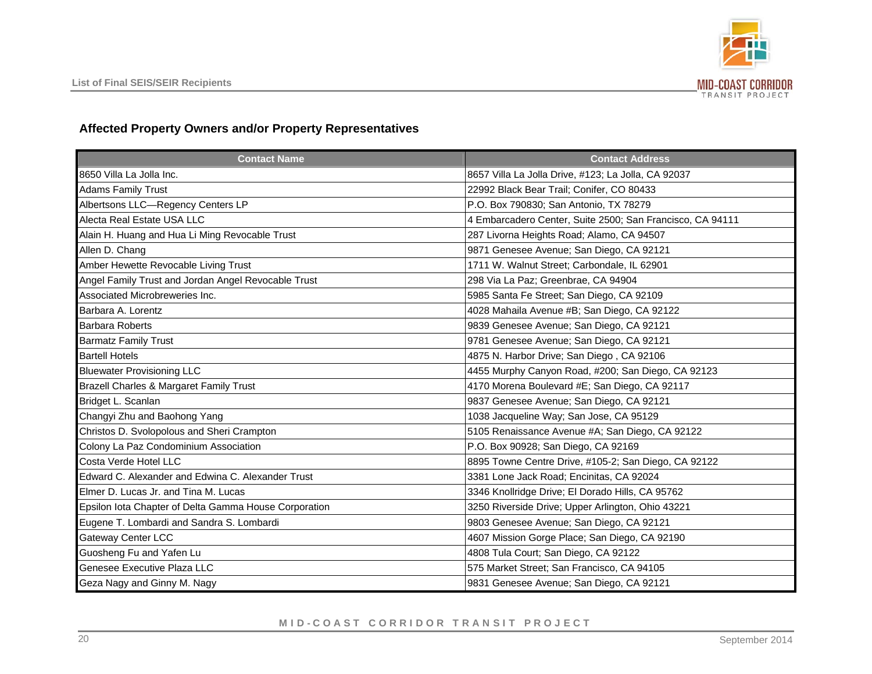# **Affected Property Owners and/or Property Representatives**

| <b>Contact Name</b>                                   | <b>Contact Address</b>                                    |
|-------------------------------------------------------|-----------------------------------------------------------|
| 8650 Villa La Jolla Inc.                              | 8657 Villa La Jolla Drive, #123; La Jolla, CA 92037       |
| Adams Family Trust                                    | 22992 Black Bear Trail; Conifer, CO 80433                 |
| Albertsons LLC-Regency Centers LP                     | P.O. Box 790830; San Antonio, TX 78279                    |
| Alecta Real Estate USA LLC                            | 4 Embarcadero Center, Suite 2500; San Francisco, CA 94111 |
| Alain H. Huang and Hua Li Ming Revocable Trust        | 287 Livorna Heights Road; Alamo, CA 94507                 |
| Allen D. Chang                                        | 9871 Genesee Avenue; San Diego, CA 92121                  |
| Amber Hewette Revocable Living Trust                  | 1711 W. Walnut Street; Carbondale, IL 62901               |
| Angel Family Trust and Jordan Angel Revocable Trust   | 298 Via La Paz; Greenbrae, CA 94904                       |
| Associated Microbreweries Inc.                        | 5985 Santa Fe Street; San Diego, CA 92109                 |
| Barbara A. Lorentz                                    | 4028 Mahaila Avenue #B; San Diego, CA 92122               |
| <b>Barbara Roberts</b>                                | 9839 Genesee Avenue; San Diego, CA 92121                  |
| <b>Barmatz Family Trust</b>                           | 9781 Genesee Avenue; San Diego, CA 92121                  |
| <b>Bartell Hotels</b>                                 | 4875 N. Harbor Drive; San Diego, CA 92106                 |
| <b>Bluewater Provisioning LLC</b>                     | 4455 Murphy Canyon Road, #200; San Diego, CA 92123        |
| Brazell Charles & Margaret Family Trust               | 4170 Morena Boulevard #E; San Diego, CA 92117             |
| Bridget L. Scanlan                                    | 9837 Genesee Avenue; San Diego, CA 92121                  |
| Changyi Zhu and Baohong Yang                          | 1038 Jacqueline Way; San Jose, CA 95129                   |
| Christos D. Svolopolous and Sheri Crampton            | 5105 Renaissance Avenue #A; San Diego, CA 92122           |
| Colony La Paz Condominium Association                 | P.O. Box 90928; San Diego, CA 92169                       |
| Costa Verde Hotel LLC                                 | 8895 Towne Centre Drive, #105-2; San Diego, CA 92122      |
| Edward C. Alexander and Edwina C. Alexander Trust     | 3381 Lone Jack Road; Encinitas, CA 92024                  |
| Elmer D. Lucas Jr. and Tina M. Lucas                  | 3346 Knollridge Drive; El Dorado Hills, CA 95762          |
| Epsilon lota Chapter of Delta Gamma House Corporation | 3250 Riverside Drive; Upper Arlington, Ohio 43221         |
| Eugene T. Lombardi and Sandra S. Lombardi             | 9803 Genesee Avenue; San Diego, CA 92121                  |
| Gateway Center LCC                                    | 4607 Mission Gorge Place; San Diego, CA 92190             |
| Guosheng Fu and Yafen Lu                              | 4808 Tula Court; San Diego, CA 92122                      |
| Genesee Executive Plaza LLC                           | 575 Market Street; San Francisco, CA 94105                |
| Geza Nagy and Ginny M. Nagy                           | 9831 Genesee Avenue; San Diego, CA 92121                  |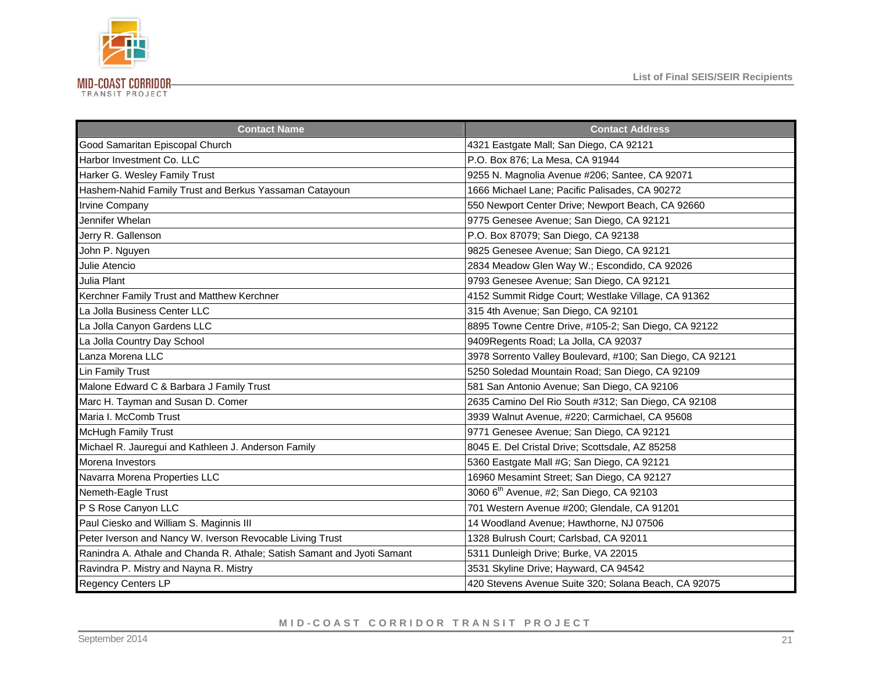

| <b>Contact Name</b>                                                     | <b>Contact Address</b>                                    |
|-------------------------------------------------------------------------|-----------------------------------------------------------|
| Good Samaritan Episcopal Church                                         | 4321 Eastgate Mall; San Diego, CA 92121                   |
| Harbor Investment Co. LLC                                               | P.O. Box 876; La Mesa, CA 91944                           |
| Harker G. Wesley Family Trust                                           | 9255 N. Magnolia Avenue #206; Santee, CA 92071            |
| Hashem-Nahid Family Trust and Berkus Yassaman Catayoun                  | 1666 Michael Lane; Pacific Palisades, CA 90272            |
| Irvine Company                                                          | 550 Newport Center Drive; Newport Beach, CA 92660         |
| Jennifer Whelan                                                         | 9775 Genesee Avenue; San Diego, CA 92121                  |
| Jerry R. Gallenson                                                      | P.O. Box 87079; San Diego, CA 92138                       |
| John P. Nguyen                                                          | 9825 Genesee Avenue; San Diego, CA 92121                  |
| Julie Atencio                                                           | 2834 Meadow Glen Way W.; Escondido, CA 92026              |
| <b>Julia Plant</b>                                                      | 9793 Genesee Avenue; San Diego, CA 92121                  |
| Kerchner Family Trust and Matthew Kerchner                              | 4152 Summit Ridge Court; Westlake Village, CA 91362       |
| La Jolla Business Center LLC                                            | 315 4th Avenue; San Diego, CA 92101                       |
| La Jolla Canyon Gardens LLC                                             | 8895 Towne Centre Drive, #105-2; San Diego, CA 92122      |
| La Jolla Country Day School                                             | 9409Regents Road; La Jolla, CA 92037                      |
| Lanza Morena LLC                                                        | 3978 Sorrento Valley Boulevard, #100; San Diego, CA 92121 |
| Lin Family Trust                                                        | 5250 Soledad Mountain Road; San Diego, CA 92109           |
| Malone Edward C & Barbara J Family Trust                                | 581 San Antonio Avenue; San Diego, CA 92106               |
| Marc H. Tayman and Susan D. Comer                                       | 2635 Camino Del Rio South #312; San Diego, CA 92108       |
| Maria I. McComb Trust                                                   | 3939 Walnut Avenue, #220; Carmichael, CA 95608            |
| McHugh Family Trust                                                     | 9771 Genesee Avenue; San Diego, CA 92121                  |
| Michael R. Jauregui and Kathleen J. Anderson Family                     | 8045 E. Del Cristal Drive; Scottsdale, AZ 85258           |
| Morena Investors                                                        | 5360 Eastgate Mall #G; San Diego, CA 92121                |
| Navarra Morena Properties LLC                                           | 16960 Mesamint Street; San Diego, CA 92127                |
| Nemeth-Eagle Trust                                                      | 3060 6th Avenue, #2; San Diego, CA 92103                  |
| P S Rose Canyon LLC                                                     | 701 Western Avenue #200; Glendale, CA 91201               |
| Paul Ciesko and William S. Maginnis III                                 | 14 Woodland Avenue; Hawthorne, NJ 07506                   |
| Peter Iverson and Nancy W. Iverson Revocable Living Trust               | 1328 Bulrush Court; Carlsbad, CA 92011                    |
| Ranindra A. Athale and Chanda R. Athale; Satish Samant and Jyoti Samant | 5311 Dunleigh Drive; Burke, VA 22015                      |
| Ravindra P. Mistry and Nayna R. Mistry                                  | 3531 Skyline Drive; Hayward, CA 94542                     |
| Regency Centers LP                                                      | 420 Stevens Avenue Suite 320; Solana Beach, CA 92075      |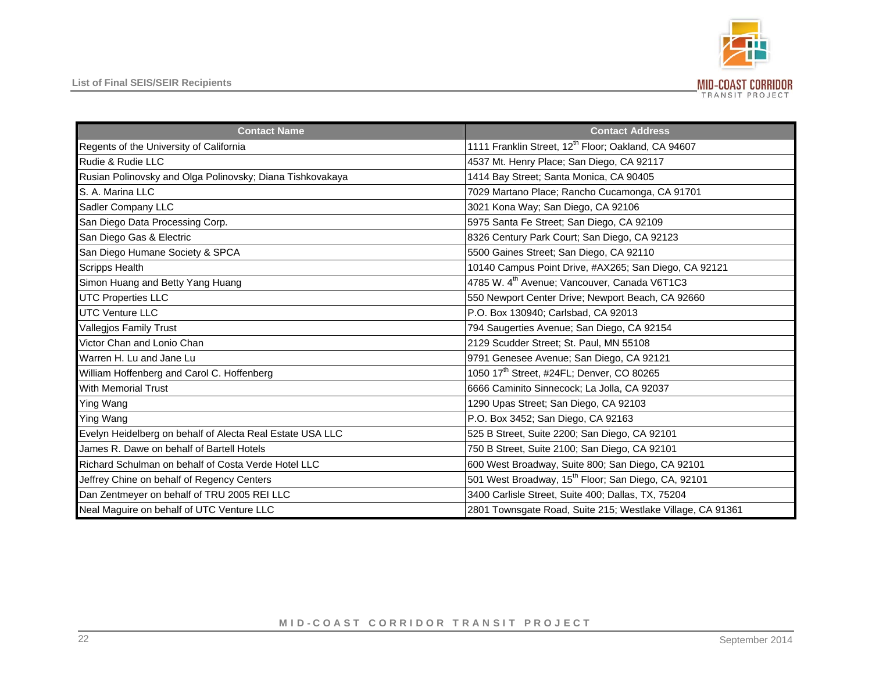

| <b>Contact Name</b>                                       | <b>Contact Address</b>                                          |
|-----------------------------------------------------------|-----------------------------------------------------------------|
| Regents of the University of California                   | 1111 Franklin Street, 12 <sup>th</sup> Floor; Oakland, CA 94607 |
| Rudie & Rudie LLC                                         | 4537 Mt. Henry Place; San Diego, CA 92117                       |
| Rusian Polinovsky and Olga Polinovsky; Diana Tishkovakaya | 1414 Bay Street; Santa Monica, CA 90405                         |
| S. A. Marina LLC                                          | 7029 Martano Place; Rancho Cucamonga, CA 91701                  |
| Sadler Company LLC                                        | 3021 Kona Way; San Diego, CA 92106                              |
| San Diego Data Processing Corp.                           | 5975 Santa Fe Street; San Diego, CA 92109                       |
| San Diego Gas & Electric                                  | 8326 Century Park Court; San Diego, CA 92123                    |
| San Diego Humane Society & SPCA                           | 5500 Gaines Street; San Diego, CA 92110                         |
| Scripps Health                                            | 10140 Campus Point Drive, #AX265; San Diego, CA 92121           |
| Simon Huang and Betty Yang Huang                          | 4785 W. 4 <sup>th</sup> Avenue; Vancouver, Canada V6T1C3        |
| <b>UTC Properties LLC</b>                                 | 550 Newport Center Drive; Newport Beach, CA 92660               |
| <b>UTC Venture LLC</b>                                    | P.O. Box 130940; Carlsbad, CA 92013                             |
| <b>Vallegjos Family Trust</b>                             | 794 Saugerties Avenue; San Diego, CA 92154                      |
| Victor Chan and Lonio Chan                                | 2129 Scudder Street; St. Paul, MN 55108                         |
| Warren H. Lu and Jane Lu                                  | 9791 Genesee Avenue; San Diego, CA 92121                        |
| William Hoffenberg and Carol C. Hoffenberg                | 1050 17 <sup>th</sup> Street, #24FL; Denver, CO 80265           |
| With Memorial Trust                                       | 6666 Caminito Sinnecock; La Jolla, CA 92037                     |
| Ying Wang                                                 | 1290 Upas Street; San Diego, CA 92103                           |
| Ying Wang                                                 | P.O. Box 3452; San Diego, CA 92163                              |
| Evelyn Heidelberg on behalf of Alecta Real Estate USA LLC | 525 B Street, Suite 2200; San Diego, CA 92101                   |
| James R. Dawe on behalf of Bartell Hotels                 | 750 B Street, Suite 2100; San Diego, CA 92101                   |
| Richard Schulman on behalf of Costa Verde Hotel LLC       | 600 West Broadway, Suite 800; San Diego, CA 92101               |
| Jeffrey Chine on behalf of Regency Centers                | 501 West Broadway, 15 <sup>th</sup> Floor; San Diego, CA, 92101 |
| Dan Zentmeyer on behalf of TRU 2005 REI LLC               | 3400 Carlisle Street, Suite 400; Dallas, TX, 75204              |
| Neal Maguire on behalf of UTC Venture LLC                 | 2801 Townsgate Road, Suite 215; Westlake Village, CA 91361      |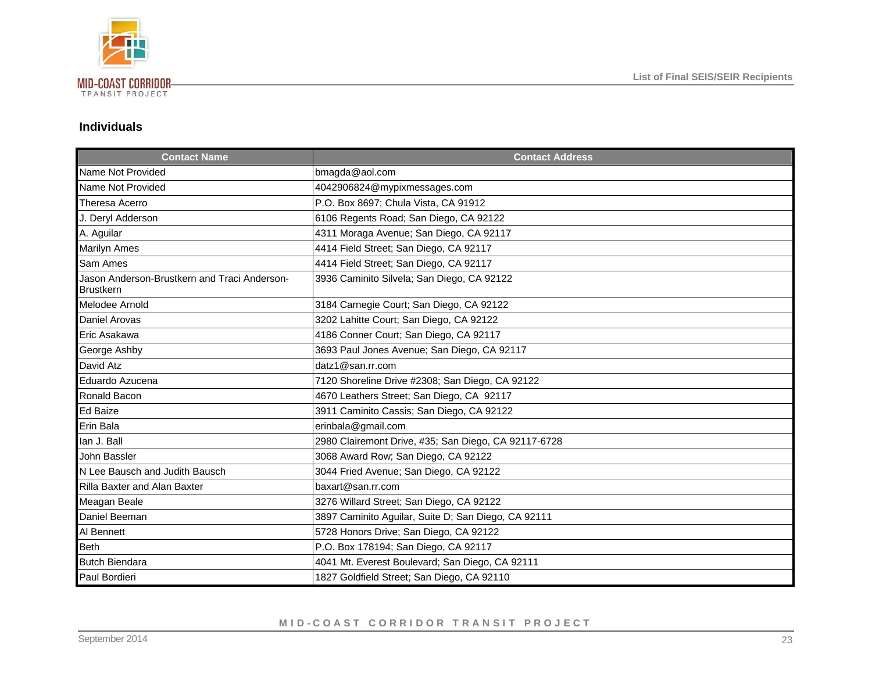



### **Individuals**

| <b>Contact Name</b>                                              | <b>Contact Address</b>                               |
|------------------------------------------------------------------|------------------------------------------------------|
| Name Not Provided                                                | bmagda@aol.com                                       |
| Name Not Provided                                                | 4042906824@mypixmessages.com                         |
| Theresa Acerro                                                   | P.O. Box 8697; Chula Vista, CA 91912                 |
| J. Deryl Adderson                                                | 6106 Regents Road; San Diego, CA 92122               |
| A. Aguilar                                                       | 4311 Moraga Avenue; San Diego, CA 92117              |
| Marilyn Ames                                                     | 4414 Field Street; San Diego, CA 92117               |
| Sam Ames                                                         | 4414 Field Street; San Diego, CA 92117               |
| Jason Anderson-Brustkern and Traci Anderson-<br><b>Brustkern</b> | 3936 Caminito Silvela; San Diego, CA 92122           |
| Melodee Arnold                                                   | 3184 Carnegie Court; San Diego, CA 92122             |
| Daniel Arovas                                                    | 3202 Lahitte Court; San Diego, CA 92122              |
| Eric Asakawa                                                     | 4186 Conner Court; San Diego, CA 92117               |
| George Ashby                                                     | 3693 Paul Jones Avenue; San Diego, CA 92117          |
| David Atz                                                        | data1@san.rr.com                                     |
| Eduardo Azucena                                                  | 7120 Shoreline Drive #2308; San Diego, CA 92122      |
| Ronald Bacon                                                     | 4670 Leathers Street; San Diego, CA 92117            |
| <b>Ed Baize</b>                                                  | 3911 Caminito Cassis; San Diego, CA 92122            |
| Erin Bala                                                        | erinbala@gmail.com                                   |
| lan J. Ball                                                      | 2980 Clairemont Drive, #35; San Diego, CA 92117-6728 |
| John Bassler                                                     | 3068 Award Row; San Diego, CA 92122                  |
| N Lee Bausch and Judith Bausch                                   | 3044 Fried Avenue; San Diego, CA 92122               |
| Rilla Baxter and Alan Baxter                                     | baxart@san.rr.com                                    |
| Meagan Beale                                                     | 3276 Willard Street; San Diego, CA 92122             |
| Daniel Beeman                                                    | 3897 Caminito Aguilar, Suite D; San Diego, CA 92111  |
| Al Bennett                                                       | 5728 Honors Drive; San Diego, CA 92122               |
| <b>Beth</b>                                                      | P.O. Box 178194; San Diego, CA 92117                 |
| <b>Butch Biendara</b>                                            | 4041 Mt. Everest Boulevard; San Diego, CA 92111      |
| Paul Bordieri                                                    | 1827 Goldfield Street; San Diego, CA 92110           |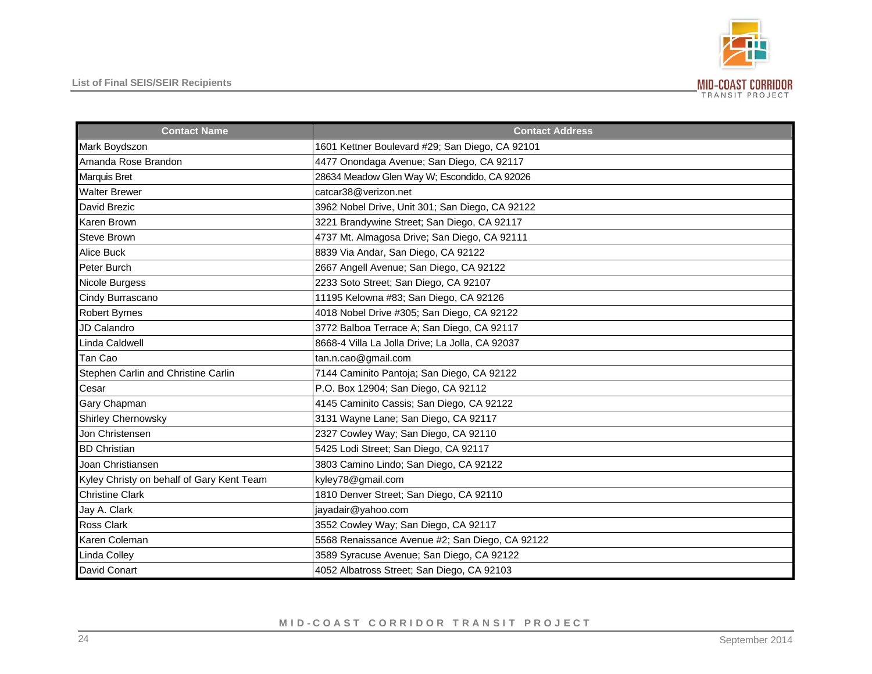

| <b>Contact Name</b>                       | <b>Contact Address</b>                          |
|-------------------------------------------|-------------------------------------------------|
| Mark Boydszon                             | 1601 Kettner Boulevard #29; San Diego, CA 92101 |
| Amanda Rose Brandon                       | 4477 Onondaga Avenue; San Diego, CA 92117       |
| <b>Marquis Bret</b>                       | 28634 Meadow Glen Way W; Escondido, CA 92026    |
| <b>Walter Brewer</b>                      | catcar38@verizon.net                            |
| David Brezic                              | 3962 Nobel Drive, Unit 301; San Diego, CA 92122 |
| Karen Brown                               | 3221 Brandywine Street; San Diego, CA 92117     |
| <b>Steve Brown</b>                        | 4737 Mt. Almagosa Drive; San Diego, CA 92111    |
| <b>Alice Buck</b>                         | 8839 Via Andar, San Diego, CA 92122             |
| Peter Burch                               | 2667 Angell Avenue; San Diego, CA 92122         |
| Nicole Burgess                            | 2233 Soto Street; San Diego, CA 92107           |
| Cindy Burrascano                          | 11195 Kelowna #83; San Diego, CA 92126          |
| <b>Robert Byrnes</b>                      | 4018 Nobel Drive #305; San Diego, CA 92122      |
| JD Calandro                               | 3772 Balboa Terrace A; San Diego, CA 92117      |
| Linda Caldwell                            | 8668-4 Villa La Jolla Drive; La Jolla, CA 92037 |
| Tan Cao                                   | tan.n.cao@gmail.com                             |
| Stephen Carlin and Christine Carlin       | 7144 Caminito Pantoja; San Diego, CA 92122      |
| Cesar                                     | P.O. Box 12904; San Diego, CA 92112             |
| Gary Chapman                              | 4145 Caminito Cassis; San Diego, CA 92122       |
| Shirley Chernowsky                        | 3131 Wayne Lane; San Diego, CA 92117            |
| Jon Christensen                           | 2327 Cowley Way; San Diego, CA 92110            |
| <b>BD</b> Christian                       | 5425 Lodi Street; San Diego, CA 92117           |
| Joan Christiansen                         | 3803 Camino Lindo; San Diego, CA 92122          |
| Kyley Christy on behalf of Gary Kent Team | kyley78@gmail.com                               |
| <b>Christine Clark</b>                    | 1810 Denver Street; San Diego, CA 92110         |
| Jay A. Clark                              | jayadair@yahoo.com                              |
| <b>Ross Clark</b>                         | 3552 Cowley Way; San Diego, CA 92117            |
| Karen Coleman                             | 5568 Renaissance Avenue #2; San Diego, CA 92122 |
| <b>Linda Colley</b>                       | 3589 Syracuse Avenue; San Diego, CA 92122       |
| David Conart                              | 4052 Albatross Street; San Diego, CA 92103      |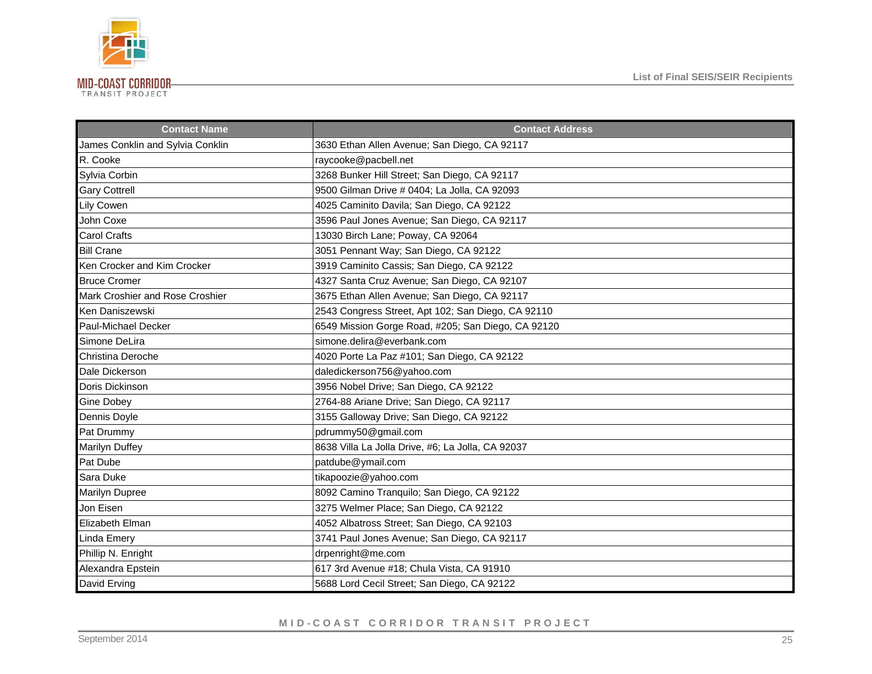

**MID-COAST CORRIDOR-**

| <b>Contact Name</b>              | <b>Contact Address</b>                             |
|----------------------------------|----------------------------------------------------|
| James Conklin and Sylvia Conklin | 3630 Ethan Allen Avenue; San Diego, CA 92117       |
| R. Cooke                         | raycooke@pacbell.net                               |
| Sylvia Corbin                    | 3268 Bunker Hill Street; San Diego, CA 92117       |
| <b>Gary Cottrell</b>             | 9500 Gilman Drive # 0404; La Jolla, CA 92093       |
| <b>Lily Cowen</b>                | 4025 Caminito Davila; San Diego, CA 92122          |
| John Coxe                        | 3596 Paul Jones Avenue; San Diego, CA 92117        |
| <b>Carol Crafts</b>              | 13030 Birch Lane; Poway, CA 92064                  |
| <b>Bill Crane</b>                | 3051 Pennant Way; San Diego, CA 92122              |
| Ken Crocker and Kim Crocker      | 3919 Caminito Cassis; San Diego, CA 92122          |
| <b>Bruce Cromer</b>              | 4327 Santa Cruz Avenue; San Diego, CA 92107        |
| Mark Croshier and Rose Croshier  | 3675 Ethan Allen Avenue; San Diego, CA 92117       |
| Ken Daniszewski                  | 2543 Congress Street, Apt 102; San Diego, CA 92110 |
| <b>Paul-Michael Decker</b>       | 6549 Mission Gorge Road, #205; San Diego, CA 92120 |
| Simone DeLira                    | simone.delira@everbank.com                         |
| Christina Deroche                | 4020 Porte La Paz #101; San Diego, CA 92122        |
| Dale Dickerson                   | daledickerson756@yahoo.com                         |
| Doris Dickinson                  | 3956 Nobel Drive; San Diego, CA 92122              |
| Gine Dobey                       | 2764-88 Ariane Drive; San Diego, CA 92117          |
| Dennis Doyle                     | 3155 Galloway Drive; San Diego, CA 92122           |
| Pat Drummy                       | pdrummy50@gmail.com                                |
| Marilyn Duffey                   | 8638 Villa La Jolla Drive, #6; La Jolla, CA 92037  |
| Pat Dube                         | patdube@ymail.com                                  |
| Sara Duke                        | tikapoozie@yahoo.com                               |
| Marilyn Dupree                   | 8092 Camino Tranquilo; San Diego, CA 92122         |
| Jon Eisen                        | 3275 Welmer Place; San Diego, CA 92122             |
| Elizabeth Elman                  | 4052 Albatross Street; San Diego, CA 92103         |
| <b>Linda Emery</b>               | 3741 Paul Jones Avenue; San Diego, CA 92117        |
| Phillip N. Enright               | drpenright@me.com                                  |
| Alexandra Epstein                | 617 3rd Avenue #18; Chula Vista, CA 91910          |
| David Erving                     | 5688 Lord Cecil Street; San Diego, CA 92122        |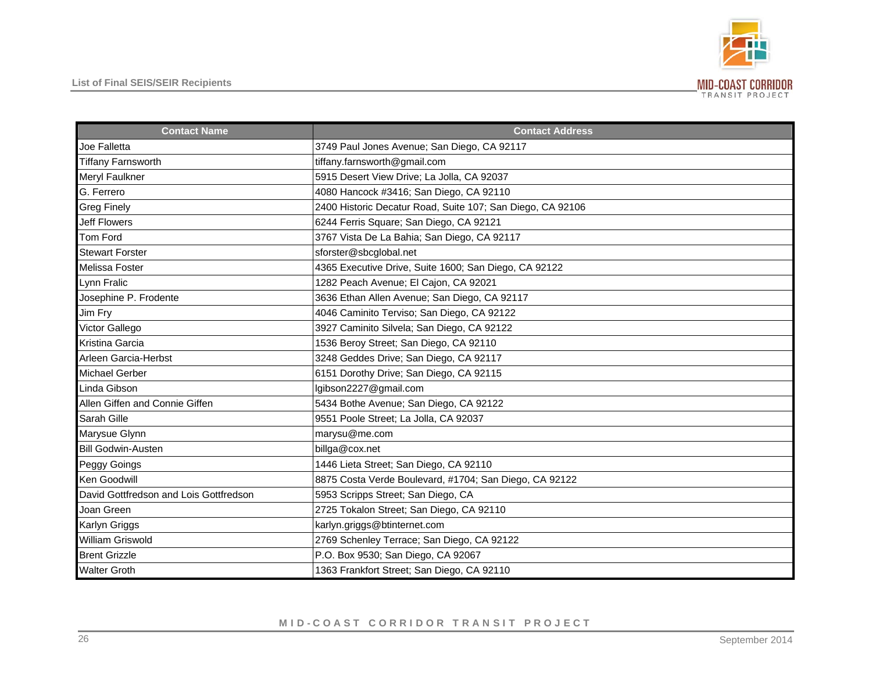

| <b>Contact Name</b>                    | <b>Contact Address</b>                                     |
|----------------------------------------|------------------------------------------------------------|
| Joe Falletta                           | 3749 Paul Jones Avenue; San Diego, CA 92117                |
| <b>Tiffany Farnsworth</b>              | tiffany.farnsworth@gmail.com                               |
| Meryl Faulkner                         | 5915 Desert View Drive; La Jolla, CA 92037                 |
| G. Ferrero                             | 4080 Hancock #3416; San Diego, CA 92110                    |
| <b>Greg Finely</b>                     | 2400 Historic Decatur Road, Suite 107; San Diego, CA 92106 |
| <b>Jeff Flowers</b>                    | 6244 Ferris Square; San Diego, CA 92121                    |
| Tom Ford                               | 3767 Vista De La Bahia; San Diego, CA 92117                |
| <b>Stewart Forster</b>                 | sforster@sbcglobal.net                                     |
| Melissa Foster                         | 4365 Executive Drive, Suite 1600; San Diego, CA 92122      |
| Lynn Fralic                            | 1282 Peach Avenue; El Cajon, CA 92021                      |
| Josephine P. Frodente                  | 3636 Ethan Allen Avenue; San Diego, CA 92117               |
| Jim Fry                                | 4046 Caminito Terviso; San Diego, CA 92122                 |
| Victor Gallego                         | 3927 Caminito Silvela; San Diego, CA 92122                 |
| Kristina Garcia                        | 1536 Beroy Street; San Diego, CA 92110                     |
| Arleen Garcia-Herbst                   | 3248 Geddes Drive; San Diego, CA 92117                     |
| Michael Gerber                         | 6151 Dorothy Drive; San Diego, CA 92115                    |
| Linda Gibson                           | lgibson2227@gmail.com                                      |
| Allen Giffen and Connie Giffen         | 5434 Bothe Avenue; San Diego, CA 92122                     |
| Sarah Gille                            | 9551 Poole Street; La Jolla, CA 92037                      |
| Marysue Glynn                          | marysu@me.com                                              |
| <b>Bill Godwin-Austen</b>              | billga@cox.net                                             |
| Peggy Goings                           | 1446 Lieta Street; San Diego, CA 92110                     |
| Ken Goodwill                           | 8875 Costa Verde Boulevard, #1704; San Diego, CA 92122     |
| David Gottfredson and Lois Gottfredson | 5953 Scripps Street; San Diego, CA                         |
| Joan Green                             | 2725 Tokalon Street; San Diego, CA 92110                   |
| Karlyn Griggs                          | karlyn.griggs@btinternet.com                               |
| William Griswold                       | 2769 Schenley Terrace; San Diego, CA 92122                 |
| <b>Brent Grizzle</b>                   | P.O. Box 9530; San Diego, CA 92067                         |
| <b>Walter Groth</b>                    | 1363 Frankfort Street; San Diego, CA 92110                 |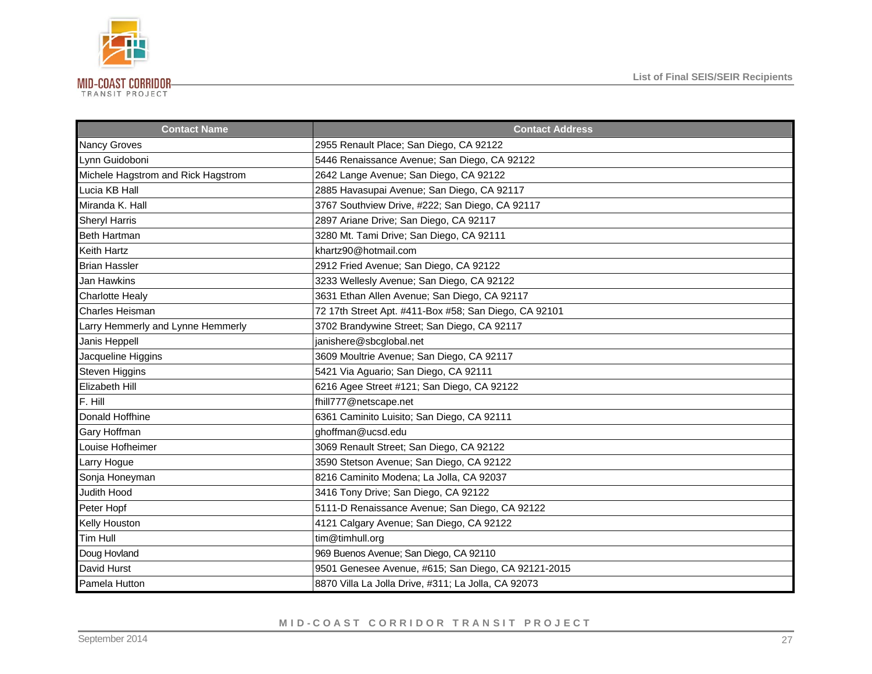

| <b>Contact Name</b>                | <b>Contact Address</b>                                |
|------------------------------------|-------------------------------------------------------|
| Nancy Groves                       | 2955 Renault Place; San Diego, CA 92122               |
| Lynn Guidoboni                     | 5446 Renaissance Avenue; San Diego, CA 92122          |
| Michele Hagstrom and Rick Hagstrom | 2642 Lange Avenue; San Diego, CA 92122                |
| Lucia KB Hall                      | 2885 Havasupai Avenue; San Diego, CA 92117            |
| Miranda K. Hall                    | 3767 Southview Drive, #222; San Diego, CA 92117       |
| <b>Sheryl Harris</b>               | 2897 Ariane Drive; San Diego, CA 92117                |
| <b>Beth Hartman</b>                | 3280 Mt. Tami Drive; San Diego, CA 92111              |
| <b>Keith Hartz</b>                 | khartz90@hotmail.com                                  |
| <b>Brian Hassler</b>               | 2912 Fried Avenue; San Diego, CA 92122                |
| Jan Hawkins                        | 3233 Wellesly Avenue; San Diego, CA 92122             |
| Charlotte Healy                    | 3631 Ethan Allen Avenue; San Diego, CA 92117          |
| Charles Heisman                    | 72 17th Street Apt. #411-Box #58; San Diego, CA 92101 |
| Larry Hemmerly and Lynne Hemmerly  | 3702 Brandywine Street; San Diego, CA 92117           |
| Janis Heppell                      | janishere@sbcglobal.net                               |
| Jacqueline Higgins                 | 3609 Moultrie Avenue; San Diego, CA 92117             |
| Steven Higgins                     | 5421 Via Aguario; San Diego, CA 92111                 |
| Elizabeth Hill                     | 6216 Agee Street #121; San Diego, CA 92122            |
| F. Hill                            | fhill777@netscape.net                                 |
| Donald Hoffhine                    | 6361 Caminito Luisito; San Diego, CA 92111            |
| Gary Hoffman                       | ghoffman@ucsd.edu                                     |
| Louise Hofheimer                   | 3069 Renault Street; San Diego, CA 92122              |
| Larry Hogue                        | 3590 Stetson Avenue; San Diego, CA 92122              |
| Sonja Honeyman                     | 8216 Caminito Modena; La Jolla, CA 92037              |
| Judith Hood                        | 3416 Tony Drive; San Diego, CA 92122                  |
| Peter Hopf                         | 5111-D Renaissance Avenue; San Diego, CA 92122        |
| Kelly Houston                      | 4121 Calgary Avenue; San Diego, CA 92122              |
| <b>Tim Hull</b>                    | tim@timhull.org                                       |
| Doug Hovland                       | 969 Buenos Avenue; San Diego, CA 92110                |
| David Hurst                        | 9501 Genesee Avenue, #615; San Diego, CA 92121-2015   |
| Pamela Hutton                      | 8870 Villa La Jolla Drive, #311; La Jolla, CA 92073   |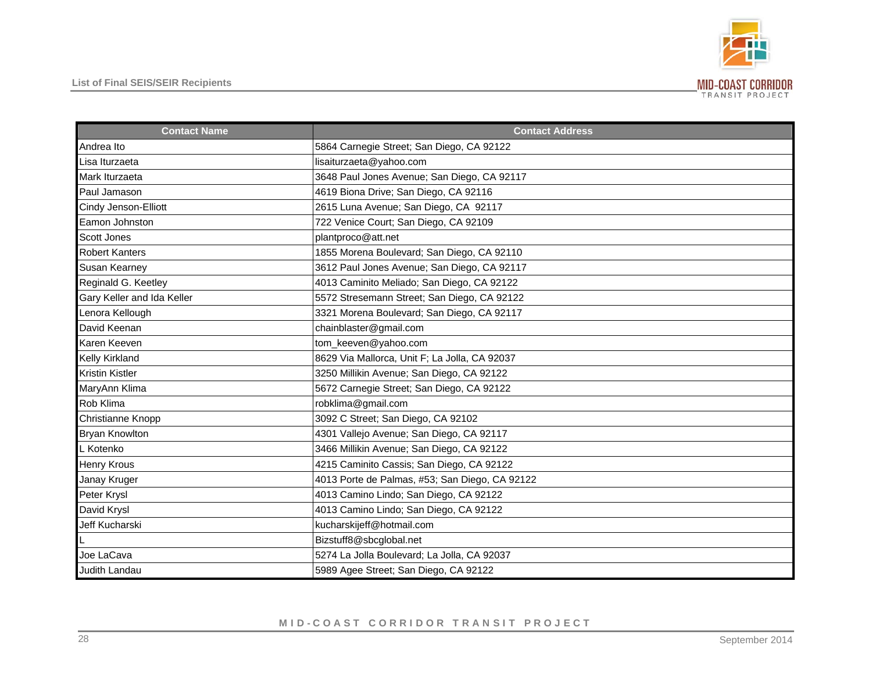

| <b>Contact Name</b>        | <b>Contact Address</b>                         |
|----------------------------|------------------------------------------------|
| Andrea Ito                 | 5864 Carnegie Street; San Diego, CA 92122      |
| Lisa Iturzaeta             | lisaiturzaeta@yahoo.com                        |
| Mark Iturzaeta             | 3648 Paul Jones Avenue; San Diego, CA 92117    |
| Paul Jamason               | 4619 Biona Drive; San Diego, CA 92116          |
| Cindy Jenson-Elliott       | 2615 Luna Avenue; San Diego, CA 92117          |
| Eamon Johnston             | 722 Venice Court; San Diego, CA 92109          |
| Scott Jones                | plantproco@att.net                             |
| <b>Robert Kanters</b>      | 1855 Morena Boulevard; San Diego, CA 92110     |
| Susan Kearney              | 3612 Paul Jones Avenue; San Diego, CA 92117    |
| Reginald G. Keetley        | 4013 Caminito Meliado; San Diego, CA 92122     |
| Gary Keller and Ida Keller | 5572 Stresemann Street; San Diego, CA 92122    |
| Lenora Kellough            | 3321 Morena Boulevard; San Diego, CA 92117     |
| David Keenan               | chainblaster@gmail.com                         |
| Karen Keeven               | tom_keeven@yahoo.com                           |
| <b>Kelly Kirkland</b>      | 8629 Via Mallorca, Unit F; La Jolla, CA 92037  |
| <b>Kristin Kistler</b>     | 3250 Millikin Avenue; San Diego, CA 92122      |
| MaryAnn Klima              | 5672 Carnegie Street; San Diego, CA 92122      |
| Rob Klima                  | robklima@gmail.com                             |
| Christianne Knopp          | 3092 C Street; San Diego, CA 92102             |
| <b>Bryan Knowlton</b>      | 4301 Vallejo Avenue; San Diego, CA 92117       |
| L Kotenko                  | 3466 Millikin Avenue; San Diego, CA 92122      |
| Henry Krous                | 4215 Caminito Cassis; San Diego, CA 92122      |
| Janay Kruger               | 4013 Porte de Palmas, #53; San Diego, CA 92122 |
| Peter Krysl                | 4013 Camino Lindo; San Diego, CA 92122         |
| David Krysl                | 4013 Camino Lindo; San Diego, CA 92122         |
| Jeff Kucharski             | kucharskijeff@hotmail.com                      |
|                            | Bizstuff8@sbcglobal.net                        |
| Joe LaCava                 | 5274 La Jolla Boulevard; La Jolla, CA 92037    |
| <b>Judith Landau</b>       | 5989 Agee Street; San Diego, CA 92122          |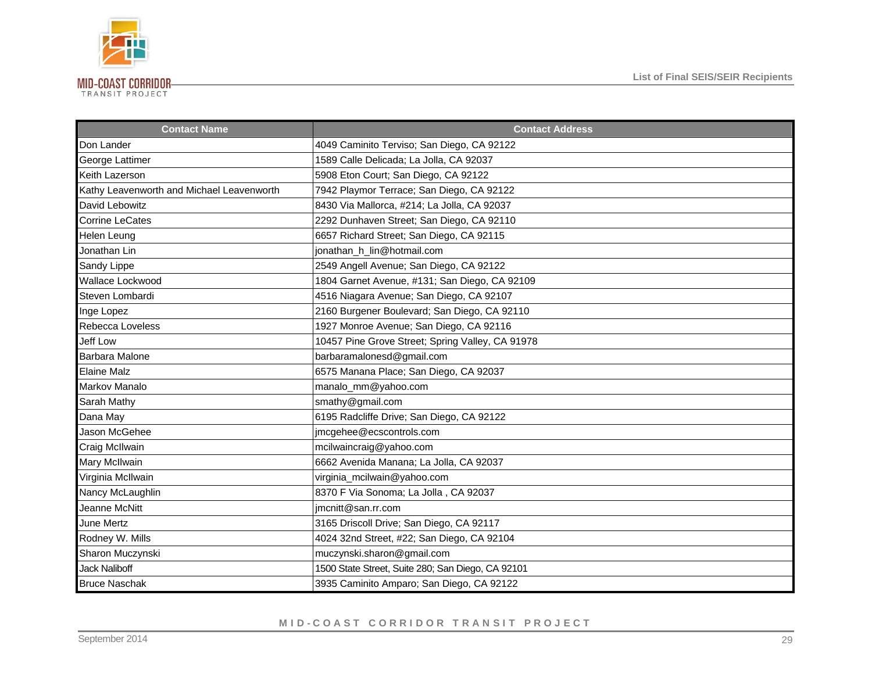

| <b>Contact Name</b>                       | <b>Contact Address</b>                            |
|-------------------------------------------|---------------------------------------------------|
| Don Lander                                | 4049 Caminito Terviso; San Diego, CA 92122        |
| George Lattimer                           | 1589 Calle Delicada; La Jolla, CA 92037           |
| Keith Lazerson                            | 5908 Eton Court; San Diego, CA 92122              |
| Kathy Leavenworth and Michael Leavenworth | 7942 Playmor Terrace; San Diego, CA 92122         |
| David Lebowitz                            | 8430 Via Mallorca, #214; La Jolla, CA 92037       |
| <b>Corrine LeCates</b>                    | 2292 Dunhaven Street; San Diego, CA 92110         |
| Helen Leung                               | 6657 Richard Street; San Diego, CA 92115          |
| Jonathan Lin                              | jonathan_h_lin@hotmail.com                        |
| Sandy Lippe                               | 2549 Angell Avenue; San Diego, CA 92122           |
| Wallace Lockwood                          | 1804 Garnet Avenue, #131; San Diego, CA 92109     |
| Steven Lombardi                           | 4516 Niagara Avenue; San Diego, CA 92107          |
| Inge Lopez                                | 2160 Burgener Boulevard; San Diego, CA 92110      |
| Rebecca Loveless                          | 1927 Monroe Avenue; San Diego, CA 92116           |
| Jeff Low                                  | 10457 Pine Grove Street; Spring Valley, CA 91978  |
| <b>Barbara Malone</b>                     | barbaramalonesd@gmail.com                         |
| <b>Elaine Malz</b>                        | 6575 Manana Place; San Diego, CA 92037            |
| Markov Manalo                             | manalo_mm@yahoo.com                               |
| Sarah Mathy                               | smathy@gmail.com                                  |
| Dana May                                  | 6195 Radcliffe Drive; San Diego, CA 92122         |
| Jason McGehee                             | jmcgehee@ecscontrols.com                          |
| Craig McIlwain                            | mcilwaincraig@yahoo.com                           |
| Mary McIlwain                             | 6662 Avenida Manana; La Jolla, CA 92037           |
| Virginia McIlwain                         | virginia_mcilwain@yahoo.com                       |
| Nancy McLaughlin                          | 8370 F Via Sonoma; La Jolla, CA 92037             |
| Jeanne McNitt                             | imcnitt@san.rr.com                                |
| <b>June Mertz</b>                         | 3165 Driscoll Drive; San Diego, CA 92117          |
| Rodney W. Mills                           | 4024 32nd Street, #22; San Diego, CA 92104        |
| Sharon Muczynski                          | muczynski.sharon@gmail.com                        |
| <b>Jack Naliboff</b>                      | 1500 State Street, Suite 280; San Diego, CA 92101 |
| <b>Bruce Naschak</b>                      | 3935 Caminito Amparo; San Diego, CA 92122         |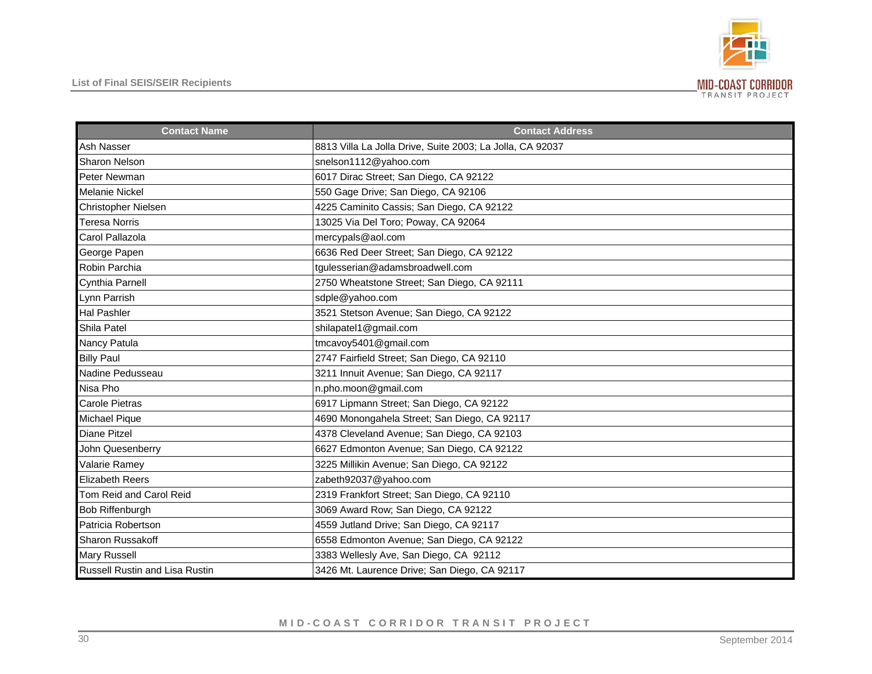

| <b>Contact Name</b>            | <b>Contact Address</b>                                    |
|--------------------------------|-----------------------------------------------------------|
| Ash Nasser                     | 8813 Villa La Jolla Drive, Suite 2003; La Jolla, CA 92037 |
| <b>Sharon Nelson</b>           | snelson1112@yahoo.com                                     |
| Peter Newman                   | 6017 Dirac Street; San Diego, CA 92122                    |
| <b>Melanie Nickel</b>          | 550 Gage Drive; San Diego, CA 92106                       |
| Christopher Nielsen            | 4225 Caminito Cassis; San Diego, CA 92122                 |
| <b>Teresa Norris</b>           | 13025 Via Del Toro; Poway, CA 92064                       |
| Carol Pallazola                | mercypals@aol.com                                         |
| George Papen                   | 6636 Red Deer Street; San Diego, CA 92122                 |
| Robin Parchia                  | tgulesserian@adamsbroadwell.com                           |
| Cynthia Parnell                | 2750 Wheatstone Street; San Diego, CA 92111               |
| Lynn Parrish                   | sdple@yahoo.com                                           |
| <b>Hal Pashler</b>             | 3521 Stetson Avenue; San Diego, CA 92122                  |
| Shila Patel                    | shilapatel1@gmail.com                                     |
| Nancy Patula                   | tmcavoy5401@gmail.com                                     |
| <b>Billy Paul</b>              | 2747 Fairfield Street; San Diego, CA 92110                |
| Nadine Pedusseau               | 3211 Innuit Avenue; San Diego, CA 92117                   |
| Nisa Pho                       | n.pho.moon@gmail.com                                      |
| <b>Carole Pietras</b>          | 6917 Lipmann Street; San Diego, CA 92122                  |
| <b>Michael Pique</b>           | 4690 Monongahela Street; San Diego, CA 92117              |
| <b>Diane Pitzel</b>            | 4378 Cleveland Avenue; San Diego, CA 92103                |
| John Quesenberry               | 6627 Edmonton Avenue; San Diego, CA 92122                 |
| Valarie Ramey                  | 3225 Millikin Avenue; San Diego, CA 92122                 |
| <b>Elizabeth Reers</b>         | zabeth92037@yahoo.com                                     |
| Tom Reid and Carol Reid        | 2319 Frankfort Street; San Diego, CA 92110                |
| Bob Riffenburgh                | 3069 Award Row; San Diego, CA 92122                       |
| Patricia Robertson             | 4559 Jutland Drive; San Diego, CA 92117                   |
| Sharon Russakoff               | 6558 Edmonton Avenue; San Diego, CA 92122                 |
| <b>Mary Russell</b>            | 3383 Wellesly Ave, San Diego, CA 92112                    |
| Russell Rustin and Lisa Rustin | 3426 Mt. Laurence Drive; San Diego, CA 92117              |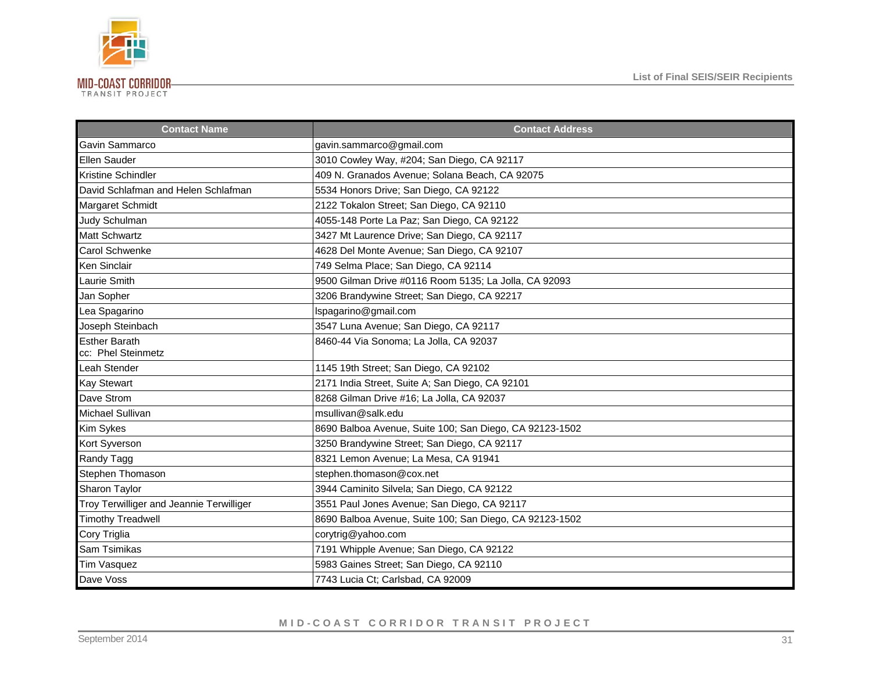

| <b>Contact Name</b>                        | <b>Contact Address</b>                                  |
|--------------------------------------------|---------------------------------------------------------|
| Gavin Sammarco                             | gavin.sammarco@gmail.com                                |
| Ellen Sauder                               | 3010 Cowley Way, #204; San Diego, CA 92117              |
| Kristine Schindler                         | 409 N. Granados Avenue; Solana Beach, CA 92075          |
| David Schlafman and Helen Schlafman        | 5534 Honors Drive; San Diego, CA 92122                  |
| Margaret Schmidt                           | 2122 Tokalon Street; San Diego, CA 92110                |
| Judy Schulman                              | 4055-148 Porte La Paz; San Diego, CA 92122              |
| <b>Matt Schwartz</b>                       | 3427 Mt Laurence Drive; San Diego, CA 92117             |
| <b>Carol Schwenke</b>                      | 4628 Del Monte Avenue; San Diego, CA 92107              |
| Ken Sinclair                               | 749 Selma Place; San Diego, CA 92114                    |
| Laurie Smith                               | 9500 Gilman Drive #0116 Room 5135; La Jolla, CA 92093   |
| Jan Sopher                                 | 3206 Brandywine Street; San Diego, CA 92217             |
| Lea Spagarino                              | Ispagarino@gmail.com                                    |
| Joseph Steinbach                           | 3547 Luna Avenue; San Diego, CA 92117                   |
| <b>Esther Barath</b><br>cc: Phel Steinmetz | 8460-44 Via Sonoma; La Jolla, CA 92037                  |
| Leah Stender                               | 1145 19th Street; San Diego, CA 92102                   |
| <b>Kay Stewart</b>                         | 2171 India Street, Suite A; San Diego, CA 92101         |
| Dave Strom                                 | 8268 Gilman Drive #16; La Jolla, CA 92037               |
| Michael Sullivan                           | msullivan@salk.edu                                      |
| Kim Sykes                                  | 8690 Balboa Avenue, Suite 100; San Diego, CA 92123-1502 |
| Kort Syverson                              | 3250 Brandywine Street; San Diego, CA 92117             |
| Randy Tagg                                 | 8321 Lemon Avenue; La Mesa, CA 91941                    |
| Stephen Thomason                           | stephen.thomason@cox.net                                |
| Sharon Taylor                              | 3944 Caminito Silvela; San Diego, CA 92122              |
| Troy Terwilliger and Jeannie Terwilliger   | 3551 Paul Jones Avenue; San Diego, CA 92117             |
| <b>Timothy Treadwell</b>                   | 8690 Balboa Avenue, Suite 100; San Diego, CA 92123-1502 |
| Cory Triglia                               | corytrig@yahoo.com                                      |
| Sam Tsimikas                               | 7191 Whipple Avenue; San Diego, CA 92122                |
| Tim Vasquez                                | 5983 Gaines Street; San Diego, CA 92110                 |
| Dave Voss                                  | 7743 Lucia Ct; Carlsbad, CA 92009                       |